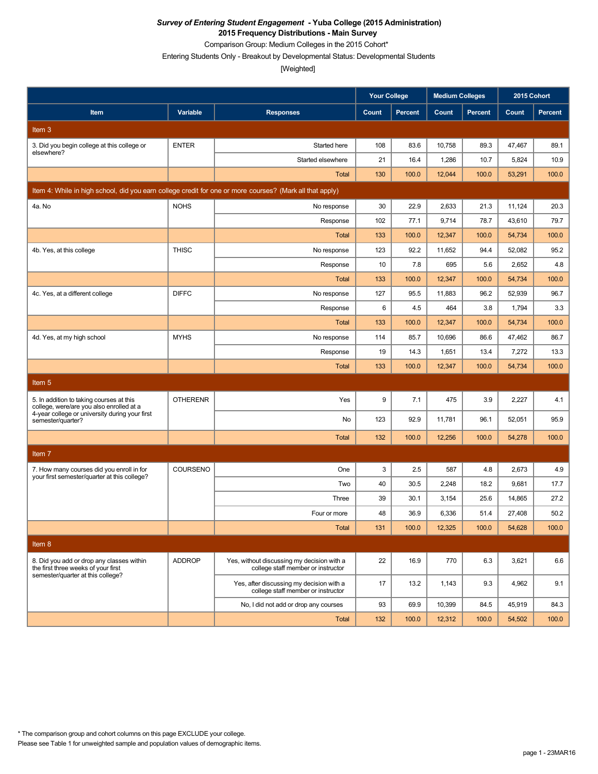Comparison Group: Medium Colleges in the 2015 Cohort\*

Entering Students Only - Breakout by Developmental Status: Developmental Students

|                                                                                                          |                 |                                                                                  | <b>Your College</b> |                | <b>Medium Colleges</b> |                | 2015 Cohort |                |
|----------------------------------------------------------------------------------------------------------|-----------------|----------------------------------------------------------------------------------|---------------------|----------------|------------------------|----------------|-------------|----------------|
| Item                                                                                                     | Variable        | <b>Responses</b>                                                                 | Count               | <b>Percent</b> | Count                  | <b>Percent</b> | Count       | <b>Percent</b> |
| Item <sub>3</sub>                                                                                        |                 |                                                                                  |                     |                |                        |                |             |                |
| 3. Did you begin college at this college or                                                              | <b>ENTER</b>    | Started here                                                                     | 108                 | 83.6           | 10,758                 | 89.3           | 47,467      | 89.1           |
| elsewhere?                                                                                               |                 | Started elsewhere                                                                | 21                  | 16.4           | 1,286                  | 10.7           | 5,824       | 10.9           |
|                                                                                                          |                 | <b>Total</b>                                                                     | 130                 | 100.0          | 12,044                 | 100.0          | 53,291      | 100.0          |
| Item 4: While in high school, did you earn college credit for one or more courses? (Mark all that apply) |                 |                                                                                  |                     |                |                        |                |             |                |
| 4a. No                                                                                                   | <b>NOHS</b>     | No response                                                                      | 30                  | 22.9           | 2,633                  | 21.3           | 11,124      | 20.3           |
|                                                                                                          |                 | Response                                                                         | 102                 | 77.1           | 9,714                  | 78.7           | 43,610      | 79.7           |
|                                                                                                          |                 | <b>Total</b>                                                                     | 133                 | 100.0          | 12,347                 | 100.0          | 54,734      | 100.0          |
| 4b. Yes, at this college                                                                                 | <b>THISC</b>    | No response                                                                      | 123                 | 92.2           | 11,652                 | 94.4           | 52,082      | 95.2           |
|                                                                                                          |                 | Response                                                                         | 10                  | 7.8            | 695                    | 5.6            | 2,652       | 4.8            |
|                                                                                                          |                 | Total                                                                            | 133                 | 100.0          | 12,347                 | 100.0          | 54,734      | 100.0          |
| 4c. Yes, at a different college                                                                          | <b>DIFFC</b>    | No response                                                                      | 127                 | 95.5           | 11,883                 | 96.2           | 52,939      | 96.7           |
|                                                                                                          |                 | Response                                                                         | 6                   | 4.5            | 464                    | 3.8            | 1,794       | 3.3            |
|                                                                                                          |                 | <b>Total</b>                                                                     | 133                 | 100.0          | 12,347                 | 100.0          | 54,734      | 100.0          |
| 4d. Yes, at my high school                                                                               | <b>MYHS</b>     | No response                                                                      | 114                 | 85.7           | 10,696                 | 86.6           | 47,462      | 86.7           |
|                                                                                                          |                 | Response                                                                         | 19                  | 14.3           | 1,651                  | 13.4           | 7,272       | 13.3           |
|                                                                                                          |                 | <b>Total</b>                                                                     | 133                 | 100.0          | 12,347                 | 100.0          | 54,734      | 100.0          |
| Item <sub>5</sub>                                                                                        |                 |                                                                                  |                     |                |                        |                |             |                |
| 5. In addition to taking courses at this<br>college, were/are you also enrolled at a                     | <b>OTHERENR</b> | Yes                                                                              | 9                   | 7.1            | 475                    | 3.9            | 2,227       | 4.1            |
| 4-year college or university during your first<br>semester/quarter?                                      |                 | No                                                                               | 123                 | 92.9           | 11,781                 | 96.1           | 52,051      | 95.9           |
|                                                                                                          |                 | Total                                                                            | 132                 | 100.0          | 12,256                 | 100.0          | 54,278      | 100.0          |
| Item <sub>7</sub>                                                                                        |                 |                                                                                  |                     |                |                        |                |             |                |
| 7. How many courses did you enroll in for                                                                | COURSENO        | One                                                                              | 3                   | 2.5            | 587                    | 4.8            | 2,673       | 4.9            |
| your first semester/quarter at this college?                                                             |                 | Two                                                                              | 40                  | 30.5           | 2,248                  | 18.2           | 9,681       | 17.7           |
|                                                                                                          |                 | Three                                                                            | 39                  | 30.1           | 3,154                  | 25.6           | 14,865      | 27.2           |
|                                                                                                          |                 | Four or more                                                                     | 48                  | 36.9           | 6,336                  | 51.4           | 27,408      | 50.2           |
|                                                                                                          |                 | Total                                                                            | 131                 | 100.0          | 12,325                 | 100.0          | 54,628      | 100.0          |
| Item 8                                                                                                   |                 |                                                                                  |                     |                |                        |                |             |                |
| 8. Did you add or drop any classes within<br>the first three weeks of your first                         | <b>ADDROP</b>   | Yes, without discussing my decision with a<br>college staff member or instructor | 22                  | 16.9           | 770                    | 6.3            | 3,621       | 6.6            |
| semester/quarter at this college?                                                                        |                 | Yes, after discussing my decision with a<br>college staff member or instructor   | 17                  | 13.2           | 1,143                  | 9.3            | 4,962       | 9.1            |
|                                                                                                          |                 | No, I did not add or drop any courses                                            | 93                  | 69.9           | 10,399                 | 84.5           | 45,919      | 84.3           |
|                                                                                                          |                 | Total                                                                            | 132                 | 100.0          | 12,312                 | 100.0          | 54,502      | 100.0          |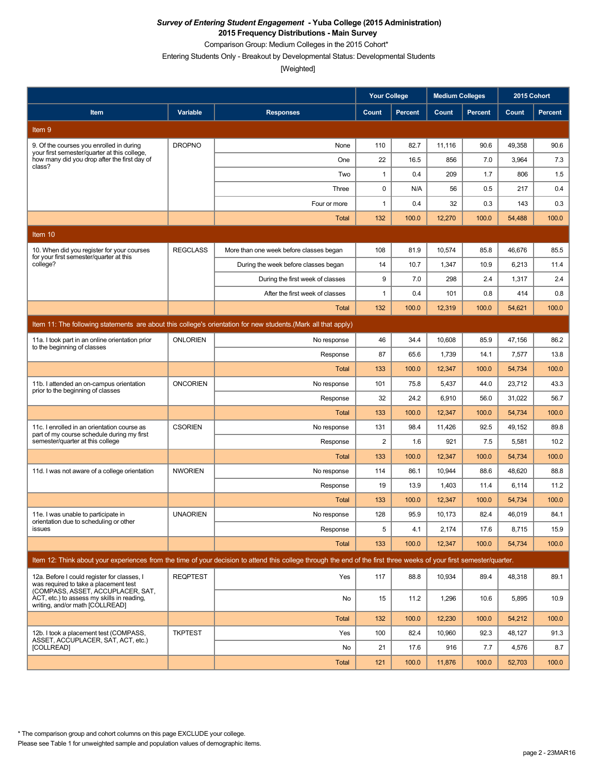Comparison Group: Medium Colleges in the 2015 Cohort\*

Entering Students Only - Breakout by Developmental Status: Developmental Students

[Weighted]

|                                                                                                                           |                 |                                                                                                                                                                      | <b>Your College</b> |                | <b>Medium Colleges</b> |                | 2015 Cohort |         |
|---------------------------------------------------------------------------------------------------------------------------|-----------------|----------------------------------------------------------------------------------------------------------------------------------------------------------------------|---------------------|----------------|------------------------|----------------|-------------|---------|
| Item                                                                                                                      | Variable        | <b>Responses</b>                                                                                                                                                     | Count               | <b>Percent</b> | Count                  | <b>Percent</b> | Count       | Percent |
| Item <sub>9</sub>                                                                                                         |                 |                                                                                                                                                                      |                     |                |                        |                |             |         |
| 9. Of the courses you enrolled in during                                                                                  | <b>DROPNO</b>   | None                                                                                                                                                                 | 110                 | 82.7           | 11,116                 | 90.6           | 49,358      | 90.6    |
| your first semester/quarter at this college,<br>how many did you drop after the first day of<br>class?                    |                 | One                                                                                                                                                                  | 22                  | 16.5           | 856                    | 7.0            | 3,964       | 7.3     |
|                                                                                                                           |                 | Two                                                                                                                                                                  | 1                   | 0.4            | 209                    | 1.7            | 806         | 1.5     |
|                                                                                                                           |                 | Three                                                                                                                                                                | 0                   | N/A            | 56                     | 0.5            | 217         | 0.4     |
|                                                                                                                           |                 | Four or more                                                                                                                                                         | $\mathbf{1}$        | 0.4            | 32                     | 0.3            | 143         | 0.3     |
|                                                                                                                           |                 | Total                                                                                                                                                                | 132                 | 100.0          | 12,270                 | 100.0          | 54,488      | 100.0   |
| Item 10                                                                                                                   |                 |                                                                                                                                                                      |                     |                |                        |                |             |         |
| 10. When did you register for your courses<br>for your first semester/quarter at this                                     | <b>REGCLASS</b> | More than one week before classes began                                                                                                                              | 108                 | 81.9           | 10,574                 | 85.8           | 46,676      | 85.5    |
| college?                                                                                                                  |                 | During the week before classes began                                                                                                                                 | 14                  | 10.7           | 1,347                  | 10.9           | 6,213       | 11.4    |
|                                                                                                                           |                 | During the first week of classes                                                                                                                                     | 9                   | 7.0            | 298                    | 2.4            | 1,317       | 2.4     |
|                                                                                                                           |                 | After the first week of classes                                                                                                                                      | 1                   | 0.4            | 101                    | 0.8            | 414         | 0.8     |
|                                                                                                                           |                 | Total                                                                                                                                                                | 132                 | 100.0          | 12,319                 | 100.0          | 54,621      | 100.0   |
|                                                                                                                           |                 | Item 11: The following statements are about this college's orientation for new students. (Mark all that apply)                                                       |                     |                |                        |                |             |         |
| 11a. I took part in an online orientation prior<br>to the beginning of classes                                            | <b>ONLORIEN</b> | No response                                                                                                                                                          | 46                  | 34.4           | 10,608                 | 85.9           | 47,156      | 86.2    |
|                                                                                                                           |                 | Response                                                                                                                                                             | 87                  | 65.6           | 1,739                  | 14.1           | 7,577       | 13.8    |
|                                                                                                                           |                 | <b>Total</b>                                                                                                                                                         | 133                 | 100.0          | 12,347                 | 100.0          | 54,734      | 100.0   |
| 11b. I attended an on-campus orientation<br>prior to the beginning of classes                                             | <b>ONCORIEN</b> | No response                                                                                                                                                          | 101                 | 75.8           | 5,437                  | 44.0           | 23,712      | 43.3    |
|                                                                                                                           |                 | Response                                                                                                                                                             | 32                  | 24.2           | 6,910                  | 56.0           | 31,022      | 56.7    |
|                                                                                                                           |                 | <b>Total</b>                                                                                                                                                         | 133                 | 100.0          | 12,347                 | 100.0          | 54,734      | 100.0   |
| 11c. I enrolled in an orientation course as<br>part of my course schedule during my first                                 | <b>CSORIEN</b>  | No response                                                                                                                                                          | 131                 | 98.4           | 11,426                 | 92.5           | 49,152      | 89.8    |
| semester/quarter at this college                                                                                          |                 | Response                                                                                                                                                             | 2                   | 1.6            | 921                    | 7.5            | 5,581       | 10.2    |
|                                                                                                                           |                 | Total                                                                                                                                                                | 133                 | 100.0          | 12,347                 | 100.0          | 54,734      | 100.0   |
| 11d. I was not aware of a college orientation                                                                             | <b>NWORIEN</b>  | No response                                                                                                                                                          | 114                 | 86.1           | 10,944                 | 88.6           | 48,620      | 88.8    |
|                                                                                                                           |                 | Response                                                                                                                                                             | 19                  | 13.9           | 1,403                  | 11.4           | 6,114       | 11.2    |
|                                                                                                                           |                 | Total                                                                                                                                                                | 133                 | 100.0          | 12,347                 | 100.0          | 54,734      | 100.0   |
| 11e. I was unable to participate in<br>orientation due to scheduling or other                                             | <b>UNAORIEN</b> | No response                                                                                                                                                          | 128                 | 95.9           | 10,173                 | 82.4           | 46,019      | 84.1    |
| issues                                                                                                                    |                 | Response                                                                                                                                                             | 5                   | 4.1            | 2,174                  | 17.6           | 8,715       | 15.9    |
|                                                                                                                           |                 | Total                                                                                                                                                                | 133                 | 100.0          | 12,347                 | 100.0          | 54,734      | 100.0   |
|                                                                                                                           |                 | Item 12: Think about your experiences from the time of your decision to attend this college through the end of the first three weeks of your first semester/quarter. |                     |                |                        |                |             |         |
| 12a. Before I could register for classes, I<br>was required to take a placement test<br>(COMPASS, ASSET, ACCUPLACER, SAT, | <b>REQPTEST</b> | Yes                                                                                                                                                                  | 117                 | 88.8           | 10,934                 | 89.4           | 48,318      | 89.1    |
| ACT, etc.) to assess my skills in reading,<br>writing, and/or math [COLLREAD]                                             |                 | No                                                                                                                                                                   | 15                  | 11.2           | 1,296                  | 10.6           | 5,895       | 10.9    |
|                                                                                                                           |                 | <b>Total</b>                                                                                                                                                         | 132                 | 100.0          | 12,230                 | 100.0          | 54,212      | 100.0   |
| 12b. I took a placement test (COMPASS,<br>ASSET, ACCUPLACER, SAT, ACT, etc.)                                              | <b>TKPTEST</b>  | Yes                                                                                                                                                                  | 100                 | 82.4           | 10,960                 | 92.3           | 48.127      | 91.3    |
| <b>ICOLLREAD1</b>                                                                                                         |                 | No                                                                                                                                                                   | 21                  | 17.6           | 916                    | 7.7            | 4,576       | 8.7     |
|                                                                                                                           |                 | Total                                                                                                                                                                | 121                 | 100.0          | 11,876                 | 100.0          | 52,703      | 100.0   |

\* The comparison group and cohort columns on this page EXCLUDE your college.

Please see Table 1 for unweighted sample and population values of demographic items.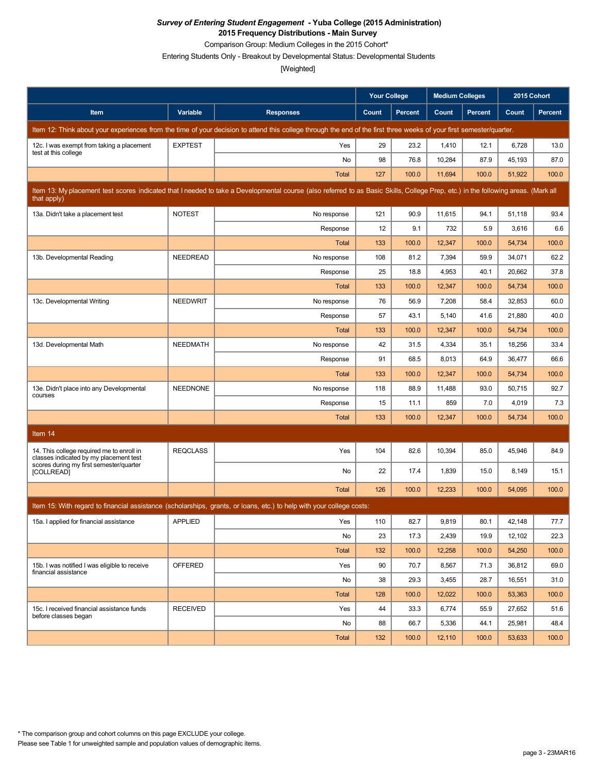Comparison Group: Medium Colleges in the 2015 Cohort\*

Entering Students Only - Breakout by Developmental Status: Developmental Students

|                                                                                     |                 |                                                                                                                                                                                   | <b>Your College</b> |                | <b>Medium Colleges</b> |                | 2015 Cohort |                |
|-------------------------------------------------------------------------------------|-----------------|-----------------------------------------------------------------------------------------------------------------------------------------------------------------------------------|---------------------|----------------|------------------------|----------------|-------------|----------------|
| Item                                                                                | Variable        | <b>Responses</b>                                                                                                                                                                  | Count               | <b>Percent</b> | Count                  | <b>Percent</b> | Count       | <b>Percent</b> |
|                                                                                     |                 | Item 12: Think about your experiences from the time of your decision to attend this college through the end of the first three weeks of your first semester/quarter.              |                     |                |                        |                |             |                |
| 12c. I was exempt from taking a placement<br>test at this college                   | <b>EXPTEST</b>  | Yes                                                                                                                                                                               | 29                  | 23.2           | 1,410                  | 12.1           | 6,728       | 13.0           |
|                                                                                     |                 | No                                                                                                                                                                                | 98                  | 76.8           | 10,284                 | 87.9           | 45,193      | 87.0           |
|                                                                                     |                 | <b>Total</b>                                                                                                                                                                      | 127                 | 100.0          | 11,694                 | 100.0          | 51,922      | 100.0          |
| that apply)                                                                         |                 | Item 13: My placement test scores indicated that I needed to take a Developmental course (also referred to as Basic Skills, College Prep, etc.) in the following areas. (Mark all |                     |                |                        |                |             |                |
| 13a. Didn't take a placement test                                                   | <b>NOTEST</b>   | No response                                                                                                                                                                       | 121                 | 90.9           | 11,615                 | 94.1           | 51,118      | 93.4           |
|                                                                                     |                 | Response                                                                                                                                                                          | 12                  | 9.1            | 732                    | 5.9            | 3,616       | 6.6            |
|                                                                                     |                 | Total                                                                                                                                                                             | 133                 | 100.0          | 12,347                 | 100.0          | 54,734      | 100.0          |
| 13b. Developmental Reading                                                          | <b>NEEDREAD</b> | No response                                                                                                                                                                       | 108                 | 81.2           | 7,394                  | 59.9           | 34,071      | 62.2           |
|                                                                                     |                 | Response                                                                                                                                                                          | 25                  | 18.8           | 4,953                  | 40.1           | 20,662      | 37.8           |
|                                                                                     |                 | Total                                                                                                                                                                             | 133                 | 100.0          | 12,347                 | 100.0          | 54,734      | 100.0          |
| 13c. Developmental Writing                                                          | <b>NEEDWRIT</b> | No response                                                                                                                                                                       | 76                  | 56.9           | 7,208                  | 58.4           | 32,853      | 60.0           |
|                                                                                     |                 | Response                                                                                                                                                                          | 57                  | 43.1           | 5,140                  | 41.6           | 21,880      | 40.0           |
|                                                                                     |                 | <b>Total</b>                                                                                                                                                                      | 133                 | 100.0          | 12,347                 | 100.0          | 54,734      | 100.0          |
| 13d. Developmental Math                                                             | <b>NEEDMATH</b> | No response                                                                                                                                                                       | 42                  | 31.5           | 4,334                  | 35.1           | 18,256      | 33.4           |
|                                                                                     |                 | Response                                                                                                                                                                          | 91                  | 68.5           | 8,013                  | 64.9           | 36,477      | 66.6           |
|                                                                                     |                 | Total                                                                                                                                                                             | 133                 | 100.0          | 12,347                 | 100.0          | 54,734      | 100.0          |
| 13e. Didn't place into any Developmental                                            | <b>NEEDNONE</b> | No response                                                                                                                                                                       | 118                 | 88.9           | 11,488                 | 93.0           | 50,715      | 92.7           |
| courses                                                                             |                 | Response                                                                                                                                                                          | 15                  | 11.1           | 859                    | 7.0            | 4,019       | 7.3            |
|                                                                                     |                 | <b>Total</b>                                                                                                                                                                      | 133                 | 100.0          | 12,347                 | 100.0          | 54,734      | 100.0          |
| Item 14                                                                             |                 |                                                                                                                                                                                   |                     |                |                        |                |             |                |
| 14. This college required me to enroll in<br>classes indicated by my placement test | <b>REQCLASS</b> | Yes                                                                                                                                                                               | 104                 | 82.6           | 10,394                 | 85.0           | 45,946      | 84.9           |
| scores during my first semester/quarter<br>[COLLREAD]                               |                 | No                                                                                                                                                                                | 22                  | 17.4           | 1,839                  | 15.0           | 8,149       | 15.1           |
|                                                                                     |                 | Total                                                                                                                                                                             | 126                 | 100.0          | 12,233                 | 100.0          | 54,095      | 100.0          |
|                                                                                     |                 | Item 15: With regard to financial assistance (scholarships, grants, or loans, etc.) to help with your college costs:                                                              |                     |                |                        |                |             |                |
| 15a. I applied for financial assistance                                             | <b>APPLIED</b>  | Yes                                                                                                                                                                               | 110                 | 82.7           | 9,819                  | 80.1           | 42,148      | 77.7           |
|                                                                                     |                 | No                                                                                                                                                                                | 23                  | 17.3           | 2,439                  | 19.9           | 12,102      | 22.3           |
|                                                                                     |                 | <b>Total</b>                                                                                                                                                                      | 132                 | 100.0          | 12,258                 | 100.0          | 54,250      | 100.0          |
| 15b. I was notified I was eligible to receive                                       | <b>OFFERED</b>  | Yes                                                                                                                                                                               | 90                  | 70.7           | 8,567                  | 71.3           | 36,812      | 69.0           |
| financial assistance                                                                |                 | No                                                                                                                                                                                | 38                  | 29.3           | 3,455                  | 28.7           | 16,551      | 31.0           |
|                                                                                     |                 | <b>Total</b>                                                                                                                                                                      | 128                 | 100.0          | 12,022                 | 100.0          | 53,363      | 100.0          |
| 15c. I received financial assistance funds                                          | <b>RECEIVED</b> | Yes                                                                                                                                                                               | 44                  | 33.3           | 6,774                  | 55.9           | 27,652      | 51.6           |
| before classes began                                                                |                 | No                                                                                                                                                                                | 88                  | 66.7           | 5,336                  | 44.1           | 25,981      | 48.4           |
|                                                                                     |                 | Total                                                                                                                                                                             | 132                 | 100.0          | 12,110                 | 100.0          | 53,633      | 100.0          |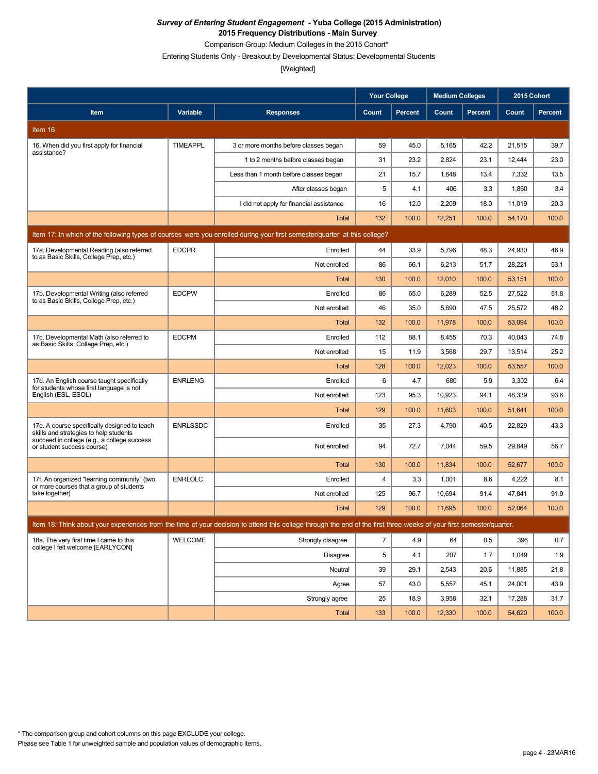Comparison Group: Medium Colleges in the 2015 Cohort\*

Entering Students Only - Breakout by Developmental Status: Developmental Students

|                                                                                                                           |                 |                                                                                                                                                                      | <b>Your College</b> |                | <b>Medium Colleges</b> |                | 2015 Cohort |                |  |
|---------------------------------------------------------------------------------------------------------------------------|-----------------|----------------------------------------------------------------------------------------------------------------------------------------------------------------------|---------------------|----------------|------------------------|----------------|-------------|----------------|--|
| Item                                                                                                                      | Variable        | <b>Responses</b>                                                                                                                                                     | Count               | <b>Percent</b> | Count                  | <b>Percent</b> | Count       | <b>Percent</b> |  |
| Item 16                                                                                                                   |                 |                                                                                                                                                                      |                     |                |                        |                |             |                |  |
| 16. When did you first apply for financial                                                                                | <b>TIMEAPPL</b> | 3 or more months before classes began                                                                                                                                | 59                  | 45.0           | 5,165                  | 42.2           | 21,515      | 39.7           |  |
| assistance?                                                                                                               |                 | 1 to 2 months before classes began                                                                                                                                   | 31                  | 23.2           | 2,824                  | 23.1           | 12,444      | 23.0           |  |
|                                                                                                                           |                 | Less than 1 month before classes began                                                                                                                               | 21                  | 15.7           | 1,648                  | 13.4           | 7,332       | 13.5           |  |
|                                                                                                                           |                 | After classes began                                                                                                                                                  | 5                   | 4.1            | 406                    | 3.3            | 1,860       | 3.4            |  |
|                                                                                                                           |                 | I did not apply for financial assistance                                                                                                                             | 16                  | 12.0           | 2,209                  | 18.0           | 11,019      | 20.3           |  |
|                                                                                                                           |                 | <b>Total</b>                                                                                                                                                         | 132                 | 100.0          | 12,251                 | 100.0          | 54,170      | 100.0          |  |
| Item 17: In which of the following types of courses were you enrolled during your first semester/quarter at this college? |                 |                                                                                                                                                                      |                     |                |                        |                |             |                |  |
| 17a. Developmental Reading (also referred<br>to as Basic Skills, College Prep, etc.)                                      | <b>EDCPR</b>    | Enrolled                                                                                                                                                             | 44                  | 33.9           | 5,796                  | 48.3           | 24,930      | 46.9           |  |
|                                                                                                                           |                 | Not enrolled                                                                                                                                                         | 86                  | 66.1           | 6,213                  | 51.7           | 28,221      | 53.1           |  |
|                                                                                                                           |                 | Total                                                                                                                                                                | 130                 | 100.0          | 12,010                 | 100.0          | 53,151      | 100.0          |  |
| 17b. Developmental Writing (also referred<br>to as Basic Skills, College Prep, etc.)                                      | <b>EDCPW</b>    | Enrolled                                                                                                                                                             | 86                  | 65.0           | 6,289                  | 52.5           | 27,522      | 51.8           |  |
|                                                                                                                           |                 | Not enrolled                                                                                                                                                         | 46                  | 35.0           | 5,690                  | 47.5           | 25,572      | 48.2           |  |
|                                                                                                                           |                 | <b>Total</b>                                                                                                                                                         | 132                 | 100.0          | 11,978                 | 100.0          | 53,094      | 100.0          |  |
| 17c. Developmental Math (also referred to<br>as Basic Skills, College Prep, etc.)                                         | <b>EDCPM</b>    | Enrolled                                                                                                                                                             | 112                 | 88.1           | 8,455                  | 70.3           | 40,043      | 74.8           |  |
|                                                                                                                           |                 | Not enrolled                                                                                                                                                         | 15                  | 11.9           | 3,568                  | 29.7           | 13,514      | 25.2           |  |
|                                                                                                                           |                 | Total                                                                                                                                                                | 128                 | 100.0          | 12,023                 | 100.0          | 53,557      | 100.0          |  |
| 17d. An English course taught specifically<br>for students whose first language is not                                    | <b>ENRLENG</b>  | Enrolled                                                                                                                                                             | 6                   | 4.7            | 680                    | 5.9            | 3,302       | 6.4            |  |
| English (ESL, ESOL)                                                                                                       |                 | Not enrolled                                                                                                                                                         | 123                 | 95.3           | 10,923                 | 94.1           | 48,339      | 93.6           |  |
|                                                                                                                           |                 | Total                                                                                                                                                                | 129                 | 100.0          | 11,603                 | 100.0          | 51,641      | 100.0          |  |
| 17e. A course specifically designed to teach<br>skills and strategies to help students                                    | <b>ENRLSSDC</b> | Enrolled                                                                                                                                                             | 35                  | 27.3           | 4,790                  | 40.5           | 22,829      | 43.3           |  |
| succeed in college (e.g., a college success<br>or student success course)                                                 |                 | Not enrolled                                                                                                                                                         | 94                  | 72.7           | 7,044                  | 59.5           | 29,849      | 56.7           |  |
|                                                                                                                           |                 | <b>Total</b>                                                                                                                                                         | 130                 | 100.0          | 11,834                 | 100.0          | 52,677      | 100.0          |  |
| 17f. An organized "learning community" (two<br>or more courses that a group of students                                   | <b>ENRLOLC</b>  | Enrolled                                                                                                                                                             | 4                   | 3.3            | 1,001                  | 8.6            | 4,222       | 8.1            |  |
| take together)                                                                                                            |                 | Not enrolled                                                                                                                                                         | 125                 | 96.7           | 10,694                 | 91.4           | 47,841      | 91.9           |  |
|                                                                                                                           |                 | <b>Total</b>                                                                                                                                                         | 129                 | 100.0          | 11,695                 | 100.0          | 52,064      | 100.0          |  |
|                                                                                                                           |                 | Item 18: Think about your experiences from the time of your decision to attend this college through the end of the first three weeks of your first semester/quarter. |                     |                |                        |                |             |                |  |
| 18a. The very first time I came to this<br>college I felt welcome [EARLYCON]                                              | WELCOME         | Strongly disagree                                                                                                                                                    | $\overline{7}$      | 4.9            | 64                     | 0.5            | 396         | 0.7            |  |
|                                                                                                                           |                 | <b>Disagree</b>                                                                                                                                                      | 5                   | 4.1            | 207                    | 1.7            | 1,049       | 1.9            |  |
|                                                                                                                           |                 | Neutral                                                                                                                                                              | 39                  | 29.1           | 2,543                  | 20.6           | 11,885      | 21.8           |  |
|                                                                                                                           |                 | Agree                                                                                                                                                                | 57                  | 43.0           | 5,557                  | 45.1           | 24,001      | 43.9           |  |
|                                                                                                                           |                 | Strongly agree                                                                                                                                                       | 25                  | 18.9           | 3,958                  | 32.1           | 17,288      | 31.7           |  |
|                                                                                                                           |                 | <b>Total</b>                                                                                                                                                         | 133                 | 100.0          | 12,330                 | 100.0          | 54,620      | 100.0          |  |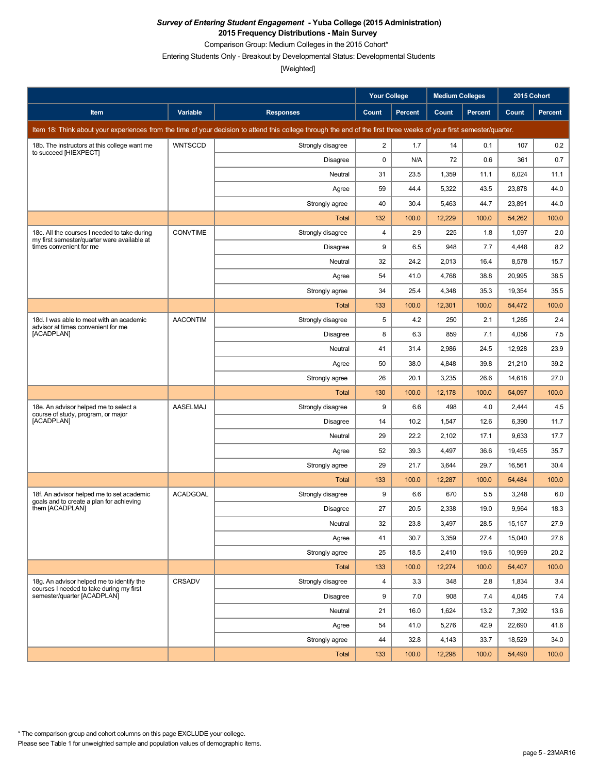Comparison Group: Medium Colleges in the 2015 Cohort\*

Entering Students Only - Breakout by Developmental Status: Developmental Students

|                                                                                             |                 |                                                                                                                                                                      | <b>Your College</b>     |                | <b>Medium Colleges</b> |                | 2015 Cohort |         |
|---------------------------------------------------------------------------------------------|-----------------|----------------------------------------------------------------------------------------------------------------------------------------------------------------------|-------------------------|----------------|------------------------|----------------|-------------|---------|
| Item                                                                                        | Variable        | <b>Responses</b>                                                                                                                                                     | Count                   | <b>Percent</b> | Count                  | <b>Percent</b> | Count       | Percent |
|                                                                                             |                 | Item 18: Think about your experiences from the time of your decision to attend this college through the end of the first three weeks of your first semester/quarter. |                         |                |                        |                |             |         |
| 18b. The instructors at this college want me                                                | <b>WNTSCCD</b>  | Strongly disagree                                                                                                                                                    | $\overline{\mathbf{c}}$ | 1.7            | 14                     | 0.1            | 107         | 0.2     |
| to succeed [HIEXPECT]                                                                       |                 | Disagree                                                                                                                                                             | 0                       | N/A            | 72                     | 0.6            | 361         | 0.7     |
|                                                                                             |                 | Neutral                                                                                                                                                              | 31                      | 23.5           | 1,359                  | 11.1           | 6,024       | 11.1    |
|                                                                                             |                 | Agree                                                                                                                                                                | 59                      | 44.4           | 5,322                  | 43.5           | 23,878      | 44.0    |
|                                                                                             |                 | Strongly agree                                                                                                                                                       | 40                      | 30.4           | 5,463                  | 44.7           | 23,891      | 44.0    |
|                                                                                             |                 | <b>Total</b>                                                                                                                                                         | 132                     | 100.0          | 12,229                 | 100.0          | 54,262      | 100.0   |
| 18c. All the courses I needed to take during<br>my first semester/quarter were available at | <b>CONVTIME</b> | Strongly disagree                                                                                                                                                    | $\overline{4}$          | 2.9            | 225                    | 1.8            | 1,097       | 2.0     |
| times convenient for me                                                                     |                 | <b>Disagree</b>                                                                                                                                                      | 9                       | 6.5            | 948                    | 7.7            | 4,448       | 8.2     |
|                                                                                             |                 | Neutral                                                                                                                                                              | 32                      | 24.2           | 2,013                  | 16.4           | 8,578       | 15.7    |
|                                                                                             |                 | Agree                                                                                                                                                                | 54                      | 41.0           | 4,768                  | 38.8           | 20,995      | 38.5    |
|                                                                                             |                 | Strongly agree                                                                                                                                                       | 34                      | 25.4           | 4,348                  | 35.3           | 19,354      | 35.5    |
|                                                                                             |                 | Total                                                                                                                                                                | 133                     | 100.0          | 12,301                 | 100.0          | 54,472      | 100.0   |
| 18d. I was able to meet with an academic<br>advisor at times convenient for me              | <b>AACONTIM</b> | Strongly disagree                                                                                                                                                    | 5                       | 4.2            | 250                    | 2.1            | 1,285       | 2.4     |
| [ACADPLAN]                                                                                  |                 | <b>Disagree</b>                                                                                                                                                      | 8                       | 6.3            | 859                    | 7.1            | 4,056       | 7.5     |
|                                                                                             |                 | Neutral                                                                                                                                                              | 41                      | 31.4           | 2,986                  | 24.5           | 12,928      | 23.9    |
|                                                                                             |                 | Agree                                                                                                                                                                | 50                      | 38.0           | 4,848                  | 39.8           | 21,210      | 39.2    |
|                                                                                             |                 | Strongly agree                                                                                                                                                       | 26                      | 20.1           | 3,235                  | 26.6           | 14,618      | 27.0    |
|                                                                                             |                 | <b>Total</b>                                                                                                                                                         | 130                     | 100.0          | 12,178                 | 100.0          | 54,097      | 100.0   |
| 18e. An advisor helped me to select a<br>course of study, program, or major                 | AASELMAJ        | Strongly disagree                                                                                                                                                    | 9                       | 6.6            | 498                    | 4.0            | 2,444       | 4.5     |
| [ACADPLAN]                                                                                  |                 | <b>Disagree</b>                                                                                                                                                      | 14                      | 10.2           | 1,547                  | 12.6           | 6,390       | 11.7    |
|                                                                                             |                 | Neutral                                                                                                                                                              | 29                      | 22.2           | 2,102                  | 17.1           | 9,633       | 17.7    |
|                                                                                             |                 | Agree                                                                                                                                                                | 52                      | 39.3           | 4,497                  | 36.6           | 19,455      | 35.7    |
|                                                                                             |                 | Strongly agree                                                                                                                                                       | 29                      | 21.7           | 3,644                  | 29.7           | 16,561      | 30.4    |
|                                                                                             |                 | Total                                                                                                                                                                | 133                     | 100.0          | 12,287                 | 100.0          | 54,484      | 100.0   |
| 18f. An advisor helped me to set academic<br>goals and to create a plan for achieving       | <b>ACADGOAL</b> | Strongly disagree                                                                                                                                                    | 9                       | 6.6            | 670                    | 5.5            | 3,248       | 6.0     |
| them [ACADPLAN]                                                                             |                 | Disagree                                                                                                                                                             | 27                      | 20.5           | 2,338                  | 19.0           | 9,964       | 18.3    |
|                                                                                             |                 | Neutral                                                                                                                                                              | 32                      | 23.8           | 3,497                  | 28.5           | 15,157      | 27.9    |
|                                                                                             |                 | Agree                                                                                                                                                                | 41                      | 30.7           | 3,359                  | 27.4           | 15,040      | 27.6    |
|                                                                                             |                 | Strongly agree                                                                                                                                                       | 25                      | 18.5           | 2,410                  | 19.6           | 10,999      | 20.2    |
|                                                                                             |                 | Total                                                                                                                                                                | 133                     | 100.0          | 12,274                 | 100.0          | 54,407      | 100.0   |
| 18g. An advisor helped me to identify the<br>courses I needed to take during my first       | CRSADV          | Strongly disagree                                                                                                                                                    | 4                       | 3.3            | 348                    | 2.8            | 1,834       | 3.4     |
| semester/quarter [ACADPLAN]                                                                 |                 | <b>Disagree</b>                                                                                                                                                      | 9                       | 7.0            | 908                    | 7.4            | 4,045       | 7.4     |
|                                                                                             |                 | Neutral                                                                                                                                                              | 21                      | 16.0           | 1,624                  | 13.2           | 7,392       | 13.6    |
|                                                                                             |                 | Agree                                                                                                                                                                | 54                      | 41.0           | 5,276                  | 42.9           | 22,690      | 41.6    |
|                                                                                             |                 | Strongly agree                                                                                                                                                       | 44                      | 32.8           | 4,143                  | 33.7           | 18,529      | 34.0    |
|                                                                                             |                 | Total                                                                                                                                                                | 133                     | 100.0          | 12,298                 | 100.0          | 54,490      | 100.0   |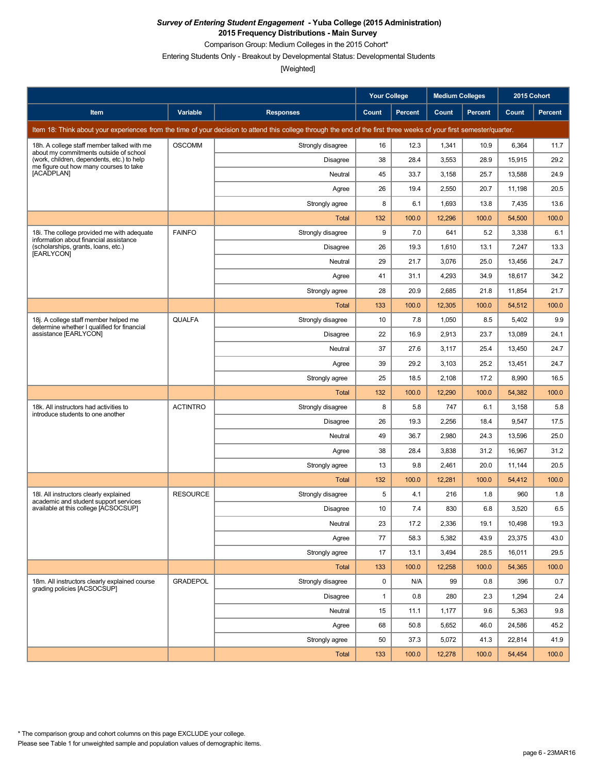Comparison Group: Medium Colleges in the 2015 Cohort\*

Entering Students Only - Breakout by Developmental Status: Developmental Students

|                                                                                      |                 |                                                                                                                                                                      | <b>Your College</b> |                | <b>Medium Colleges</b> |         | 2015 Cohort |         |
|--------------------------------------------------------------------------------------|-----------------|----------------------------------------------------------------------------------------------------------------------------------------------------------------------|---------------------|----------------|------------------------|---------|-------------|---------|
| Item                                                                                 | Variable        | <b>Responses</b>                                                                                                                                                     | Count               | <b>Percent</b> | Count                  | Percent | Count       | Percent |
|                                                                                      |                 | Item 18: Think about your experiences from the time of your decision to attend this college through the end of the first three weeks of your first semester/quarter. |                     |                |                        |         |             |         |
| 18h. A college staff member talked with me<br>about my commitments outside of school | <b>OSCOMM</b>   | Strongly disagree                                                                                                                                                    | 16                  | 12.3           | 1,341                  | 10.9    | 6,364       | 11.7    |
| (work, children, dependents, etc.) to help<br>me figure out how many courses to take |                 | Disagree                                                                                                                                                             | 38                  | 28.4           | 3,553                  | 28.9    | 15,915      | 29.2    |
| [ACADPLAN]                                                                           |                 | Neutral                                                                                                                                                              | 45                  | 33.7           | 3,158                  | 25.7    | 13,588      | 24.9    |
|                                                                                      |                 | Agree                                                                                                                                                                | 26                  | 19.4           | 2,550                  | 20.7    | 11,198      | 20.5    |
|                                                                                      |                 | Strongly agree                                                                                                                                                       | 8                   | 6.1            | 1,693                  | 13.8    | 7,435       | 13.6    |
|                                                                                      |                 | Total                                                                                                                                                                | 132                 | 100.0          | 12,296                 | 100.0   | 54,500      | 100.0   |
| 18i. The college provided me with adequate<br>information about financial assistance | <b>FAINFO</b>   | Strongly disagree                                                                                                                                                    | 9                   | 7.0            | 641                    | 5.2     | 3,338       | 6.1     |
| (scholarships, grants, loans, etc.)<br>[EARLYCON]                                    |                 | Disagree                                                                                                                                                             | 26                  | 19.3           | 1,610                  | 13.1    | 7,247       | 13.3    |
|                                                                                      |                 | Neutral                                                                                                                                                              | 29                  | 21.7           | 3,076                  | 25.0    | 13,456      | 24.7    |
|                                                                                      |                 | Agree                                                                                                                                                                | 41                  | 31.1           | 4,293                  | 34.9    | 18,617      | 34.2    |
|                                                                                      |                 | Strongly agree                                                                                                                                                       | 28                  | 20.9           | 2,685                  | 21.8    | 11,854      | 21.7    |
|                                                                                      |                 | Total                                                                                                                                                                | 133                 | 100.0          | 12,305                 | 100.0   | 54,512      | 100.0   |
| 18j. A college staff member helped me<br>determine whether I qualified for financial | <b>QUALFA</b>   | Strongly disagree                                                                                                                                                    | 10                  | 7.8            | 1,050                  | 8.5     | 5,402       | 9.9     |
| assistance [EARLYCON]                                                                |                 | <b>Disagree</b>                                                                                                                                                      | 22                  | 16.9           | 2,913                  | 23.7    | 13,089      | 24.1    |
|                                                                                      |                 | Neutral                                                                                                                                                              | 37                  | 27.6           | 3,117                  | 25.4    | 13,450      | 24.7    |
|                                                                                      |                 | Agree                                                                                                                                                                | 39                  | 29.2           | 3,103                  | 25.2    | 13,451      | 24.7    |
|                                                                                      |                 | Strongly agree                                                                                                                                                       | 25                  | 18.5           | 2,108                  | 17.2    | 8,990       | 16.5    |
|                                                                                      |                 | Total                                                                                                                                                                | 132                 | 100.0          | 12,290                 | 100.0   | 54,382      | 100.0   |
| 18k. All instructors had activities to<br>introduce students to one another          | <b>ACTINTRO</b> | Strongly disagree                                                                                                                                                    | 8                   | 5.8            | 747                    | 6.1     | 3,158       | 5.8     |
|                                                                                      |                 | Disagree                                                                                                                                                             | 26                  | 19.3           | 2,256                  | 18.4    | 9,547       | 17.5    |
|                                                                                      |                 | Neutral                                                                                                                                                              | 49                  | 36.7           | 2,980                  | 24.3    | 13,596      | 25.0    |
|                                                                                      |                 | Agree                                                                                                                                                                | 38                  | 28.4           | 3,838                  | 31.2    | 16,967      | 31.2    |
|                                                                                      |                 | Strongly agree                                                                                                                                                       | 13                  | 9.8            | 2,461                  | 20.0    | 11,144      | 20.5    |
|                                                                                      |                 | Total                                                                                                                                                                | 132                 | 100.0          | 12,281                 | 100.0   | 54,412      | 100.0   |
| 18I. All instructors clearly explained<br>academic and student support services      | <b>RESOURCE</b> | Strongly disagree                                                                                                                                                    | 5                   | 4.1            | 216                    | 1.8     | 960         | 1.8     |
| available at this college [ACSOCSUP]                                                 |                 | Disagree                                                                                                                                                             | 10                  | 7.4            | 830                    | 6.8     | 3,520       | 6.5     |
|                                                                                      |                 | Neutral                                                                                                                                                              | 23                  | 17.2           | 2,336                  | 19.1    | 10,498      | 19.3    |
|                                                                                      |                 | Agree                                                                                                                                                                | 77                  | 58.3           | 5,382                  | 43.9    | 23,375      | 43.0    |
|                                                                                      |                 | Strongly agree                                                                                                                                                       | 17                  | 13.1           | 3,494                  | 28.5    | 16,011      | 29.5    |
|                                                                                      |                 | Total                                                                                                                                                                | 133                 | 100.0          | 12,258                 | 100.0   | 54,365      | 100.0   |
| 18m. All instructors clearly explained course<br>grading policies [ACSOCSUP]         | <b>GRADEPOL</b> | Strongly disagree                                                                                                                                                    | 0                   | N/A            | 99                     | 0.8     | 396         | 0.7     |
|                                                                                      |                 | Disagree                                                                                                                                                             | 1                   | 0.8            | 280                    | 2.3     | 1,294       | 2.4     |
|                                                                                      |                 | Neutral                                                                                                                                                              | 15                  | 11.1           | 1,177                  | 9.6     | 5,363       | 9.8     |
|                                                                                      |                 | Agree                                                                                                                                                                | 68                  | 50.8           | 5,652                  | 46.0    | 24,586      | 45.2    |
|                                                                                      |                 | Strongly agree                                                                                                                                                       | 50                  | 37.3           | 5,072                  | 41.3    | 22,814      | 41.9    |
|                                                                                      |                 | Total                                                                                                                                                                | 133                 | 100.0          | 12,278                 | 100.0   | 54,454      | 100.0   |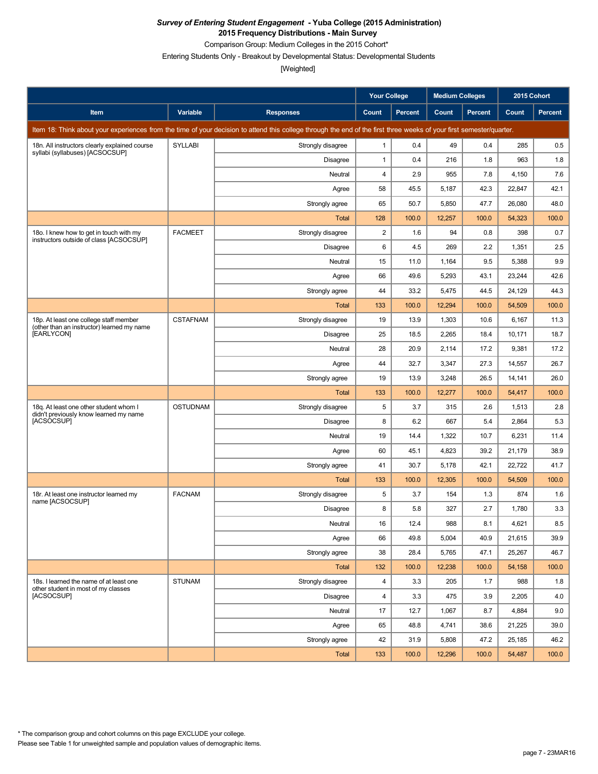Comparison Group: Medium Colleges in the 2015 Cohort\*

Entering Students Only - Breakout by Developmental Status: Developmental Students

|                                                                                      |                 |                                                                                                                                                                      | <b>Your College</b>     |                | <b>Medium Colleges</b> |                | 2015 Cohort |         |
|--------------------------------------------------------------------------------------|-----------------|----------------------------------------------------------------------------------------------------------------------------------------------------------------------|-------------------------|----------------|------------------------|----------------|-------------|---------|
| Item                                                                                 | Variable        | <b>Responses</b>                                                                                                                                                     | Count                   | <b>Percent</b> | Count                  | <b>Percent</b> | Count       | Percent |
|                                                                                      |                 | Item 18: Think about your experiences from the time of your decision to attend this college through the end of the first three weeks of your first semester/quarter. |                         |                |                        |                |             |         |
| 18n. All instructors clearly explained course<br>syllabi (syllabuses) [ACSOCSUP]     | <b>SYLLABI</b>  | Strongly disagree                                                                                                                                                    | 1                       | 0.4            | 49                     | 0.4            | 285         | 0.5     |
|                                                                                      |                 | Disagree                                                                                                                                                             | 1                       | 0.4            | 216                    | 1.8            | 963         | 1.8     |
|                                                                                      |                 | Neutral                                                                                                                                                              | 4                       | 2.9            | 955                    | 7.8            | 4,150       | 7.6     |
|                                                                                      |                 | Agree                                                                                                                                                                | 58                      | 45.5           | 5,187                  | 42.3           | 22,847      | 42.1    |
|                                                                                      |                 | Strongly agree                                                                                                                                                       | 65                      | 50.7           | 5,850                  | 47.7           | 26,080      | 48.0    |
|                                                                                      |                 | <b>Total</b>                                                                                                                                                         | 128                     | 100.0          | 12,257                 | 100.0          | 54,323      | 100.0   |
| 18o. I knew how to get in touch with my<br>instructors outside of class [ACSOCSUP]   | <b>FACMEET</b>  | Strongly disagree                                                                                                                                                    | $\overline{\mathbf{c}}$ | 1.6            | 94                     | 0.8            | 398         | 0.7     |
|                                                                                      |                 | <b>Disagree</b>                                                                                                                                                      | 6                       | 4.5            | 269                    | 2.2            | 1,351       | 2.5     |
|                                                                                      |                 | Neutral                                                                                                                                                              | 15                      | 11.0           | 1,164                  | 9.5            | 5,388       | 9.9     |
|                                                                                      |                 | Agree                                                                                                                                                                | 66                      | 49.6           | 5,293                  | 43.1           | 23,244      | 42.6    |
|                                                                                      |                 | Strongly agree                                                                                                                                                       | 44                      | 33.2           | 5,475                  | 44.5           | 24,129      | 44.3    |
|                                                                                      |                 | Total                                                                                                                                                                | 133                     | 100.0          | 12,294                 | 100.0          | 54,509      | 100.0   |
| 18p. At least one college staff member<br>(other than an instructor) learned my name | <b>CSTAFNAM</b> | Strongly disagree                                                                                                                                                    | 19                      | 13.9           | 1,303                  | 10.6           | 6,167       | 11.3    |
| [EARLYCON]                                                                           |                 | <b>Disagree</b>                                                                                                                                                      | 25                      | 18.5           | 2,265                  | 18.4           | 10,171      | 18.7    |
|                                                                                      |                 | Neutral                                                                                                                                                              | 28                      | 20.9           | 2,114                  | 17.2           | 9,381       | 17.2    |
|                                                                                      |                 | Agree                                                                                                                                                                | 44                      | 32.7           | 3,347                  | 27.3           | 14,557      | 26.7    |
|                                                                                      |                 | Strongly agree                                                                                                                                                       | 19                      | 13.9           | 3,248                  | 26.5           | 14,141      | 26.0    |
|                                                                                      |                 | <b>Total</b>                                                                                                                                                         | 133                     | 100.0          | 12,277                 | 100.0          | 54,417      | 100.0   |
| 18q. At least one other student whom I<br>didn't previously know learned my name     | <b>OSTUDNAM</b> | Strongly disagree                                                                                                                                                    | 5                       | 3.7            | 315                    | 2.6            | 1,513       | 2.8     |
| [ACSOCSUP]                                                                           |                 | <b>Disagree</b>                                                                                                                                                      | 8                       | 6.2            | 667                    | 5.4            | 2,864       | 5.3     |
|                                                                                      |                 | Neutral                                                                                                                                                              | 19                      | 14.4           | 1,322                  | 10.7           | 6,231       | 11.4    |
|                                                                                      |                 | Agree                                                                                                                                                                | 60                      | 45.1           | 4,823                  | 39.2           | 21,179      | 38.9    |
|                                                                                      |                 | Strongly agree                                                                                                                                                       | 41                      | 30.7           | 5,178                  | 42.1           | 22,722      | 41.7    |
|                                                                                      |                 | Total                                                                                                                                                                | 133                     | 100.0          | 12,305                 | 100.0          | 54,509      | 100.0   |
| 18r. At least one instructor learned my<br>name [ACSOCSUP]                           | <b>FACNAM</b>   | Strongly disagree                                                                                                                                                    | 5                       | 3.7            | 154                    | 1.3            | 874         | 1.6     |
|                                                                                      |                 | Disagree                                                                                                                                                             | 8                       | 5.8            | 327                    | 2.7            | 1,780       | 3.3     |
|                                                                                      |                 | Neutral                                                                                                                                                              | 16                      | 12.4           | 988                    | 8.1            | 4,621       | $8.5\,$ |
|                                                                                      |                 | Agree                                                                                                                                                                | 66                      | 49.8           | 5,004                  | 40.9           | 21,615      | 39.9    |
|                                                                                      |                 | Strongly agree                                                                                                                                                       | 38                      | 28.4           | 5,765                  | 47.1           | 25,267      | 46.7    |
|                                                                                      |                 | Total                                                                                                                                                                | 132                     | 100.0          | 12,238                 | 100.0          | 54,158      | 100.0   |
| 18s. I learned the name of at least one<br>other student in most of my classes       | <b>STUNAM</b>   | Strongly disagree                                                                                                                                                    | 4                       | 3.3            | 205                    | 1.7            | 988         | 1.8     |
| [ACSOCSUP]                                                                           |                 | Disagree                                                                                                                                                             | 4                       | 3.3            | 475                    | 3.9            | 2,205       | 4.0     |
|                                                                                      |                 | Neutral                                                                                                                                                              | 17                      | 12.7           | 1,067                  | 8.7            | 4,884       | 9.0     |
|                                                                                      |                 | Agree                                                                                                                                                                | 65                      | 48.8           | 4,741                  | 38.6           | 21,225      | 39.0    |
|                                                                                      |                 | Strongly agree                                                                                                                                                       | 42                      | 31.9           | 5,808                  | 47.2           | 25,185      | 46.2    |
|                                                                                      |                 | Total                                                                                                                                                                | 133                     | 100.0          | 12,296                 | 100.0          | 54,487      | 100.0   |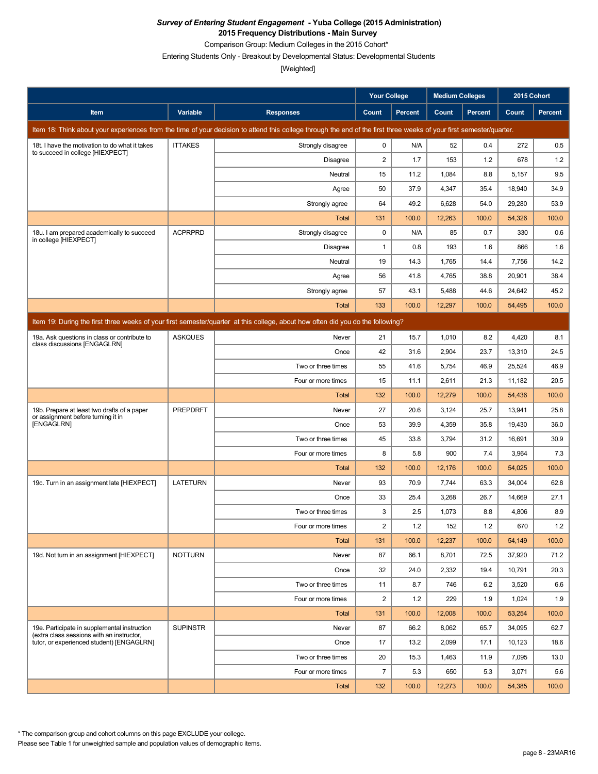Comparison Group: Medium Colleges in the 2015 Cohort\*

Entering Students Only - Breakout by Developmental Status: Developmental Students

[Weighted]

|                                                                                           |                 |                                                                                                                                                                      | <b>Your College</b> |                | <b>Medium Colleges</b> |                | 2015 Cohort |                |
|-------------------------------------------------------------------------------------------|-----------------|----------------------------------------------------------------------------------------------------------------------------------------------------------------------|---------------------|----------------|------------------------|----------------|-------------|----------------|
| Item                                                                                      | Variable        | <b>Responses</b>                                                                                                                                                     | Count               | <b>Percent</b> | Count                  | <b>Percent</b> | Count       | <b>Percent</b> |
|                                                                                           |                 | Item 18: Think about your experiences from the time of your decision to attend this college through the end of the first three weeks of your first semester/quarter. |                     |                |                        |                |             |                |
| 18t. I have the motivation to do what it takes                                            | <b>ITTAKES</b>  | Strongly disagree                                                                                                                                                    | 0                   | N/A            | 52                     | 0.4            | 272         | 0.5            |
| to succeed in college [HIEXPECT]                                                          |                 | Disagree                                                                                                                                                             | 2                   | 1.7            | 153                    | 1.2            | 678         | 1.2            |
|                                                                                           |                 | Neutral                                                                                                                                                              | 15                  | 11.2           | 1,084                  | 8.8            | 5,157       | 9.5            |
|                                                                                           |                 | Agree                                                                                                                                                                | 50                  | 37.9           | 4,347                  | 35.4           | 18,940      | 34.9           |
|                                                                                           |                 | Strongly agree                                                                                                                                                       | 64                  | 49.2           | 6,628                  | 54.0           | 29,280      | 53.9           |
|                                                                                           |                 | <b>Total</b>                                                                                                                                                         | 131                 | 100.0          | 12,263                 | 100.0          | 54,326      | 100.0          |
| 18u. I am prepared academically to succeed<br>in college [HIEXPECT]                       | <b>ACPRPRD</b>  | Strongly disagree                                                                                                                                                    | 0                   | N/A            | 85                     | 0.7            | 330         | 0.6            |
|                                                                                           |                 | <b>Disagree</b>                                                                                                                                                      | 1                   | 0.8            | 193                    | 1.6            | 866         | 1.6            |
|                                                                                           |                 | Neutral                                                                                                                                                              | 19                  | 14.3           | 1,765                  | 14.4           | 7,756       | 14.2           |
|                                                                                           |                 | Agree                                                                                                                                                                | 56                  | 41.8           | 4,765                  | 38.8           | 20,901      | 38.4           |
|                                                                                           |                 | Strongly agree                                                                                                                                                       | 57                  | 43.1           | 5,488                  | 44.6           | 24,642      | 45.2           |
|                                                                                           |                 | Total                                                                                                                                                                | 133                 | 100.0          | 12,297                 | 100.0          | 54,495      | 100.0          |
|                                                                                           |                 | Item 19: During the first three weeks of your first semester/quarter at this college, about how often did you do the following?                                      |                     |                |                        |                |             |                |
| 19a. Ask questions in class or contribute to<br>class discussions [ENGAGLRN]              | <b>ASKQUES</b>  | Never                                                                                                                                                                | 21                  | 15.7           | 1,010                  | 8.2            | 4,420       | 8.1            |
|                                                                                           |                 | Once                                                                                                                                                                 | 42                  | 31.6           | 2,904                  | 23.7           | 13,310      | 24.5           |
|                                                                                           |                 | Two or three times                                                                                                                                                   | 55                  | 41.6           | 5,754                  | 46.9           | 25,524      | 46.9           |
|                                                                                           |                 | Four or more times                                                                                                                                                   | 15                  | 11.1           | 2,611                  | 21.3           | 11,182      | 20.5           |
|                                                                                           |                 | Total                                                                                                                                                                | 132                 | 100.0          | 12,279                 | 100.0          | 54,436      | 100.0          |
| 19b. Prepare at least two drafts of a paper<br>or assignment before turning it in         | <b>PREPDRFT</b> | Never                                                                                                                                                                | 27                  | 20.6           | 3,124                  | 25.7           | 13,941      | 25.8           |
| [ENGAGLRN]                                                                                |                 | Once                                                                                                                                                                 | 53                  | 39.9           | 4,359                  | 35.8           | 19,430      | 36.0           |
|                                                                                           |                 | Two or three times                                                                                                                                                   | 45                  | 33.8           | 3,794                  | 31.2           | 16,691      | 30.9           |
|                                                                                           |                 | Four or more times                                                                                                                                                   | 8                   | 5.8            | 900                    | 7.4            | 3,964       | 7.3            |
|                                                                                           |                 | Total                                                                                                                                                                | 132                 | 100.0          | 12,176                 | 100.0          | 54,025      | 100.0          |
| 19c. Turn in an assignment late [HIEXPECT]                                                | <b>LATETURN</b> | Never                                                                                                                                                                | 93                  | 70.9           | 7,744                  | 63.3           | 34,004      | 62.8           |
|                                                                                           |                 | Once                                                                                                                                                                 | 33                  | 25.4           | 3,268                  | 26.7           | 14,669      | 27.1           |
|                                                                                           |                 | Two or three times                                                                                                                                                   | 3                   | 2.5            | 1,073                  | 8.8            | 4,806       | 8.9            |
|                                                                                           |                 | Four or more times                                                                                                                                                   | 2                   | 1.2            | 152                    | $1.2$          | 670         | 1.2            |
|                                                                                           |                 | <b>Total</b>                                                                                                                                                         | 131                 | 100.0          | 12,237                 | 100.0          | 54,149      | 100.0          |
| 19d. Not turn in an assignment [HIEXPECT]                                                 | <b>NOTTURN</b>  | Never                                                                                                                                                                | 87                  | 66.1           | 8,701                  | 72.5           | 37,920      | 71.2           |
|                                                                                           |                 | Once                                                                                                                                                                 | 32                  | 24.0           | 2,332                  | 19.4           | 10,791      | 20.3           |
|                                                                                           |                 | Two or three times                                                                                                                                                   | 11                  | 8.7            | 746                    | 6.2            | 3,520       | 6.6            |
|                                                                                           |                 | Four or more times                                                                                                                                                   | 2                   | 1.2            | 229                    | 1.9            | 1,024       | 1.9            |
|                                                                                           |                 | Total                                                                                                                                                                | 131                 | 100.0          | 12,008                 | 100.0          | 53,254      | 100.0          |
| 19e. Participate in supplemental instruction<br>(extra class sessions with an instructor. | <b>SUPINSTR</b> | Never                                                                                                                                                                | 87                  | 66.2           | 8,062                  | 65.7           | 34,095      | 62.7           |
| tutor, or experienced student) [ENGAGLRN]                                                 |                 | Once                                                                                                                                                                 | 17                  | 13.2           | 2,099                  | 17.1           | 10,123      | 18.6           |
|                                                                                           |                 | Two or three times                                                                                                                                                   | 20                  | 15.3           | 1,463                  | 11.9           | 7,095       | 13.0           |
|                                                                                           |                 | Four or more times                                                                                                                                                   | $\overline{7}$      | 5.3            | 650                    | 5.3            | 3,071       | 5.6            |
|                                                                                           |                 | <b>Total</b>                                                                                                                                                         | 132                 | 100.0          | 12,273                 | 100.0          | 54,385      | 100.0          |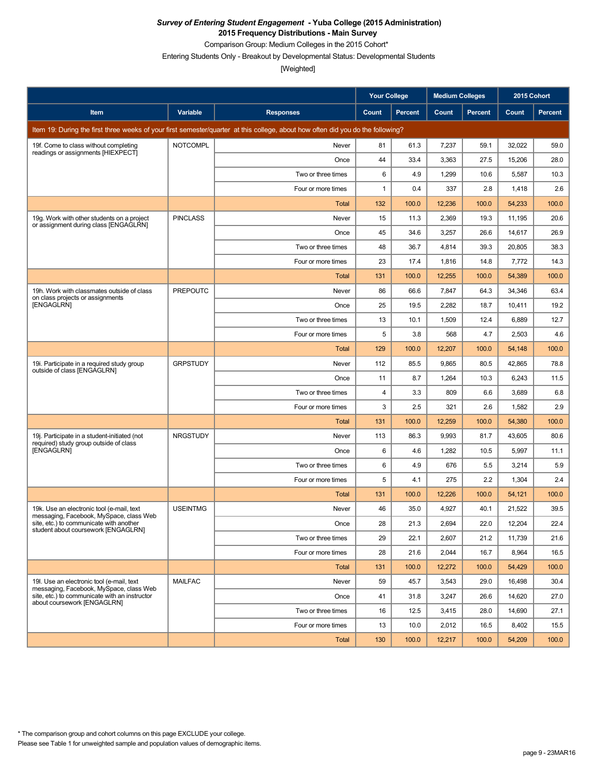Comparison Group: Medium Colleges in the 2015 Cohort\*

Entering Students Only - Breakout by Developmental Status: Developmental Students

|                                                                                        |                 |                                                                                                                                 | <b>Your College</b> |                | <b>Medium Colleges</b> |         | 2015 Cohort |         |
|----------------------------------------------------------------------------------------|-----------------|---------------------------------------------------------------------------------------------------------------------------------|---------------------|----------------|------------------------|---------|-------------|---------|
| Item                                                                                   | <b>Variable</b> | <b>Responses</b>                                                                                                                | Count               | <b>Percent</b> | Count                  | Percent | Count       | Percent |
|                                                                                        |                 | Item 19: During the first three weeks of your first semester/quarter at this college, about how often did you do the following? |                     |                |                        |         |             |         |
| 19f. Come to class without completing<br>readings or assignments [HIEXPECT]            | <b>NOTCOMPL</b> | Never                                                                                                                           | 81                  | 61.3           | 7,237                  | 59.1    | 32,022      | 59.0    |
|                                                                                        |                 | Once                                                                                                                            | 44                  | 33.4           | 3,363                  | 27.5    | 15,206      | 28.0    |
|                                                                                        |                 | Two or three times                                                                                                              | 6                   | 4.9            | 1,299                  | 10.6    | 5,587       | 10.3    |
|                                                                                        |                 | Four or more times                                                                                                              | 1                   | 0.4            | 337                    | 2.8     | 1,418       | 2.6     |
|                                                                                        |                 | Total                                                                                                                           | 132                 | 100.0          | 12,236                 | 100.0   | 54,233      | 100.0   |
| 19g. Work with other students on a project<br>or assignment during class [ENGAGLRN]    | <b>PINCLASS</b> | Never                                                                                                                           | 15                  | 11.3           | 2,369                  | 19.3    | 11,195      | 20.6    |
|                                                                                        |                 | Once                                                                                                                            | 45                  | 34.6           | 3,257                  | 26.6    | 14,617      | 26.9    |
|                                                                                        |                 | Two or three times                                                                                                              | 48                  | 36.7           | 4,814                  | 39.3    | 20,805      | 38.3    |
|                                                                                        |                 | Four or more times                                                                                                              | 23                  | 17.4           | 1,816                  | 14.8    | 7,772       | 14.3    |
|                                                                                        |                 | Total                                                                                                                           | 131                 | 100.0          | 12,255                 | 100.0   | 54,389      | 100.0   |
| 19h. Work with classmates outside of class<br>on class projects or assignments         | <b>PREPOUTC</b> | Never                                                                                                                           | 86                  | 66.6           | 7,847                  | 64.3    | 34,346      | 63.4    |
| [ENGAGLRN]                                                                             |                 | Once                                                                                                                            | 25                  | 19.5           | 2,282                  | 18.7    | 10,411      | 19.2    |
|                                                                                        |                 | Two or three times                                                                                                              | 13                  | 10.1           | 1,509                  | 12.4    | 6,889       | 12.7    |
|                                                                                        |                 | Four or more times                                                                                                              | 5                   | 3.8            | 568                    | 4.7     | 2,503       | 4.6     |
|                                                                                        |                 | Total                                                                                                                           | 129                 | 100.0          | 12,207                 | 100.0   | 54,148      | 100.0   |
| 19i. Participate in a required study group<br>outside of class [ENGAGLRN]              | <b>GRPSTUDY</b> | Never                                                                                                                           | 112                 | 85.5           | 9,865                  | 80.5    | 42,865      | 78.8    |
|                                                                                        |                 | Once                                                                                                                            | 11                  | 8.7            | 1,264                  | 10.3    | 6,243       | 11.5    |
|                                                                                        |                 | Two or three times                                                                                                              | 4                   | 3.3            | 809                    | 6.6     | 3,689       | 6.8     |
|                                                                                        |                 | Four or more times                                                                                                              | 3                   | 2.5            | 321                    | 2.6     | 1,582       | 2.9     |
|                                                                                        |                 | Total                                                                                                                           | 131                 | 100.0          | 12,259                 | 100.0   | 54,380      | 100.0   |
| 19j. Participate in a student-initiated (not<br>required) study group outside of class | <b>NRGSTUDY</b> | Never                                                                                                                           | 113                 | 86.3           | 9,993                  | 81.7    | 43,605      | 80.6    |
| [ENGAGLRN]                                                                             |                 | Once                                                                                                                            | 6                   | 4.6            | 1,282                  | 10.5    | 5,997       | 11.1    |
|                                                                                        |                 | Two or three times                                                                                                              | 6                   | 4.9            | 676                    | 5.5     | 3,214       | 5.9     |
|                                                                                        |                 | Four or more times                                                                                                              | 5                   | 4.1            | 275                    | 2.2     | 1,304       | 2.4     |
|                                                                                        |                 | <b>Total</b>                                                                                                                    | 131                 | 100.0          | 12,226                 | 100.0   | 54,121      | 100.0   |
| 19k. Use an electronic tool (e-mail, text<br>messaging, Facebook, MySpace, class Web   | <b>USEINTMG</b> | Never                                                                                                                           | 46                  | 35.0           | 4,927                  | 40.1    | 21.522      | 39.5    |
| site, etc.) to communicate with another<br>student about coursework [ENGAGLRN]         |                 | Once                                                                                                                            | 28                  | 21.3           | 2,694                  | 22.0    | 12,204      | 22.4    |
|                                                                                        |                 | Two or three times                                                                                                              | 29                  | 22.1           | 2,607                  | 21.2    | 11,739      | 21.6    |
|                                                                                        |                 | Four or more times                                                                                                              | 28                  | 21.6           | 2,044                  | 16.7    | 8,964       | 16.5    |
|                                                                                        |                 | Total                                                                                                                           | 131                 | 100.0          | 12,272                 | 100.0   | 54,429      | 100.0   |
| 19I. Use an electronic tool (e-mail, text<br>messaging, Facebook, MySpace, class Web   | <b>MAILFAC</b>  | Never                                                                                                                           | 59                  | 45.7           | 3,543                  | 29.0    | 16,498      | 30.4    |
| site, etc.) to communicate with an instructor<br>about coursework [ENGAGLRN]           |                 | Once                                                                                                                            | 41                  | 31.8           | 3,247                  | 26.6    | 14,620      | 27.0    |
|                                                                                        |                 | Two or three times                                                                                                              | 16                  | 12.5           | 3,415                  | 28.0    | 14,690      | 27.1    |
|                                                                                        |                 | Four or more times                                                                                                              | 13                  | 10.0           | 2,012                  | 16.5    | 8,402       | 15.5    |
|                                                                                        |                 | Total                                                                                                                           | 130                 | 100.0          | 12,217                 | 100.0   | 54,209      | 100.0   |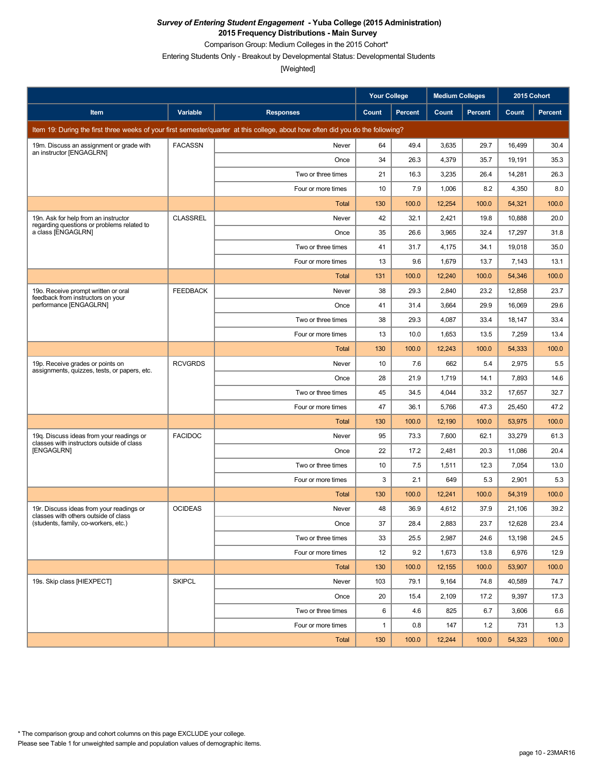Comparison Group: Medium Colleges in the 2015 Cohort\*

Entering Students Only - Breakout by Developmental Status: Developmental Students

|                                                                                       |                 |                                                                                                                                 | <b>Your College</b> |                | <b>Medium Colleges</b> |         | 2015 Cohort |         |
|---------------------------------------------------------------------------------------|-----------------|---------------------------------------------------------------------------------------------------------------------------------|---------------------|----------------|------------------------|---------|-------------|---------|
| Item                                                                                  | Variable        | <b>Responses</b>                                                                                                                | Count               | <b>Percent</b> | Count                  | Percent | Count       | Percent |
|                                                                                       |                 | Item 19: During the first three weeks of your first semester/quarter at this college, about how often did you do the following? |                     |                |                        |         |             |         |
| 19m. Discuss an assignment or grade with<br>an instructor [ENGAGLRN]                  | <b>FACASSN</b>  | Never                                                                                                                           | 64                  | 49.4           | 3,635                  | 29.7    | 16,499      | 30.4    |
|                                                                                       |                 | Once                                                                                                                            | 34                  | 26.3           | 4,379                  | 35.7    | 19,191      | 35.3    |
|                                                                                       |                 | Two or three times                                                                                                              | 21                  | 16.3           | 3,235                  | 26.4    | 14,281      | 26.3    |
|                                                                                       |                 | Four or more times                                                                                                              | 10                  | 7.9            | 1,006                  | 8.2     | 4,350       | 8.0     |
|                                                                                       |                 | <b>Total</b>                                                                                                                    | 130                 | 100.0          | 12,254                 | 100.0   | 54,321      | 100.0   |
| 19n. Ask for help from an instructor<br>regarding questions or problems related to    | <b>CLASSREL</b> | Never                                                                                                                           | 42                  | 32.1           | 2,421                  | 19.8    | 10,888      | 20.0    |
| a class [ENGAGLRN]                                                                    |                 | Once                                                                                                                            | 35                  | 26.6           | 3,965                  | 32.4    | 17,297      | 31.8    |
|                                                                                       |                 | Two or three times                                                                                                              | 41                  | 31.7           | 4,175                  | 34.1    | 19,018      | 35.0    |
|                                                                                       |                 | Four or more times                                                                                                              | 13                  | 9.6            | 1,679                  | 13.7    | 7,143       | 13.1    |
|                                                                                       |                 | Total                                                                                                                           | 131                 | 100.0          | 12,240                 | 100.0   | 54,346      | 100.0   |
| 19o. Receive prompt written or oral<br>feedback from instructors on your              | <b>FEEDBACK</b> | Never                                                                                                                           | 38                  | 29.3           | 2,840                  | 23.2    | 12,858      | 23.7    |
| performance [ENGAGLRN]                                                                |                 | Once                                                                                                                            | 41                  | 31.4           | 3,664                  | 29.9    | 16,069      | 29.6    |
|                                                                                       |                 | Two or three times                                                                                                              | 38                  | 29.3           | 4,087                  | 33.4    | 18,147      | 33.4    |
|                                                                                       |                 | Four or more times                                                                                                              | 13                  | 10.0           | 1,653                  | 13.5    | 7,259       | 13.4    |
|                                                                                       |                 | Total                                                                                                                           | 130                 | 100.0          | 12,243                 | 100.0   | 54,333      | 100.0   |
| 19p. Receive grades or points on<br>assignments, quizzes, tests, or papers, etc.      | <b>RCVGRDS</b>  | Never                                                                                                                           | 10                  | 7.6            | 662                    | 5.4     | 2,975       | 5.5     |
|                                                                                       |                 | Once                                                                                                                            | 28                  | 21.9           | 1,719                  | 14.1    | 7,893       | 14.6    |
|                                                                                       |                 | Two or three times                                                                                                              | 45                  | 34.5           | 4,044                  | 33.2    | 17,657      | 32.7    |
|                                                                                       |                 | Four or more times                                                                                                              | 47                  | 36.1           | 5,766                  | 47.3    | 25,450      | 47.2    |
|                                                                                       |                 | <b>Total</b>                                                                                                                    | 130                 | 100.0          | 12,190                 | 100.0   | 53,975      | 100.0   |
| 19q. Discuss ideas from your readings or<br>classes with instructors outside of class | <b>FACIDOC</b>  | Never                                                                                                                           | 95                  | 73.3           | 7,600                  | 62.1    | 33,279      | 61.3    |
| [ENGAGLRN]                                                                            |                 | Once                                                                                                                            | 22                  | 17.2           | 2,481                  | 20.3    | 11,086      | 20.4    |
|                                                                                       |                 | Two or three times                                                                                                              | 10                  | 7.5            | 1,511                  | 12.3    | 7,054       | 13.0    |
|                                                                                       |                 | Four or more times                                                                                                              | 3                   | 2.1            | 649                    | 5.3     | 2,901       | 5.3     |
|                                                                                       |                 | Total                                                                                                                           | 130                 | 100.0          | 12,241                 | 100.0   | 54,319      | 100.0   |
| 19r. Discuss ideas from your readings or<br>classes with others outside of class      | <b>OCIDEAS</b>  | Never                                                                                                                           | 48                  | 36.9           | 4,612                  | 37.9    | 21.106      | 39.2    |
| (students, family, co-workers, etc.)                                                  |                 | Once                                                                                                                            | 37                  | 28.4           | 2,883                  | 23.7    | 12,628      | 23.4    |
|                                                                                       |                 | Two or three times                                                                                                              | 33                  | 25.5           | 2,987                  | 24.6    | 13,198      | 24.5    |
|                                                                                       |                 | Four or more times                                                                                                              | 12 <sup>2</sup>     | 9.2            | 1,673                  | 13.8    | 6,976       | 12.9    |
|                                                                                       |                 | <b>Total</b>                                                                                                                    | 130                 | 100.0          | 12,155                 | 100.0   | 53,907      | 100.0   |
| 19s. Skip class [HIEXPECT]                                                            | <b>SKIPCL</b>   | Never                                                                                                                           | 103                 | 79.1           | 9,164                  | 74.8    | 40,589      | 74.7    |
|                                                                                       |                 | Once                                                                                                                            | 20                  | 15.4           | 2,109                  | 17.2    | 9,397       | 17.3    |
|                                                                                       |                 | Two or three times                                                                                                              | 6                   | 4.6            | 825                    | 6.7     | 3,606       | 6.6     |
|                                                                                       |                 | Four or more times                                                                                                              | $\mathbf{1}$        | 0.8            | 147                    | 1.2     | 731         | 1.3     |
|                                                                                       |                 | Total                                                                                                                           | 130                 | 100.0          | 12,244                 | 100.0   | 54,323      | 100.0   |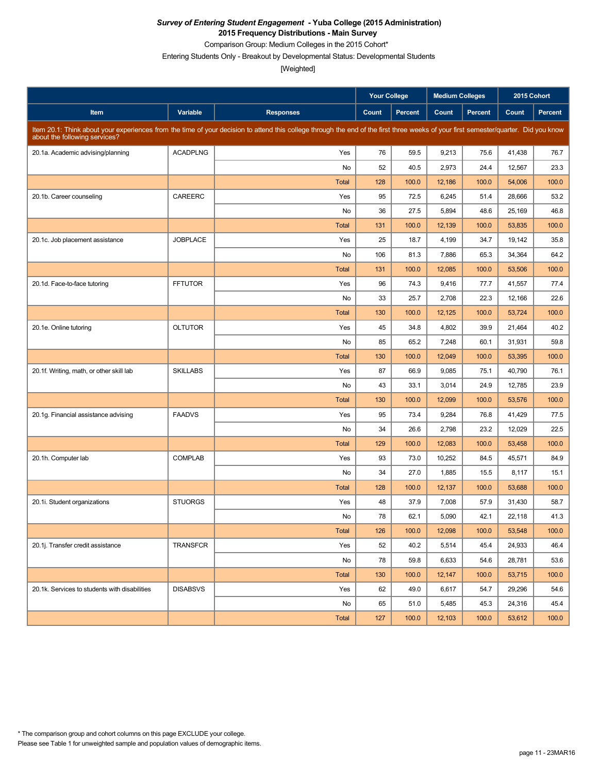Comparison Group: Medium Colleges in the 2015 Cohort\*

Entering Students Only - Breakout by Developmental Status: Developmental Students

|                                               |                 |                                                                                                                                                                                     | <b>Your College</b> |                | <b>Medium Colleges</b> |                | 2015 Cohort |         |
|-----------------------------------------------|-----------------|-------------------------------------------------------------------------------------------------------------------------------------------------------------------------------------|---------------------|----------------|------------------------|----------------|-------------|---------|
| Item                                          | Variable        | <b>Responses</b>                                                                                                                                                                    | Count               | <b>Percent</b> | Count                  | <b>Percent</b> | Count       | Percent |
| about the following services?                 |                 | Item 20.1: Think about your experiences from the time of your decision to attend this college through the end of the first three weeks of your first semester/quarter. Did you know |                     |                |                        |                |             |         |
| 20.1a. Academic advising/planning             | <b>ACADPLNG</b> | Yes                                                                                                                                                                                 | 76                  | 59.5           | 9,213                  | 75.6           | 41,438      | 76.7    |
|                                               |                 | No                                                                                                                                                                                  | 52                  | 40.5           | 2,973                  | 24.4           | 12,567      | 23.3    |
|                                               |                 | <b>Total</b>                                                                                                                                                                        | 128                 | 100.0          | 12,186                 | 100.0          | 54,006      | 100.0   |
| 20.1b. Career counseling                      | CAREERC         | Yes                                                                                                                                                                                 | 95                  | 72.5           | 6,245                  | 51.4           | 28,666      | 53.2    |
|                                               |                 | No                                                                                                                                                                                  | 36                  | 27.5           | 5,894                  | 48.6           | 25,169      | 46.8    |
|                                               |                 | <b>Total</b>                                                                                                                                                                        | 131                 | 100.0          | 12,139                 | 100.0          | 53,835      | 100.0   |
| 20.1c. Job placement assistance               | <b>JOBPLACE</b> | Yes                                                                                                                                                                                 | 25                  | 18.7           | 4,199                  | 34.7           | 19,142      | 35.8    |
|                                               |                 | No                                                                                                                                                                                  | 106                 | 81.3           | 7,886                  | 65.3           | 34,364      | 64.2    |
|                                               |                 | <b>Total</b>                                                                                                                                                                        | 131                 | 100.0          | 12,085                 | 100.0          | 53,506      | 100.0   |
| 20.1d. Face-to-face tutoring                  | <b>FFTUTOR</b>  | Yes                                                                                                                                                                                 | 96                  | 74.3           | 9,416                  | 77.7           | 41,557      | 77.4    |
|                                               |                 | No                                                                                                                                                                                  | 33                  | 25.7           | 2,708                  | 22.3           | 12,166      | 22.6    |
|                                               |                 | Total                                                                                                                                                                               | 130                 | 100.0          | 12,125                 | 100.0          | 53,724      | 100.0   |
| 20.1e. Online tutoring                        | <b>OLTUTOR</b>  | Yes                                                                                                                                                                                 | 45                  | 34.8           | 4,802                  | 39.9           | 21,464      | 40.2    |
|                                               |                 | No                                                                                                                                                                                  | 85                  | 65.2           | 7,248                  | 60.1           | 31,931      | 59.8    |
|                                               |                 | Total                                                                                                                                                                               | 130                 | 100.0          | 12,049                 | 100.0          | 53,395      | 100.0   |
| 20.1f. Writing, math, or other skill lab      | <b>SKILLABS</b> | Yes                                                                                                                                                                                 | 87                  | 66.9           | 9,085                  | 75.1           | 40,790      | 76.1    |
|                                               |                 | No                                                                                                                                                                                  | 43                  | 33.1           | 3,014                  | 24.9           | 12,785      | 23.9    |
|                                               |                 | <b>Total</b>                                                                                                                                                                        | 130                 | 100.0          | 12,099                 | 100.0          | 53,576      | 100.0   |
| 20.1g. Financial assistance advising          | <b>FAADVS</b>   | Yes                                                                                                                                                                                 | 95                  | 73.4           | 9,284                  | 76.8           | 41,429      | 77.5    |
|                                               |                 | No                                                                                                                                                                                  | 34                  | 26.6           | 2,798                  | 23.2           | 12,029      | 22.5    |
|                                               |                 | Total                                                                                                                                                                               | 129                 | 100.0          | 12,083                 | 100.0          | 53,458      | 100.0   |
| 20.1h. Computer lab                           | <b>COMPLAB</b>  | Yes                                                                                                                                                                                 | 93                  | 73.0           | 10,252                 | 84.5           | 45,571      | 84.9    |
|                                               |                 | No                                                                                                                                                                                  | 34                  | 27.0           | 1,885                  | 15.5           | 8,117       | 15.1    |
|                                               |                 | Total                                                                                                                                                                               | 128                 | 100.0          | 12,137                 | 100.0          | 53,688      | 100.0   |
| 20.1i. Student organizations                  | <b>STUORGS</b>  | Yes                                                                                                                                                                                 | 48                  | 37.9           | 7,008                  | 57.9           | 31,430      | 58.7    |
|                                               |                 | No                                                                                                                                                                                  | 78                  | 62.1           | 5,090                  | 42.1           | 22,118      | 41.3    |
|                                               |                 | Total                                                                                                                                                                               | 126                 | 100.0          | 12,098                 | 100.0          | 53,548      | 100.0   |
| 20.1j. Transfer credit assistance             | TRANSFCR        | Yes                                                                                                                                                                                 | 52                  | 40.2           | 5,514                  | 45.4           | 24,933      | 46.4    |
|                                               |                 | No                                                                                                                                                                                  | 78                  | 59.8           | 6,633                  | 54.6           | 28,781      | 53.6    |
|                                               |                 | Total                                                                                                                                                                               | 130                 | 100.0          | 12,147                 | 100.0          | 53,715      | 100.0   |
| 20.1k. Services to students with disabilities | <b>DISABSVS</b> | Yes                                                                                                                                                                                 | 62                  | 49.0           | 6,617                  | 54.7           | 29,296      | 54.6    |
|                                               |                 | No                                                                                                                                                                                  | 65                  | 51.0           | 5,485                  | 45.3           | 24,316      | 45.4    |
|                                               |                 | Total                                                                                                                                                                               | 127                 | 100.0          | 12,103                 | 100.0          | 53,612      | 100.0   |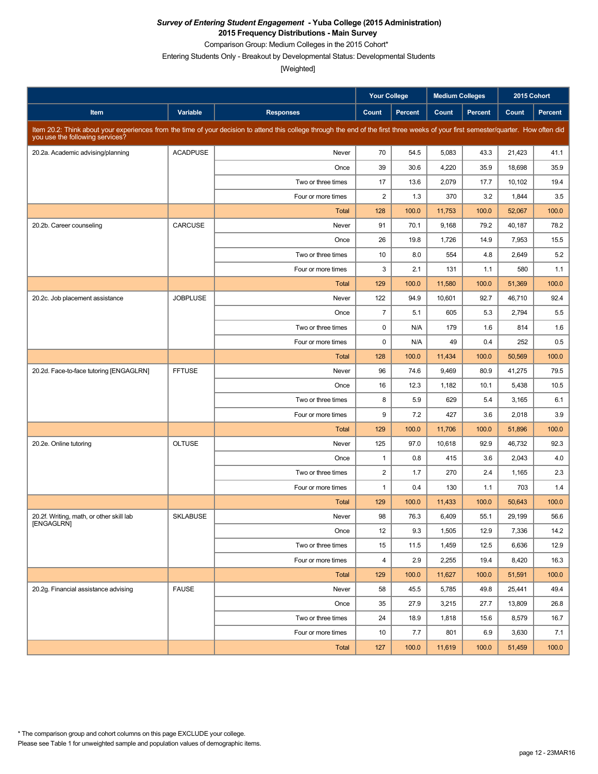Comparison Group: Medium Colleges in the 2015 Cohort\*

Entering Students Only - Breakout by Developmental Status: Developmental Students

|                                          |                 |                                                                                                                                                                                      | <b>Your College</b>     |                | <b>Medium Colleges</b> |         | 2015 Cohort |         |
|------------------------------------------|-----------------|--------------------------------------------------------------------------------------------------------------------------------------------------------------------------------------|-------------------------|----------------|------------------------|---------|-------------|---------|
| Item                                     | Variable        | <b>Responses</b>                                                                                                                                                                     | Count                   | <b>Percent</b> | Count                  | Percent | Count       | Percent |
| you use the following services?          |                 | Item 20.2: Think about your experiences from the time of your decision to attend this college through the end of the first three weeks of your first semester/quarter. How often did |                         |                |                        |         |             |         |
| 20.2a. Academic advising/planning        | <b>ACADPUSE</b> | Never                                                                                                                                                                                | 70                      | 54.5           | 5,083                  | 43.3    | 21,423      | 41.1    |
|                                          |                 | Once                                                                                                                                                                                 | 39                      | 30.6           | 4,220                  | 35.9    | 18,698      | 35.9    |
|                                          |                 | Two or three times                                                                                                                                                                   | 17                      | 13.6           | 2,079                  | 17.7    | 10,102      | 19.4    |
|                                          |                 | Four or more times                                                                                                                                                                   | $\overline{c}$          | 1.3            | 370                    | 3.2     | 1,844       | 3.5     |
|                                          |                 | <b>Total</b>                                                                                                                                                                         | 128                     | 100.0          | 11,753                 | 100.0   | 52,067      | 100.0   |
| 20.2b. Career counseling                 | CARCUSE         | Never                                                                                                                                                                                | 91                      | 70.1           | 9,168                  | 79.2    | 40,187      | 78.2    |
|                                          |                 | Once                                                                                                                                                                                 | 26                      | 19.8           | 1,726                  | 14.9    | 7,953       | 15.5    |
|                                          |                 | Two or three times                                                                                                                                                                   | 10                      | 8.0            | 554                    | 4.8     | 2,649       | 5.2     |
|                                          |                 | Four or more times                                                                                                                                                                   | 3                       | 2.1            | 131                    | 1.1     | 580         | 1.1     |
|                                          |                 | <b>Total</b>                                                                                                                                                                         | 129                     | 100.0          | 11,580                 | 100.0   | 51,369      | 100.0   |
| 20.2c. Job placement assistance          | <b>JOBPLUSE</b> | Never                                                                                                                                                                                | 122                     | 94.9           | 10,601                 | 92.7    | 46,710      | 92.4    |
|                                          |                 | Once                                                                                                                                                                                 | $\overline{7}$          | 5.1            | 605                    | 5.3     | 2,794       | 5.5     |
|                                          |                 | Two or three times                                                                                                                                                                   | 0                       | N/A            | 179                    | 1.6     | 814         | 1.6     |
|                                          |                 | Four or more times                                                                                                                                                                   | $\mathbf 0$             | N/A            | 49                     | 0.4     | 252         | 0.5     |
|                                          |                 | <b>Total</b>                                                                                                                                                                         | 128                     | 100.0          | 11,434                 | 100.0   | 50,569      | 100.0   |
| 20.2d. Face-to-face tutoring [ENGAGLRN]  | <b>FFTUSE</b>   | Never                                                                                                                                                                                | 96                      | 74.6           | 9,469                  | 80.9    | 41,275      | 79.5    |
|                                          |                 | Once                                                                                                                                                                                 | 16                      | 12.3           | 1,182                  | 10.1    | 5,438       | 10.5    |
|                                          |                 | Two or three times                                                                                                                                                                   | 8                       | 5.9            | 629                    | 5.4     | 3,165       | 6.1     |
|                                          |                 | Four or more times                                                                                                                                                                   | 9                       | 7.2            | 427                    | 3.6     | 2,018       | 3.9     |
|                                          |                 | <b>Total</b>                                                                                                                                                                         | 129                     | 100.0          | 11,706                 | 100.0   | 51,896      | 100.0   |
| 20.2e. Online tutoring                   | <b>OLTUSE</b>   | Never                                                                                                                                                                                | 125                     | 97.0           | 10,618                 | 92.9    | 46,732      | 92.3    |
|                                          |                 | Once                                                                                                                                                                                 | $\mathbf{1}$            | 0.8            | 415                    | 3.6     | 2,043       | 4.0     |
|                                          |                 | Two or three times                                                                                                                                                                   | $\overline{\mathbf{c}}$ | 1.7            | 270                    | 2.4     | 1,165       | 2.3     |
|                                          |                 | Four or more times                                                                                                                                                                   | $\mathbf{1}$            | 0.4            | 130                    | 1.1     | 703         | 1.4     |
|                                          |                 | <b>Total</b>                                                                                                                                                                         | 129                     | 100.0          | 11,433                 | 100.0   | 50,643      | 100.0   |
| 20.2f. Writing, math, or other skill lab | <b>SKLABUSE</b> | Never                                                                                                                                                                                | 98                      | 76.3           | 6,409                  | 55.1    | 29,199      | 56.6    |
| [ENGAGLRN]                               |                 | Once                                                                                                                                                                                 | 12                      | 9.3            | 1,505                  | 12.9    | 7,336       | 14.2    |
|                                          |                 | Two or three times                                                                                                                                                                   | 15                      | 11.5           | 1,459                  | 12.5    | 6,636       | 12.9    |
|                                          |                 | Four or more times                                                                                                                                                                   | 4                       | 2.9            | 2,255                  | 19.4    | 8,420       | 16.3    |
|                                          |                 | Total                                                                                                                                                                                | 129                     | 100.0          | 11,627                 | 100.0   | 51,591      | 100.0   |
| 20.2g. Financial assistance advising     | <b>FAUSE</b>    | Never                                                                                                                                                                                | 58                      | 45.5           | 5,785                  | 49.8    | 25,441      | 49.4    |
|                                          |                 | Once                                                                                                                                                                                 | 35                      | 27.9           | 3,215                  | 27.7    | 13,809      | 26.8    |
|                                          |                 | Two or three times                                                                                                                                                                   | 24                      | 18.9           | 1,818                  | 15.6    | 8,579       | 16.7    |
|                                          |                 | Four or more times                                                                                                                                                                   | 10                      | 7.7            | 801                    | 6.9     | 3,630       | 7.1     |
|                                          |                 | Total                                                                                                                                                                                | 127                     | 100.0          | 11,619                 | 100.0   | 51,459      | 100.0   |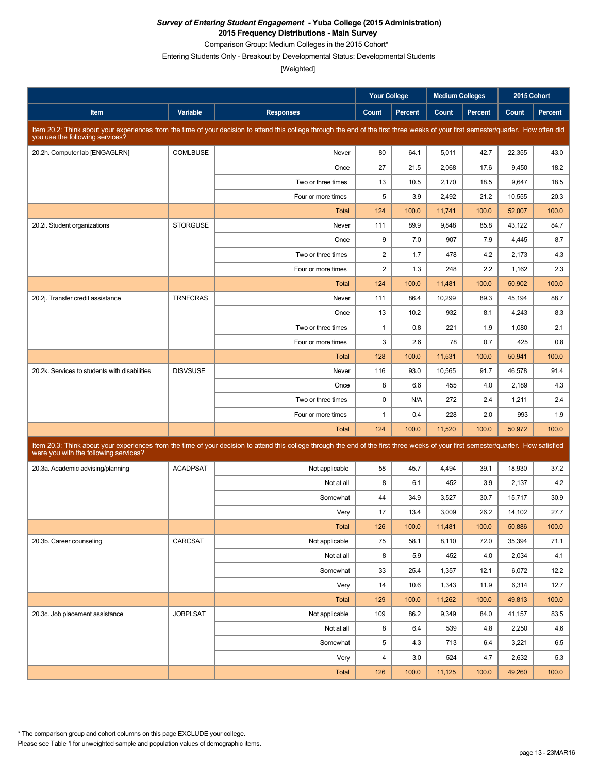Comparison Group: Medium Colleges in the 2015 Cohort\*

Entering Students Only - Breakout by Developmental Status: Developmental Students

|                                               |                 |                                                                                                                                                                                      | <b>Your College</b> |                | <b>Medium Colleges</b> |         | 2015 Cohort |                |
|-----------------------------------------------|-----------------|--------------------------------------------------------------------------------------------------------------------------------------------------------------------------------------|---------------------|----------------|------------------------|---------|-------------|----------------|
| Item                                          | Variable        | <b>Responses</b>                                                                                                                                                                     | Count               | <b>Percent</b> | Count                  | Percent | Count       | <b>Percent</b> |
| you use the following services?               |                 | Item 20.2: Think about your experiences from the time of your decision to attend this college through the end of the first three weeks of your first semester/quarter. How often did |                     |                |                        |         |             |                |
| 20.2h. Computer lab [ENGAGLRN]                | <b>COMLBUSE</b> | Never                                                                                                                                                                                | 80                  | 64.1           | 5,011                  | 42.7    | 22,355      | 43.0           |
|                                               |                 | Once                                                                                                                                                                                 | 27                  | 21.5           | 2,068                  | 17.6    | 9,450       | 18.2           |
|                                               |                 | Two or three times                                                                                                                                                                   | 13                  | 10.5           | 2,170                  | 18.5    | 9,647       | 18.5           |
|                                               |                 | Four or more times                                                                                                                                                                   | 5                   | 3.9            | 2,492                  | 21.2    | 10,555      | 20.3           |
|                                               |                 | <b>Total</b>                                                                                                                                                                         | 124                 | 100.0          | 11,741                 | 100.0   | 52,007      | 100.0          |
| 20.2i. Student organizations                  | <b>STORGUSE</b> | Never                                                                                                                                                                                | 111                 | 89.9           | 9,848                  | 85.8    | 43,122      | 84.7           |
|                                               |                 | Once                                                                                                                                                                                 | 9                   | 7.0            | 907                    | 7.9     | 4,445       | 8.7            |
|                                               |                 | Two or three times                                                                                                                                                                   | $\overline{c}$      | 1.7            | 478                    | 4.2     | 2,173       | 4.3            |
|                                               |                 | Four or more times                                                                                                                                                                   | $\overline{2}$      | 1.3            | 248                    | 2.2     | 1,162       | 2.3            |
|                                               |                 | Total                                                                                                                                                                                | 124                 | 100.0          | 11,481                 | 100.0   | 50,902      | 100.0          |
| 20.2j. Transfer credit assistance             | <b>TRNFCRAS</b> | Never                                                                                                                                                                                | 111                 | 86.4           | 10,299                 | 89.3    | 45,194      | 88.7           |
|                                               |                 | Once                                                                                                                                                                                 | 13                  | 10.2           | 932                    | 8.1     | 4,243       | 8.3            |
|                                               |                 | Two or three times                                                                                                                                                                   | $\mathbf{1}$        | 0.8            | 221                    | 1.9     | 1,080       | 2.1            |
|                                               |                 | Four or more times                                                                                                                                                                   | 3                   | 2.6            | 78                     | 0.7     | 425         | 0.8            |
|                                               |                 | <b>Total</b>                                                                                                                                                                         | 128                 | 100.0          | 11,531                 | 100.0   | 50,941      | 100.0          |
| 20.2k. Services to students with disabilities | <b>DISVSUSE</b> | Never                                                                                                                                                                                | 116                 | 93.0           | 10,565                 | 91.7    | 46,578      | 91.4           |
|                                               |                 | Once                                                                                                                                                                                 | 8                   | 6.6            | 455                    | 4.0     | 2,189       | 4.3            |
|                                               |                 | Two or three times                                                                                                                                                                   | 0                   | N/A            | 272                    | 2.4     | 1,211       | 2.4            |
|                                               |                 | Four or more times                                                                                                                                                                   | $\mathbf{1}$        | 0.4            | 228                    | 2.0     | 993         | 1.9            |
|                                               |                 | <b>Total</b>                                                                                                                                                                         | 124                 | 100.0          | 11,520                 | 100.0   | 50,972      | 100.0          |
| were you with the following services?         |                 | Item 20.3: Think about your experiences from the time of your decision to attend this college through the end of the first three weeks of your first semester/quarter. How satisfied |                     |                |                        |         |             |                |
| 20.3a. Academic advising/planning             | <b>ACADPSAT</b> | Not applicable                                                                                                                                                                       | 58                  | 45.7           | 4,494                  | 39.1    | 18,930      | 37.2           |
|                                               |                 | Not at all                                                                                                                                                                           | 8                   | 6.1            | 452                    | 3.9     | 2,137       | 4.2            |
|                                               |                 | Somewhat                                                                                                                                                                             | 44                  | 34.9           | 3,527                  | 30.7    | 15,717      | 30.9           |
|                                               |                 | Very                                                                                                                                                                                 | 17                  | 13.4           | 3,009                  | 26.2    | 14,102      | 27.7           |
|                                               |                 | Total                                                                                                                                                                                | 126                 | 100.0          | 11,481                 | 100.0   | 50,886      | 100.0          |
| 20.3b. Career counseling                      | CARCSAT         | Not applicable                                                                                                                                                                       | 75                  | 58.1           | 8,110                  | 72.0    | 35,394      | 71.1           |
|                                               |                 | Not at all                                                                                                                                                                           | 8                   | 5.9            | 452                    | 4.0     | 2,034       | 4.1            |
|                                               |                 | Somewhat                                                                                                                                                                             | 33                  | 25.4           | 1,357                  | 12.1    | 6,072       | 12.2           |
|                                               |                 | Very                                                                                                                                                                                 | 14                  | 10.6           | 1,343                  | 11.9    | 6,314       | 12.7           |
|                                               |                 | Total                                                                                                                                                                                | 129                 | 100.0          | 11,262                 | 100.0   | 49,813      | 100.0          |
| 20.3c. Job placement assistance               | <b>JOBPLSAT</b> | Not applicable                                                                                                                                                                       | 109                 | 86.2           | 9,349                  | 84.0    | 41,157      | 83.5           |
|                                               |                 | Not at all                                                                                                                                                                           | 8                   | 6.4            | 539                    | 4.8     | 2,250       | 4.6            |
|                                               |                 | Somewhat                                                                                                                                                                             | $\,$ 5 $\,$         | 4.3            | 713                    | 6.4     | 3,221       | 6.5            |
|                                               |                 | Very                                                                                                                                                                                 | $\overline{4}$      | 3.0            | 524                    | 4.7     | 2,632       | 5.3            |
|                                               |                 | Total                                                                                                                                                                                | 126                 | 100.0          | 11,125                 | 100.0   | 49,260      | 100.0          |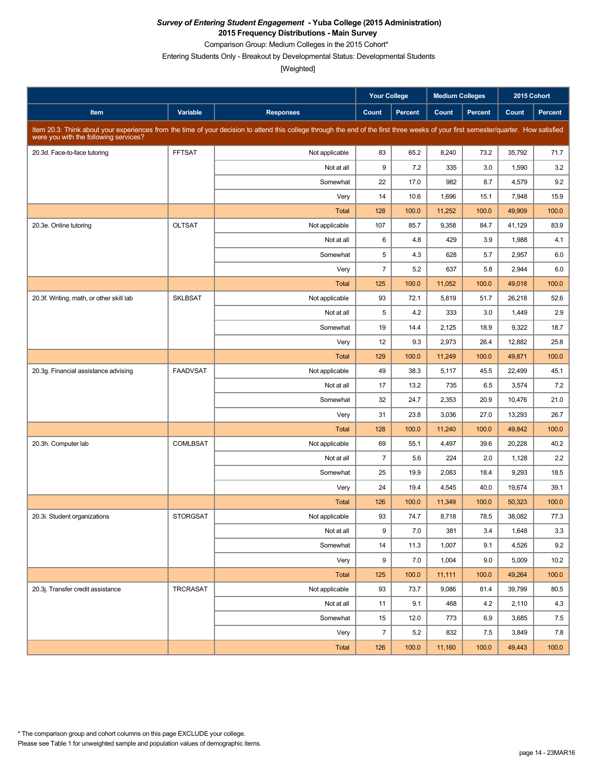Comparison Group: Medium Colleges in the 2015 Cohort\*

Entering Students Only - Breakout by Developmental Status: Developmental Students

|                                          |                 |                                                                                                                                                                                      | <b>Your College</b> |         | <b>Medium Colleges</b> |         | 2015 Cohort |         |
|------------------------------------------|-----------------|--------------------------------------------------------------------------------------------------------------------------------------------------------------------------------------|---------------------|---------|------------------------|---------|-------------|---------|
| Item                                     | Variable        | <b>Responses</b>                                                                                                                                                                     | Count               | Percent | Count                  | Percent | Count       | Percent |
| were you with the following services?    |                 | Item 20.3: Think about your experiences from the time of your decision to attend this college through the end of the first three weeks of your first semester/quarter. How satisfied |                     |         |                        |         |             |         |
| 20.3d. Face-to-face tutoring             | <b>FFTSAT</b>   | Not applicable                                                                                                                                                                       | 83                  | 65.2    | 8,240                  | 73.2    | 35,792      | 71.7    |
|                                          |                 | Not at all                                                                                                                                                                           | 9                   | 7.2     | 335                    | 3.0     | 1,590       | 3.2     |
|                                          |                 | Somewhat                                                                                                                                                                             | 22                  | 17.0    | 982                    | 8.7     | 4,579       | 9.2     |
|                                          |                 | Very                                                                                                                                                                                 | 14                  | 10.6    | 1,696                  | 15.1    | 7,948       | 15.9    |
|                                          |                 | <b>Total</b>                                                                                                                                                                         | 128                 | 100.0   | 11,252                 | 100.0   | 49,909      | 100.0   |
| 20.3e. Online tutoring                   | <b>OLTSAT</b>   | Not applicable                                                                                                                                                                       | 107                 | 85.7    | 9,358                  | 84.7    | 41,129      | 83.9    |
|                                          |                 | Not at all                                                                                                                                                                           | 6                   | 4.8     | 429                    | 3.9     | 1,988       | 4.1     |
|                                          |                 | Somewhat                                                                                                                                                                             | 5                   | 4.3     | 628                    | 5.7     | 2,957       | 6.0     |
|                                          |                 | Very                                                                                                                                                                                 | $\overline{7}$      | 5.2     | 637                    | 5.8     | 2,944       | 6.0     |
|                                          |                 | <b>Total</b>                                                                                                                                                                         | 125                 | 100.0   | 11,052                 | 100.0   | 49,018      | 100.0   |
| 20.3f. Writing, math, or other skill lab | <b>SKLBSAT</b>  | Not applicable                                                                                                                                                                       | 93                  | 72.1    | 5,819                  | 51.7    | 26,218      | 52.6    |
|                                          |                 | Not at all                                                                                                                                                                           | 5                   | 4.2     | 333                    | 3.0     | 1,449       | 2.9     |
|                                          |                 | Somewhat                                                                                                                                                                             | 19                  | 14.4    | 2,125                  | 18.9    | 9,322       | 18.7    |
|                                          |                 | Very                                                                                                                                                                                 | 12                  | 9.3     | 2,973                  | 26.4    | 12,882      | 25.8    |
|                                          |                 | <b>Total</b>                                                                                                                                                                         | 129                 | 100.0   | 11,249                 | 100.0   | 49,871      | 100.0   |
| 20.3g. Financial assistance advising     | <b>FAADVSAT</b> | Not applicable                                                                                                                                                                       | 49                  | 38.3    | 5,117                  | 45.5    | 22,499      | 45.1    |
|                                          |                 | Not at all                                                                                                                                                                           | 17                  | 13.2    | 735                    | 6.5     | 3,574       | 7.2     |
|                                          |                 | Somewhat                                                                                                                                                                             | 32                  | 24.7    | 2,353                  | 20.9    | 10,476      | 21.0    |
|                                          |                 | Very                                                                                                                                                                                 | 31                  | 23.8    | 3,036                  | 27.0    | 13,293      | 26.7    |
|                                          |                 | <b>Total</b>                                                                                                                                                                         | 128                 | 100.0   | 11,240                 | 100.0   | 49,842      | 100.0   |
| 20.3h. Computer lab                      | <b>COMLBSAT</b> | Not applicable                                                                                                                                                                       | 69                  | 55.1    | 4,497                  | 39.6    | 20,228      | 40.2    |
|                                          |                 | Not at all                                                                                                                                                                           | $\overline{7}$      | 5.6     | 224                    | 2.0     | 1,128       | 2.2     |
|                                          |                 | Somewhat                                                                                                                                                                             | 25                  | 19.9    | 2,083                  | 18.4    | 9,293       | 18.5    |
|                                          |                 | Very                                                                                                                                                                                 | 24                  | 19.4    | 4,545                  | 40.0    | 19,674      | 39.1    |
|                                          |                 | <b>Total</b>                                                                                                                                                                         | 126                 | 100.0   | 11,349                 | 100.0   | 50,323      | 100.0   |
| 20.3i. Student organizations             | <b>STORGSAT</b> | Not applicable                                                                                                                                                                       | 93                  | 74.7    | 8,718                  | 78.5    | 38.082      | 77.3    |
|                                          |                 | Not at all                                                                                                                                                                           | 9                   | 7.0     | 381                    | 3.4     | 1,648       | 3.3     |
|                                          |                 | Somewhat                                                                                                                                                                             | 14                  | 11.3    | 1,007                  | 9.1     | 4,526       | 9.2     |
|                                          |                 | Very                                                                                                                                                                                 | 9                   | 7.0     | 1,004                  | 9.0     | 5,009       | 10.2    |
|                                          |                 | Total                                                                                                                                                                                | 125                 | 100.0   | 11,111                 | 100.0   | 49,264      | 100.0   |
| 20.3j. Transfer credit assistance        | <b>TRCRASAT</b> | Not applicable                                                                                                                                                                       | 93                  | 73.7    | 9,086                  | 81.4    | 39,799      | 80.5    |
|                                          |                 | Not at all                                                                                                                                                                           | 11                  | 9.1     | 468                    | 4.2     | 2,110       | 4.3     |
|                                          |                 | Somewhat                                                                                                                                                                             | 15                  | 12.0    | 773                    | 6.9     | 3,685       | 7.5     |
|                                          |                 | Very                                                                                                                                                                                 | $\overline{7}$      | 5.2     | 832                    | 7.5     | 3,849       | 7.8     |
|                                          |                 | Total                                                                                                                                                                                | 126                 | 100.0   | 11,160                 | 100.0   | 49,443      | 100.0   |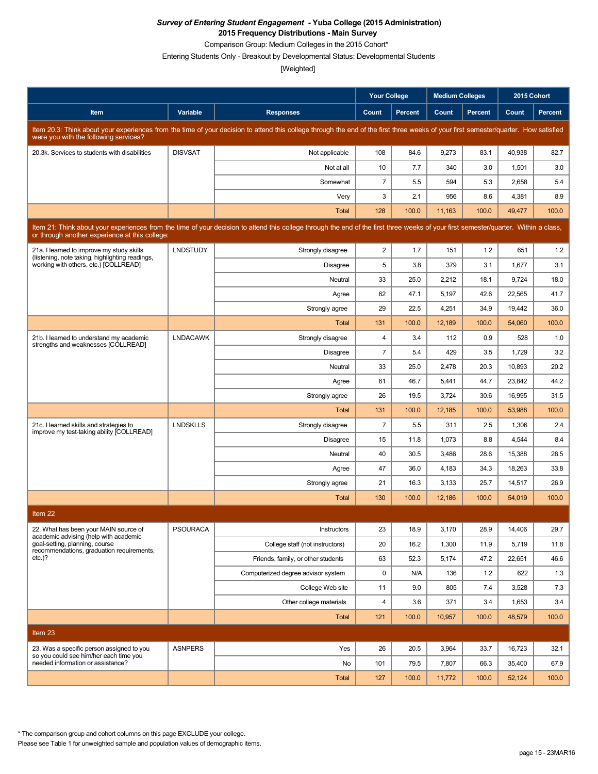Comparison Group: Medium Colleges in the 2015 Cohort\*

Entering Students Only - Breakout by Developmental Status: Developmental Students

[Weighted]

|                                                                                                                                                                                                                                        |                 |                                                                                                                                                                                      | <b>Your College</b> |                | <b>Medium Colleges</b> |         | 2015 Cohort |                |  |
|----------------------------------------------------------------------------------------------------------------------------------------------------------------------------------------------------------------------------------------|-----------------|--------------------------------------------------------------------------------------------------------------------------------------------------------------------------------------|---------------------|----------------|------------------------|---------|-------------|----------------|--|
| Item                                                                                                                                                                                                                                   | Variable        | <b>Responses</b>                                                                                                                                                                     | Count               | <b>Percent</b> | Count                  | Percent | Count       | <b>Percent</b> |  |
| were you with the following services?                                                                                                                                                                                                  |                 | Item 20.3: Think about your experiences from the time of your decision to attend this college through the end of the first three weeks of your first semester/quarter. How satisfied |                     |                |                        |         |             |                |  |
| 20.3k. Services to students with disabilities                                                                                                                                                                                          | <b>DISVSAT</b>  | Not applicable                                                                                                                                                                       | 108                 | 84.6           | 9,273                  | 83.1    | 40,938      | 82.7           |  |
|                                                                                                                                                                                                                                        |                 | Not at all                                                                                                                                                                           | 10                  | 7.7            | 340                    | 3.0     | 1,501       | 3.0            |  |
|                                                                                                                                                                                                                                        |                 | Somewhat                                                                                                                                                                             | $\overline{7}$      | 5.5            | 594                    | 5.3     | 2,658       | 5.4            |  |
|                                                                                                                                                                                                                                        |                 | Very                                                                                                                                                                                 | 3                   | 2.1            | 956                    | 8.6     | 4,381       | 8.9            |  |
|                                                                                                                                                                                                                                        |                 | Total                                                                                                                                                                                | 128                 | 100.0          | 11,163                 | 100.0   | 49,477      | 100.0          |  |
| Item 21: Think about your experiences from the time of your decision to attend this college through the end of the first three weeks of your first semester/quarter. Within a class,<br>or through another experience at this college: |                 |                                                                                                                                                                                      |                     |                |                        |         |             |                |  |
| 21a. I learned to improve my study skills<br>(listening, note taking, highlighting readings,                                                                                                                                           | <b>LNDSTUDY</b> | Strongly disagree                                                                                                                                                                    | 2                   | 1.7            | 151                    | 1.2     | 651         | 1.2            |  |
| working with others, etc.) [COLLREAD]                                                                                                                                                                                                  |                 | <b>Disagree</b>                                                                                                                                                                      | 5                   | 3.8            | 379                    | 3.1     | 1,677       | 3.1            |  |
|                                                                                                                                                                                                                                        |                 | Neutral                                                                                                                                                                              | 33                  | 25.0           | 2,212                  | 18.1    | 9,724       | 18.0           |  |
|                                                                                                                                                                                                                                        |                 | Agree                                                                                                                                                                                | 62                  | 47.1           | 5,197                  | 42.6    | 22,565      | 41.7           |  |
|                                                                                                                                                                                                                                        |                 | Strongly agree                                                                                                                                                                       | 29                  | 22.5           | 4,251                  | 34.9    | 19,442      | 36.0           |  |
|                                                                                                                                                                                                                                        |                 | Total                                                                                                                                                                                | 131                 | 100.0          | 12,189                 | 100.0   | 54,060      | 100.0          |  |
| 21b. I learned to understand my academic<br>strengths and weaknesses [COLLREAD]                                                                                                                                                        | <b>LNDACAWK</b> | Strongly disagree                                                                                                                                                                    | 4                   | 3.4            | 112                    | 0.9     | 528         | 1.0            |  |
|                                                                                                                                                                                                                                        |                 | <b>Disagree</b>                                                                                                                                                                      | $\overline{7}$      | 5.4            | 429                    | 3.5     | 1,729       | 3.2            |  |
|                                                                                                                                                                                                                                        |                 | Neutral                                                                                                                                                                              | 33                  | 25.0           | 2,478                  | 20.3    | 10,893      | 20.2           |  |
|                                                                                                                                                                                                                                        |                 | Agree                                                                                                                                                                                | 61                  | 46.7           | 5,441                  | 44.7    | 23,842      | 44.2           |  |
|                                                                                                                                                                                                                                        |                 | Strongly agree                                                                                                                                                                       | 26                  | 19.5           | 3,724                  | 30.6    | 16,995      | 31.5           |  |
|                                                                                                                                                                                                                                        |                 | Total                                                                                                                                                                                | 131                 | 100.0          | 12,185                 | 100.0   | 53,988      | 100.0          |  |
| 21c. I learned skills and strategies to<br>improve my test-taking ability [COLLREAD]                                                                                                                                                   | <b>LNDSKLLS</b> | Strongly disagree                                                                                                                                                                    | $\overline{7}$      | 5.5            | 311                    | 2.5     | 1,306       | 2.4            |  |
|                                                                                                                                                                                                                                        |                 | <b>Disagree</b>                                                                                                                                                                      | 15                  | 11.8           | 1,073                  | 8.8     | 4,544       | 8.4            |  |
|                                                                                                                                                                                                                                        |                 | Neutral                                                                                                                                                                              | 40                  | 30.5           | 3,486                  | 28.6    | 15,388      | 28.5           |  |
|                                                                                                                                                                                                                                        |                 | Agree                                                                                                                                                                                | 47                  | 36.0           | 4,183                  | 34.3    | 18,263      | 33.8           |  |
|                                                                                                                                                                                                                                        |                 | Strongly agree                                                                                                                                                                       | 21                  | 16.3           | 3,133                  | 25.7    | 14,517      | 26.9           |  |
|                                                                                                                                                                                                                                        |                 | Total                                                                                                                                                                                | 130                 | 100.0          | 12,186                 | 100.0   | 54,019      | 100.0          |  |
| Item 22                                                                                                                                                                                                                                |                 |                                                                                                                                                                                      |                     |                |                        |         |             |                |  |
| 22. What has been your MAIN source of<br>academic advising (help with academic                                                                                                                                                         | <b>PSOURACA</b> | Instructors                                                                                                                                                                          | 23                  | 18.9           | 3,170                  | 28.9    | 14,406      | 29.7           |  |
| goal-setting, planning, course<br>recommendations, graduation requirements,                                                                                                                                                            |                 | College staff (not instructors)                                                                                                                                                      | 20                  | 16.2           | 1,300                  | 11.9    | 5,719       | 11.8           |  |
| $etc.$ )?                                                                                                                                                                                                                              |                 | Friends, family, or other students                                                                                                                                                   | 63                  | 52.3           | 5,174                  | 47.2    | 22,651      | 46.6           |  |
|                                                                                                                                                                                                                                        |                 | Computerized degree advisor system                                                                                                                                                   | 0                   | N/A            | 136                    | 1.2     | 622         | 1.3            |  |
|                                                                                                                                                                                                                                        |                 | College Web site                                                                                                                                                                     | 11                  | 9.0            | 805                    | 7.4     | 3,528       | 7.3            |  |
|                                                                                                                                                                                                                                        |                 | Other college materials                                                                                                                                                              | 4                   | 3.6            | 371                    | 3.4     | 1,653       | 3.4            |  |
|                                                                                                                                                                                                                                        |                 | Total                                                                                                                                                                                | 121                 | 100.0          | 10,957                 | 100.0   | 48,579      | 100.0          |  |
| Item 23                                                                                                                                                                                                                                |                 |                                                                                                                                                                                      |                     |                |                        |         |             |                |  |
| 23. Was a specific person assigned to you                                                                                                                                                                                              | <b>ASNPERS</b>  | Yes                                                                                                                                                                                  | 26                  | 20.5           | 3,964                  | 33.7    | 16,723      | 32.1           |  |
| so you could see him/her each time you<br>needed information or assistance?                                                                                                                                                            |                 | No                                                                                                                                                                                   | 101                 | 79.5           | 7,807                  | 66.3    | 35,400      | 67.9           |  |
|                                                                                                                                                                                                                                        |                 | Total                                                                                                                                                                                | 127                 | 100.0          | 11,772                 | 100.0   | 52,124      | 100.0          |  |

\* The comparison group and cohort columns on this page EXCLUDE your college.

Please see Table 1 for unweighted sample and population values of demographic items.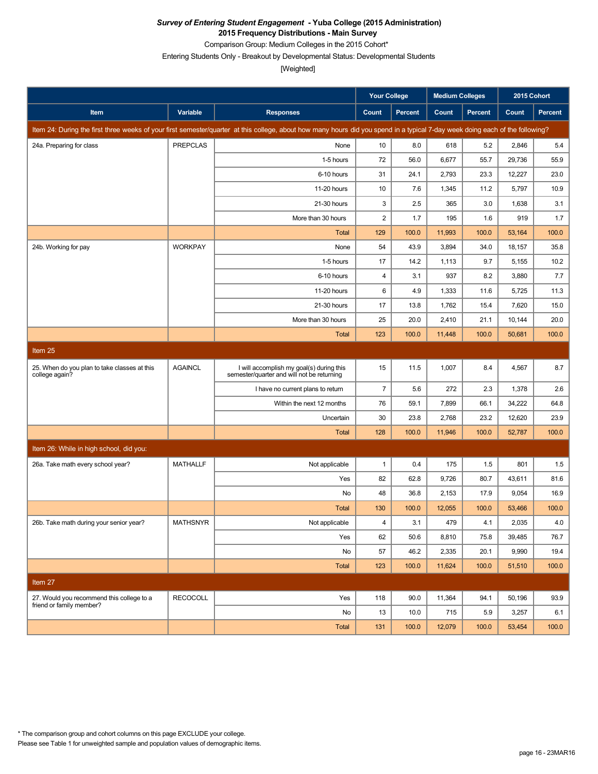Comparison Group: Medium Colleges in the 2015 Cohort\*

Entering Students Only - Breakout by Developmental Status: Developmental Students

[Weighted]

|                                                                |                 |                                                                                                                                                                               | <b>Your College</b>       |         | <b>Medium Colleges</b> |         | 2015 Cohort |         |
|----------------------------------------------------------------|-----------------|-------------------------------------------------------------------------------------------------------------------------------------------------------------------------------|---------------------------|---------|------------------------|---------|-------------|---------|
| Item                                                           | Variable        | <b>Responses</b>                                                                                                                                                              | Count                     | Percent | Count                  | Percent | Count       | Percent |
|                                                                |                 | Item 24: During the first three weeks of your first semester/quarter at this college, about how many hours did you spend in a typical 7-day week doing each of the following? |                           |         |                        |         |             |         |
| 24a. Preparing for class                                       | <b>PREPCLAS</b> | None                                                                                                                                                                          | 10                        | 8.0     | 618                    | 5.2     | 2,846       | 5.4     |
|                                                                |                 | 1-5 hours                                                                                                                                                                     | 72                        | 56.0    | 6,677                  | 55.7    | 29,736      | 55.9    |
|                                                                |                 | 6-10 hours                                                                                                                                                                    | 31                        | 24.1    | 2,793                  | 23.3    | 12,227      | 23.0    |
|                                                                |                 | 11-20 hours                                                                                                                                                                   | 10                        | 7.6     | 1,345                  | 11.2    | 5,797       | 10.9    |
|                                                                |                 | 21-30 hours                                                                                                                                                                   | $\ensuremath{\mathsf{3}}$ | 2.5     | 365                    | 3.0     | 1,638       | 3.1     |
|                                                                |                 | More than 30 hours                                                                                                                                                            | $\sqrt{2}$                | 1.7     | 195                    | 1.6     | 919         | 1.7     |
|                                                                |                 | <b>Total</b>                                                                                                                                                                  | 129                       | 100.0   | 11,993                 | 100.0   | 53,164      | 100.0   |
| 24b. Working for pay                                           | <b>WORKPAY</b>  | None                                                                                                                                                                          | 54                        | 43.9    | 3,894                  | 34.0    | 18,157      | 35.8    |
|                                                                |                 | 1-5 hours                                                                                                                                                                     | 17                        | 14.2    | 1,113                  | 9.7     | 5,155       | 10.2    |
|                                                                |                 | 6-10 hours                                                                                                                                                                    | 4                         | 3.1     | 937                    | 8.2     | 3,880       | 7.7     |
|                                                                |                 | 11-20 hours                                                                                                                                                                   | 6                         | 4.9     | 1,333                  | 11.6    | 5,725       | 11.3    |
|                                                                |                 | 21-30 hours                                                                                                                                                                   | 17                        | 13.8    | 1,762                  | 15.4    | 7,620       | 15.0    |
|                                                                |                 | More than 30 hours                                                                                                                                                            | 25                        | 20.0    | 2,410                  | 21.1    | 10,144      | 20.0    |
|                                                                |                 | <b>Total</b>                                                                                                                                                                  | 123                       | 100.0   | 11,448                 | 100.0   | 50,681      | 100.0   |
| Item 25                                                        |                 |                                                                                                                                                                               |                           |         |                        |         |             |         |
| 25. When do you plan to take classes at this<br>college again? | <b>AGAINCL</b>  | I will accomplish my goal(s) during this<br>semester/quarter and will not be returning                                                                                        | 15                        | 11.5    | 1,007                  | 8.4     | 4,567       | 8.7     |
|                                                                |                 | I have no current plans to return                                                                                                                                             | $\overline{7}$            | 5.6     | 272                    | 2.3     | 1,378       | 2.6     |
|                                                                |                 | Within the next 12 months                                                                                                                                                     | 76                        | 59.1    | 7,899                  | 66.1    | 34,222      | 64.8    |
|                                                                |                 | Uncertain                                                                                                                                                                     | 30                        | 23.8    | 2,768                  | 23.2    | 12,620      | 23.9    |
|                                                                |                 | <b>Total</b>                                                                                                                                                                  | 128                       | 100.0   | 11,946                 | 100.0   | 52,787      | 100.0   |
| Item 26: While in high school, did you:                        |                 |                                                                                                                                                                               |                           |         |                        |         |             |         |
| 26a. Take math every school year?                              | <b>MATHALLF</b> | Not applicable                                                                                                                                                                | $\mathbf{1}$              | 0.4     | 175                    | 1.5     | 801         | 1.5     |
|                                                                |                 | Yes                                                                                                                                                                           | 82                        | 62.8    | 9,726                  | 80.7    | 43,611      | 81.6    |
|                                                                |                 | No                                                                                                                                                                            | 48                        | 36.8    | 2,153                  | 17.9    | 9,054       | 16.9    |
|                                                                |                 | <b>Total</b>                                                                                                                                                                  | 130                       | 100.0   | 12,055                 | 100.0   | 53,466      | 100.0   |
| 26b. Take math during your senior year?                        | <b>MATHSNYR</b> | Not applicable                                                                                                                                                                | $\overline{4}$            | 3.1     | 479                    | 4.1     | 2,035       | 4.0     |
|                                                                |                 | Yes                                                                                                                                                                           | 62                        | 50.6    | 8,810                  | 75.8    | 39.485      | 76.7    |
|                                                                |                 | No                                                                                                                                                                            | 57                        | 46.2    | 2,335                  | 20.1    | 9,990       | 19.4    |
|                                                                |                 | Total                                                                                                                                                                         | 123                       | 100.0   | 11,624                 | 100.0   | 51,510      | 100.0   |
| Item 27                                                        |                 |                                                                                                                                                                               |                           |         |                        |         |             |         |
| 27. Would you recommend this college to a                      | <b>RECOCOLL</b> | Yes                                                                                                                                                                           | 118                       | 90.0    | 11,364                 | 94.1    | 50,196      | 93.9    |
| friend or family member?                                       |                 | No                                                                                                                                                                            | 13                        | 10.0    | 715                    | 5.9     | 3,257       | 6.1     |
|                                                                |                 | Total                                                                                                                                                                         | 131                       | 100.0   | 12,079                 | 100.0   | 53,454      | 100.0   |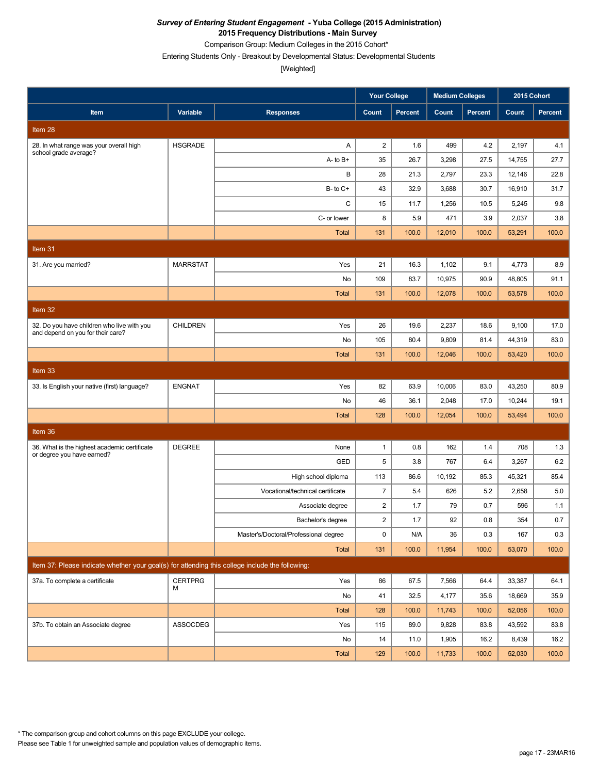Comparison Group: Medium Colleges in the 2015 Cohort\*

Entering Students Only - Breakout by Developmental Status: Developmental Students

[Weighted]

|                                                                                                 |                 |                                       | <b>Your College</b>     |                | <b>Medium Colleges</b> |         | 2015 Cohort |         |
|-------------------------------------------------------------------------------------------------|-----------------|---------------------------------------|-------------------------|----------------|------------------------|---------|-------------|---------|
| Item                                                                                            | Variable        | <b>Responses</b>                      | Count                   | <b>Percent</b> | Count                  | Percent | Count       | Percent |
| Item <sub>28</sub>                                                                              |                 |                                       |                         |                |                        |         |             |         |
| 28. In what range was your overall high<br>school grade average?                                | <b>HSGRADE</b>  | Α                                     | $\overline{2}$          | 1.6            | 499                    | 4.2     | 2,197       | 4.1     |
|                                                                                                 |                 | $A - to B +$                          | 35                      | 26.7           | 3,298                  | 27.5    | 14,755      | 27.7    |
|                                                                                                 |                 | В                                     | 28                      | 21.3           | 2,797                  | 23.3    | 12,146      | 22.8    |
|                                                                                                 |                 | $B$ - to $C$ +                        | 43                      | 32.9           | 3,688                  | 30.7    | 16,910      | 31.7    |
|                                                                                                 |                 | C                                     | 15                      | 11.7           | 1,256                  | 10.5    | 5,245       | 9.8     |
|                                                                                                 |                 | C- or lower                           | 8                       | 5.9            | 471                    | 3.9     | 2,037       | 3.8     |
|                                                                                                 |                 | <b>Total</b>                          | 131                     | 100.0          | 12,010                 | 100.0   | 53,291      | 100.0   |
| Item 31                                                                                         |                 |                                       |                         |                |                        |         |             |         |
| 31. Are you married?                                                                            | <b>MARRSTAT</b> | Yes                                   | 21                      | 16.3           | 1,102                  | 9.1     | 4,773       | 8.9     |
|                                                                                                 |                 | No                                    | 109                     | 83.7           | 10,975                 | 90.9    | 48,805      | 91.1    |
|                                                                                                 |                 | <b>Total</b>                          | 131                     | 100.0          | 12,078                 | 100.0   | 53,578      | 100.0   |
| Item $32$                                                                                       |                 |                                       |                         |                |                        |         |             |         |
| 32. Do you have children who live with you                                                      | <b>CHILDREN</b> | Yes                                   | 26                      | 19.6           | 2,237                  | 18.6    | 9,100       | 17.0    |
| and depend on you for their care?                                                               |                 | No                                    | 105                     | 80.4           | 9,809                  | 81.4    | 44,319      | 83.0    |
|                                                                                                 |                 | <b>Total</b>                          | 131                     | 100.0          | 12,046                 | 100.0   | 53,420      | 100.0   |
| Item 33                                                                                         |                 |                                       |                         |                |                        |         |             |         |
| 33. Is English your native (first) language?                                                    | <b>ENGNAT</b>   | Yes                                   | 82                      | 63.9           | 10,006                 | 83.0    | 43,250      | 80.9    |
|                                                                                                 |                 | No                                    | 46                      | 36.1           | 2,048                  | 17.0    | 10,244      | 19.1    |
|                                                                                                 |                 | <b>Total</b>                          | 128                     | 100.0          | 12,054                 | 100.0   | 53,494      | 100.0   |
| Item 36                                                                                         |                 |                                       |                         |                |                        |         |             |         |
| 36. What is the highest academic certificate                                                    | <b>DEGREE</b>   | None                                  | $\mathbf{1}$            | 0.8            | 162                    | 1.4     | 708         | 1.3     |
| or degree you have earned?                                                                      |                 | GED                                   | 5                       | 3.8            | 767                    | 6.4     | 3,267       | 6.2     |
|                                                                                                 |                 | High school diploma                   | 113                     | 86.6           | 10,192                 | 85.3    | 45,321      | 85.4    |
|                                                                                                 |                 | Vocational/technical certificate      | $\overline{7}$          | 5.4            | 626                    | 5.2     | 2,658       | 5.0     |
|                                                                                                 |                 | Associate degree                      | $\overline{\mathbf{c}}$ | 1.7            | 79                     | 0.7     | 596         | 1.1     |
|                                                                                                 |                 | Bachelor's degree                     | $\overline{\mathbf{c}}$ | 1.7            | 92                     | 0.8     | 354         | 0.7     |
|                                                                                                 |                 | Master's/Doctoral/Professional degree | 0                       | N/A            | 36                     | 0.3     | 167         | 0.3     |
|                                                                                                 |                 | Total                                 | 131                     | 100.0          | 11,954                 | 100.0   | 53,070      | 100.0   |
| Item 37: Please indicate whether your goal(s) for attending this college include the following: |                 |                                       |                         |                |                        |         |             |         |
| 37a. To complete a certificate                                                                  | <b>CERTPRG</b>  | Yes                                   | 86                      | 67.5           | 7,566                  | 64.4    | 33,387      | 64.1    |
|                                                                                                 | М               | No                                    | 41                      | 32.5           | 4,177                  | 35.6    | 18,669      | 35.9    |
|                                                                                                 |                 | Total                                 | 128                     | 100.0          | 11,743                 | 100.0   | 52,056      | 100.0   |
| 37b. To obtain an Associate degree                                                              | ASSOCDEG        | Yes                                   | 115                     | 89.0           | 9,828                  | 83.8    | 43,592      | 83.8    |
|                                                                                                 |                 | No                                    | 14                      | 11.0           | 1,905                  | 16.2    | 8,439       | 16.2    |
|                                                                                                 |                 | Total                                 | 129                     | 100.0          | 11,733                 | 100.0   | 52,030      | 100.0   |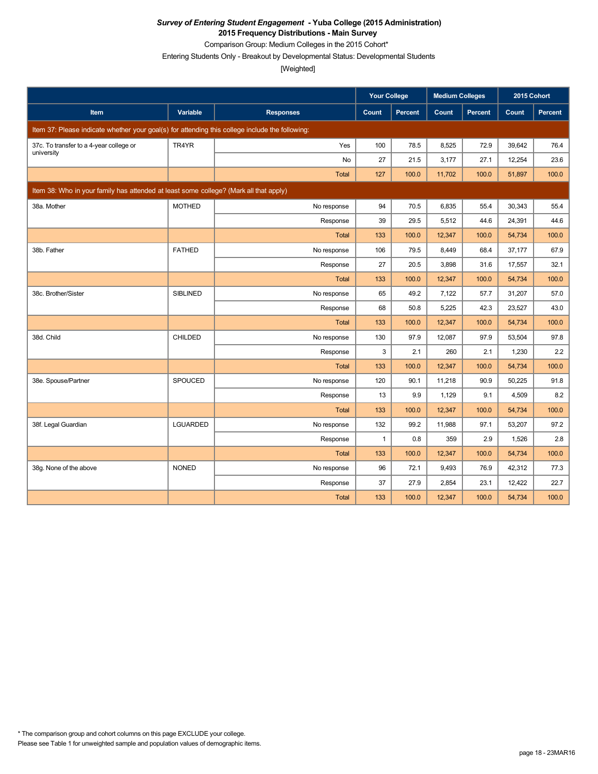Comparison Group: Medium Colleges in the 2015 Cohort\*

Entering Students Only - Breakout by Developmental Status: Developmental Students

|                                                                                                 |                 |                  | <b>Your College</b> |                | <b>Medium Colleges</b> |                | 2015 Cohort |         |
|-------------------------------------------------------------------------------------------------|-----------------|------------------|---------------------|----------------|------------------------|----------------|-------------|---------|
| <b>Item</b>                                                                                     | Variable        | <b>Responses</b> | Count               | <b>Percent</b> | Count                  | <b>Percent</b> | Count       | Percent |
| Item 37: Please indicate whether your goal(s) for attending this college include the following: |                 |                  |                     |                |                        |                |             |         |
| 37c. To transfer to a 4-year college or                                                         | TR4YR           | Yes              | 100                 | 78.5           | 8,525                  | 72.9           | 39,642      | 76.4    |
| university                                                                                      |                 | No               | 27                  | 21.5           | 3,177                  | 27.1           | 12,254      | 23.6    |
|                                                                                                 |                 | <b>Total</b>     | 127                 | 100.0          | 11,702                 | 100.0          | 51,897      | 100.0   |
| Item 38: Who in your family has attended at least some college? (Mark all that apply)           |                 |                  |                     |                |                        |                |             |         |
| 38a. Mother                                                                                     | <b>MOTHED</b>   | No response      | 94                  | 70.5           | 6,835                  | 55.4           | 30,343      | 55.4    |
|                                                                                                 |                 | Response         | 39                  | 29.5           | 5,512                  | 44.6           | 24,391      | 44.6    |
|                                                                                                 |                 | <b>Total</b>     | 133                 | 100.0          | 12,347                 | 100.0          | 54,734      | 100.0   |
| 38b. Father                                                                                     | <b>FATHED</b>   | No response      | 106                 | 79.5           | 8,449                  | 68.4           | 37,177      | 67.9    |
|                                                                                                 |                 | Response         | 27                  | 20.5           | 3,898                  | 31.6           | 17,557      | 32.1    |
|                                                                                                 |                 | <b>Total</b>     | 133                 | 100.0          | 12,347                 | 100.0          | 54,734      | 100.0   |
| 38c. Brother/Sister                                                                             | <b>SIBLINED</b> | No response      | 65                  | 49.2           | 7,122                  | 57.7           | 31,207      | 57.0    |
|                                                                                                 |                 | Response         | 68                  | 50.8           | 5,225                  | 42.3           | 23,527      | 43.0    |
|                                                                                                 |                 | <b>Total</b>     | 133                 | 100.0          | 12,347                 | 100.0          | 54,734      | 100.0   |
| 38d. Child                                                                                      | <b>CHILDED</b>  | No response      | 130                 | 97.9           | 12,087                 | 97.9           | 53,504      | 97.8    |
|                                                                                                 |                 | Response         | 3                   | 2.1            | 260                    | 2.1            | 1,230       | 2.2     |
|                                                                                                 |                 | <b>Total</b>     | 133                 | 100.0          | 12,347                 | 100.0          | 54,734      | 100.0   |
| 38e. Spouse/Partner                                                                             | SPOUCED         | No response      | 120                 | 90.1           | 11,218                 | 90.9           | 50,225      | 91.8    |
|                                                                                                 |                 | Response         | 13                  | 9.9            | 1,129                  | 9.1            | 4.509       | 8.2     |
|                                                                                                 |                 | <b>Total</b>     | 133                 | 100.0          | 12,347                 | 100.0          | 54,734      | 100.0   |
| 38f. Legal Guardian                                                                             | <b>LGUARDED</b> | No response      | 132                 | 99.2           | 11,988                 | 97.1           | 53,207      | 97.2    |
|                                                                                                 |                 | Response         | $\mathbf{1}$        | 0.8            | 359                    | 2.9            | 1,526       | 2.8     |
|                                                                                                 |                 | Total            | 133                 | 100.0          | 12,347                 | 100.0          | 54,734      | 100.0   |
| 38g. None of the above                                                                          | <b>NONED</b>    | No response      | 96                  | 72.1           | 9,493                  | 76.9           | 42,312      | 77.3    |
|                                                                                                 |                 | Response         | 37                  | 27.9           | 2,854                  | 23.1           | 12,422      | 22.7    |
|                                                                                                 |                 | <b>Total</b>     | 133                 | 100.0          | 12,347                 | 100.0          | 54,734      | 100.0   |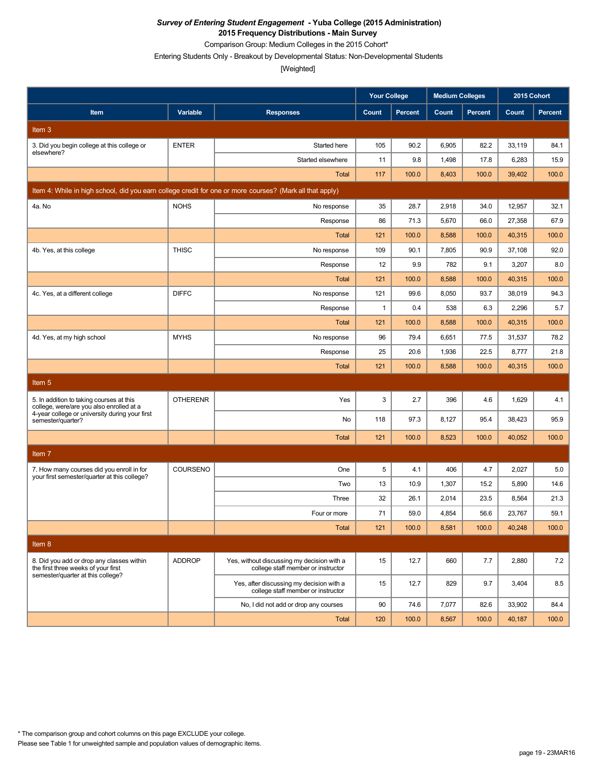Comparison Group: Medium Colleges in the 2015 Cohort\*

Entering Students Only - Breakout by Developmental Status: Non-Developmental Students

[Weighted]

|                                                                                                          |                 |                                                                                  | <b>Your College</b> |                | <b>Medium Colleges</b> |                |        | 2015 Cohort    |
|----------------------------------------------------------------------------------------------------------|-----------------|----------------------------------------------------------------------------------|---------------------|----------------|------------------------|----------------|--------|----------------|
| Item                                                                                                     | Variable        | <b>Responses</b>                                                                 | Count               | <b>Percent</b> | Count                  | <b>Percent</b> | Count  | <b>Percent</b> |
| Item 3                                                                                                   |                 |                                                                                  |                     |                |                        |                |        |                |
| 3. Did you begin college at this college or                                                              | <b>ENTER</b>    | Started here                                                                     | 105                 | 90.2           | 6,905                  | 82.2           | 33,119 | 84.1           |
| elsewhere?                                                                                               |                 | Started elsewhere                                                                | 11                  | 9.8            | 1,498                  | 17.8           | 6,283  | 15.9           |
|                                                                                                          |                 | Total                                                                            | 117                 | 100.0          | 8,403                  | 100.0          | 39,402 | 100.0          |
| Item 4: While in high school, did you earn college credit for one or more courses? (Mark all that apply) |                 |                                                                                  |                     |                |                        |                |        |                |
| 4a. No                                                                                                   | <b>NOHS</b>     | No response                                                                      | 35                  | 28.7           | 2,918                  | 34.0           | 12,957 | 32.1           |
|                                                                                                          |                 | Response                                                                         | 86                  | 71.3           | 5,670                  | 66.0           | 27,358 | 67.9           |
|                                                                                                          |                 | <b>Total</b>                                                                     | 121                 | 100.0          | 8,588                  | 100.0          | 40,315 | 100.0          |
| 4b. Yes, at this college                                                                                 | <b>THISC</b>    | No response                                                                      | 109                 | 90.1           | 7,805                  | 90.9           | 37,108 | 92.0           |
|                                                                                                          |                 | Response                                                                         | 12                  | 9.9            | 782                    | 9.1            | 3,207  | 8.0            |
|                                                                                                          |                 | <b>Total</b>                                                                     | 121                 | 100.0          | 8,588                  | 100.0          | 40,315 | 100.0          |
| 4c. Yes, at a different college                                                                          | <b>DIFFC</b>    | No response                                                                      | 121                 | 99.6           | 8,050                  | 93.7           | 38,019 | 94.3           |
|                                                                                                          |                 | Response                                                                         | $\mathbf{1}$        | 0.4            | 538                    | 6.3            | 2,296  | 5.7            |
|                                                                                                          |                 | Total                                                                            | 121                 | 100.0          | 8,588                  | 100.0          | 40,315 | 100.0          |
| 4d. Yes, at my high school                                                                               | <b>MYHS</b>     | No response                                                                      | 96                  | 79.4           | 6,651                  | 77.5           | 31,537 | 78.2           |
|                                                                                                          |                 | Response                                                                         | 25                  | 20.6           | 1,936                  | 22.5           | 8,777  | 21.8           |
|                                                                                                          |                 | Total                                                                            | 121                 | 100.0          | 8,588                  | 100.0          | 40,315 | 100.0          |
| Item <sub>5</sub>                                                                                        |                 |                                                                                  |                     |                |                        |                |        |                |
| 5. In addition to taking courses at this<br>college, were/are you also enrolled at a                     | <b>OTHERENR</b> | Yes                                                                              | 3                   | 2.7            | 396                    | 4.6            | 1,629  | 4.1            |
| 4-year college or university during your first<br>semester/quarter?                                      |                 | No                                                                               | 118                 | 97.3           | 8,127                  | 95.4           | 38,423 | 95.9           |
|                                                                                                          |                 | <b>Total</b>                                                                     | 121                 | 100.0          | 8,523                  | 100.0          | 40,052 | 100.0          |
| Item <sub>7</sub>                                                                                        |                 |                                                                                  |                     |                |                        |                |        |                |
| 7. How many courses did you enroll in for                                                                | COURSENO        | One                                                                              | 5                   | 4.1            | 406                    | 4.7            | 2,027  | 5.0            |
| your first semester/quarter at this college?                                                             |                 | Two                                                                              | 13                  | 10.9           | 1,307                  | 15.2           | 5,890  | 14.6           |
|                                                                                                          |                 | Three                                                                            | 32                  | 26.1           | 2,014                  | 23.5           | 8,564  | 21.3           |
|                                                                                                          |                 | Four or more                                                                     | 71                  | 59.0           | 4,854                  | 56.6           | 23,767 | 59.1           |
|                                                                                                          |                 | Total                                                                            | $121$               | 100.0          | 8,581                  | 100.0          | 40,248 | 100.0          |
| Item 8                                                                                                   |                 |                                                                                  |                     |                |                        |                |        |                |
| 8. Did you add or drop any classes within<br>the first three weeks of your first                         | <b>ADDROP</b>   | Yes, without discussing my decision with a<br>college staff member or instructor | 15                  | 12.7           | 660                    | 7.7            | 2,880  | 7.2            |
| semester/quarter at this college?                                                                        |                 | Yes, after discussing my decision with a<br>college staff member or instructor   | 15                  | 12.7           | 829                    | 9.7            | 3,404  | 8.5            |
|                                                                                                          |                 | No, I did not add or drop any courses                                            | 90                  | 74.6           | 7,077                  | 82.6           | 33,902 | 84.4           |
|                                                                                                          |                 | Total                                                                            | 120                 | 100.0          | 8,567                  | 100.0          | 40,187 | 100.0          |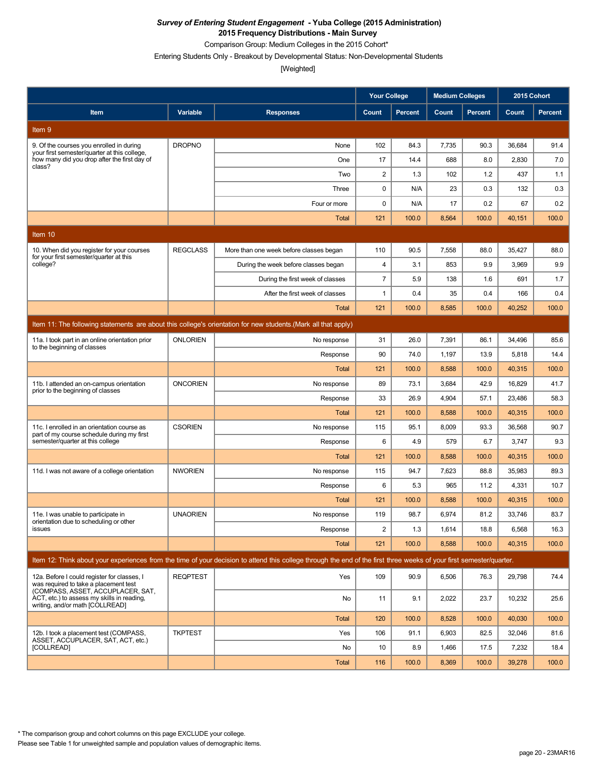Comparison Group: Medium Colleges in the 2015 Cohort\*

Entering Students Only - Breakout by Developmental Status: Non-Developmental Students

[Weighted]

|                                                                                                                           |                 |                                                                                                                                                                      | <b>Your College</b>   |                | <b>Medium Colleges</b> |               | 2015 Cohort     |               |
|---------------------------------------------------------------------------------------------------------------------------|-----------------|----------------------------------------------------------------------------------------------------------------------------------------------------------------------|-----------------------|----------------|------------------------|---------------|-----------------|---------------|
| Item                                                                                                                      | Variable        | <b>Responses</b>                                                                                                                                                     | Count                 | <b>Percent</b> | Count                  | Percent       | Count           | Percent       |
| Item 9                                                                                                                    |                 |                                                                                                                                                                      |                       |                |                        |               |                 |               |
| 9. Of the courses you enrolled in during<br>your first semester/quarter at this college.                                  | <b>DROPNO</b>   | None                                                                                                                                                                 | 102                   | 84.3           | 7,735                  | 90.3          | 36,684          | 91.4          |
| how many did you drop after the first day of<br>class?                                                                    |                 | One                                                                                                                                                                  | 17                    | 14.4           | 688                    | 8.0           | 2,830           | 7.0           |
|                                                                                                                           |                 | Two                                                                                                                                                                  | $\overline{c}$        | 1.3            | 102                    | 1.2           | 437             | 1.1           |
|                                                                                                                           |                 | Three                                                                                                                                                                | $\mathbf 0$           | N/A            | 23                     | 0.3           | 132             | 0.3           |
|                                                                                                                           |                 | Four or more                                                                                                                                                         | $\mathbf 0$           | N/A            | 17                     | 0.2           | 67              | 0.2           |
|                                                                                                                           |                 | <b>Total</b>                                                                                                                                                         | 121                   | 100.0          | 8,564                  | 100.0         | 40,151          | 100.0         |
| Item 10                                                                                                                   |                 |                                                                                                                                                                      |                       |                |                        |               |                 |               |
| 10. When did you register for your courses<br>for your first semester/quarter at this                                     | <b>REGCLASS</b> | More than one week before classes began                                                                                                                              | 110                   | 90.5           | 7,558                  | 88.0          | 35,427          | 88.0          |
| college?                                                                                                                  |                 | During the week before classes began                                                                                                                                 | 4                     | 3.1            | 853                    | 9.9           | 3,969           | 9.9           |
|                                                                                                                           |                 | During the first week of classes                                                                                                                                     | $\overline{7}$        | 5.9            | 138                    | 1.6           | 691             | 1.7           |
|                                                                                                                           |                 | After the first week of classes                                                                                                                                      | 1                     | 0.4            | 35                     | 0.4           | 166             | 0.4           |
|                                                                                                                           |                 | Total                                                                                                                                                                | 121                   | 100.0          | 8,585                  | 100.0         | 40,252          | 100.0         |
|                                                                                                                           |                 | Item 11: The following statements are about this college's orientation for new students. (Mark all that apply)                                                       |                       |                |                        |               |                 |               |
| 11a. I took part in an online orientation prior<br>to the beginning of classes                                            | <b>ONLORIEN</b> | No response                                                                                                                                                          | 31                    | 26.0           | 7,391                  | 86.1          | 34,496          | 85.6          |
|                                                                                                                           |                 | Response                                                                                                                                                             | 90                    | 74.0           | 1,197                  | 13.9          | 5,818           | 14.4          |
|                                                                                                                           |                 | Total                                                                                                                                                                | 121                   | 100.0          | 8,588                  | 100.0         | 40,315          | 100.0         |
| 11b. I attended an on-campus orientation<br>prior to the beginning of classes                                             | <b>ONCORIEN</b> | No response                                                                                                                                                          | 89                    | 73.1           | 3,684                  | 42.9          | 16,829          | 41.7          |
|                                                                                                                           |                 | Response                                                                                                                                                             | 33                    | 26.9           | 4,904                  | 57.1          | 23,486          | 58.3          |
|                                                                                                                           |                 | Total                                                                                                                                                                | 121                   | 100.0          | 8,588                  | 100.0         | 40,315          | 100.0         |
| 11c. I enrolled in an orientation course as<br>part of my course schedule during my first                                 | <b>CSORIEN</b>  | No response                                                                                                                                                          | 115                   | 95.1           | 8,009                  | 93.3          | 36,568          | 90.7          |
| semester/quarter at this college                                                                                          |                 | Response                                                                                                                                                             | 6                     | 4.9            | 579                    | 6.7           | 3,747           | 9.3           |
|                                                                                                                           |                 | <b>Total</b>                                                                                                                                                         | 121                   | 100.0          | 8,588                  | 100.0         | 40,315          | 100.0         |
| 11d. I was not aware of a college orientation                                                                             | <b>NWORIEN</b>  | No response                                                                                                                                                          | 115                   | 94.7           | 7,623                  | 88.8          | 35,983          | 89.3          |
|                                                                                                                           |                 | Response                                                                                                                                                             | 6                     | 5.3            | 965                    | 11.2          | 4,331           | 10.7          |
|                                                                                                                           |                 | Total                                                                                                                                                                | 121                   | 100.0          | 8,588                  | 100.0         | 40,315          | 100.0         |
| 11e. I was unable to participate in<br>orientation due to scheduling or other                                             | <b>UNAORIEN</b> | No response                                                                                                                                                          | 119                   | 98.7           | 6,974                  | 81.2          | 33,746          | 83.7          |
| issues                                                                                                                    |                 | Response<br><b>Total</b>                                                                                                                                             | $\overline{2}$<br>121 | 1.3<br>100.0   | 1,614<br>8,588         | 18.8<br>100.0 | 6,568<br>40,315 | 16.3<br>100.0 |
|                                                                                                                           |                 |                                                                                                                                                                      |                       |                |                        |               |                 |               |
|                                                                                                                           |                 | Item 12: Think about your experiences from the time of your decision to attend this college through the end of the first three weeks of your first semester/quarter. |                       |                |                        |               |                 |               |
| 12a. Before I could register for classes, I<br>was required to take a placement test<br>(COMPASS, ASSET, ACCUPLACER, SAT, | <b>REQPTEST</b> | Yes                                                                                                                                                                  | 109                   | 90.9           | 6,506                  | 76.3          | 29,798          | 74.4          |
| ACT, etc.) to assess my skills in reading.<br>writing, and/or math [COLLREAD]                                             |                 | No                                                                                                                                                                   | 11                    | 9.1            | 2,022                  | 23.7          | 10,232          | 25.6          |
|                                                                                                                           |                 | <b>Total</b>                                                                                                                                                         | 120                   | 100.0          | 8,528                  | 100.0         | 40,030          | 100.0         |
| 12b. I took a placement test (COMPASS,<br>ASSET, ACCUPLACER, SAT, ACT, etc.)                                              | <b>TKPTEST</b>  | Yes                                                                                                                                                                  | 106                   | 91.1           | 6,903                  | 82.5          | 32,046          | 81.6          |
| [COLLREAD]                                                                                                                |                 | No                                                                                                                                                                   | 10                    | 8.9            | 1,466                  | 17.5          | 7,232           | 18.4          |
|                                                                                                                           |                 | <b>Total</b>                                                                                                                                                         | 116                   | 100.0          | 8,369                  | 100.0         | 39,278          | 100.0         |

\* The comparison group and cohort columns on this page EXCLUDE your college.

Please see Table 1 for unweighted sample and population values of demographic items.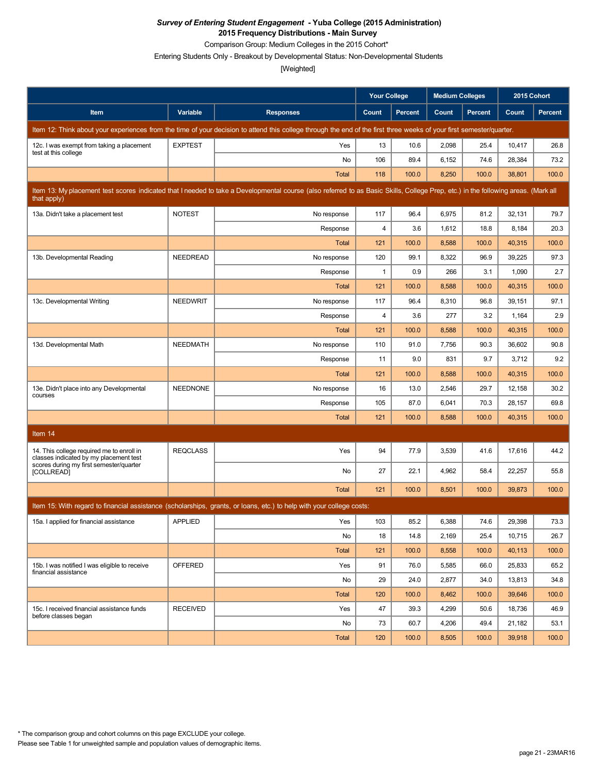Comparison Group: Medium Colleges in the 2015 Cohort\*

Entering Students Only - Breakout by Developmental Status: Non-Developmental Students

[Weighted]

|                                                                                     |                 |                                                                                                                                                                                   | <b>Your College</b> |                | <b>Medium Colleges</b> |                | 2015 Cohort |                |
|-------------------------------------------------------------------------------------|-----------------|-----------------------------------------------------------------------------------------------------------------------------------------------------------------------------------|---------------------|----------------|------------------------|----------------|-------------|----------------|
| Item                                                                                | Variable        | <b>Responses</b>                                                                                                                                                                  | Count               | <b>Percent</b> | Count                  | <b>Percent</b> | Count       | <b>Percent</b> |
|                                                                                     |                 | Item 12: Think about your experiences from the time of your decision to attend this college through the end of the first three weeks of your first semester/quarter.              |                     |                |                        |                |             |                |
| 12c. I was exempt from taking a placement<br>test at this college                   | <b>EXPTEST</b>  | Yes                                                                                                                                                                               | 13                  | 10.6           | 2,098                  | 25.4           | 10,417      | 26.8           |
|                                                                                     |                 | No                                                                                                                                                                                | 106                 | 89.4           | 6,152                  | 74.6           | 28,384      | 73.2           |
|                                                                                     |                 | Total                                                                                                                                                                             | 118                 | 100.0          | 8,250                  | 100.0          | 38,801      | 100.0          |
| that apply)                                                                         |                 | Item 13: My placement test scores indicated that I needed to take a Developmental course (also referred to as Basic Skills, College Prep, etc.) in the following areas. (Mark all |                     |                |                        |                |             |                |
| 13a. Didn't take a placement test                                                   | <b>NOTEST</b>   | No response                                                                                                                                                                       | 117                 | 96.4           | 6,975                  | 81.2           | 32,131      | 79.7           |
|                                                                                     |                 | Response                                                                                                                                                                          | 4                   | 3.6            | 1,612                  | 18.8           | 8,184       | 20.3           |
|                                                                                     |                 | <b>Total</b>                                                                                                                                                                      | 121                 | 100.0          | 8,588                  | 100.0          | 40,315      | 100.0          |
| 13b. Developmental Reading                                                          | <b>NEEDREAD</b> | No response                                                                                                                                                                       | 120                 | 99.1           | 8,322                  | 96.9           | 39,225      | 97.3           |
|                                                                                     |                 | Response                                                                                                                                                                          | $\mathbf{1}$        | 0.9            | 266                    | 3.1            | 1,090       | 2.7            |
|                                                                                     |                 | Total                                                                                                                                                                             | 121                 | 100.0          | 8,588                  | 100.0          | 40,315      | 100.0          |
| 13c. Developmental Writing                                                          | <b>NEEDWRIT</b> | No response                                                                                                                                                                       | 117                 | 96.4           | 8,310                  | 96.8           | 39,151      | 97.1           |
|                                                                                     |                 | Response                                                                                                                                                                          | 4                   | 3.6            | 277                    | 3.2            | 1,164       | 2.9            |
|                                                                                     |                 | Total                                                                                                                                                                             | 121                 | 100.0          | 8,588                  | 100.0          | 40,315      | 100.0          |
| 13d. Developmental Math                                                             | <b>NEEDMATH</b> | No response                                                                                                                                                                       | 110                 | 91.0           | 7,756                  | 90.3           | 36,602      | 90.8           |
|                                                                                     |                 | Response                                                                                                                                                                          | 11                  | 9.0            | 831                    | 9.7            | 3,712       | 9.2            |
|                                                                                     |                 | <b>Total</b>                                                                                                                                                                      | 121                 | 100.0          | 8,588                  | 100.0          | 40,315      | 100.0          |
| 13e. Didn't place into any Developmental<br>courses                                 | <b>NEEDNONE</b> | No response                                                                                                                                                                       | 16                  | 13.0           | 2,546                  | 29.7           | 12,158      | 30.2           |
|                                                                                     |                 | Response                                                                                                                                                                          | 105                 | 87.0           | 6,041                  | 70.3           | 28,157      | 69.8           |
|                                                                                     |                 | <b>Total</b>                                                                                                                                                                      | 121                 | 100.0          | 8,588                  | 100.0          | 40,315      | 100.0          |
| Item 14                                                                             |                 |                                                                                                                                                                                   |                     |                |                        |                |             |                |
| 14. This college required me to enroll in<br>classes indicated by my placement test | <b>REQCLASS</b> | Yes                                                                                                                                                                               | 94                  | 77.9           | 3,539                  | 41.6           | 17,616      | 44.2           |
| scores during my first semester/quarter<br>[COLLREAD]                               |                 | No                                                                                                                                                                                | 27                  | 22.1           | 4,962                  | 58.4           | 22,257      | 55.8           |
|                                                                                     |                 | Total                                                                                                                                                                             | 121                 | 100.0          | 8,501                  | 100.0          | 39,873      | 100.0          |
|                                                                                     |                 | Item 15: With regard to financial assistance (scholarships, grants, or loans, etc.) to help with your college costs:                                                              |                     |                |                        |                |             |                |
| 15a. I applied for financial assistance                                             | <b>APPLIED</b>  | Yes                                                                                                                                                                               | 103                 | 85.2           | 6,388                  | 74.6           | 29,398      | 73.3           |
|                                                                                     |                 | No                                                                                                                                                                                | 18                  | 14.8           | 2,169                  | 25.4           | 10,715      | 26.7           |
|                                                                                     |                 | Total                                                                                                                                                                             | 121                 | 100.0          | 8,558                  | 100.0          | 40,113      | 100.0          |
| 15b. I was notified I was eligible to receive                                       | <b>OFFERED</b>  | Yes                                                                                                                                                                               | 91                  | 76.0           | 5,585                  | 66.0           | 25,833      | 65.2           |
| financial assistance                                                                |                 | No                                                                                                                                                                                | 29                  | 24.0           | 2,877                  | 34.0           | 13,813      | 34.8           |
|                                                                                     |                 | <b>Total</b>                                                                                                                                                                      | 120                 | 100.0          | 8,462                  | 100.0          | 39,646      | 100.0          |
| 15c. I received financial assistance funds                                          | <b>RECEIVED</b> | Yes                                                                                                                                                                               | 47                  | 39.3           | 4,299                  | 50.6           | 18,736      | 46.9           |
| before classes began                                                                |                 | No                                                                                                                                                                                | 73                  | 60.7           | 4,206                  | 49.4           | 21,182      | 53.1           |
|                                                                                     |                 | Total                                                                                                                                                                             | 120                 | 100.0          | 8,505                  | 100.0          | 39,918      | 100.0          |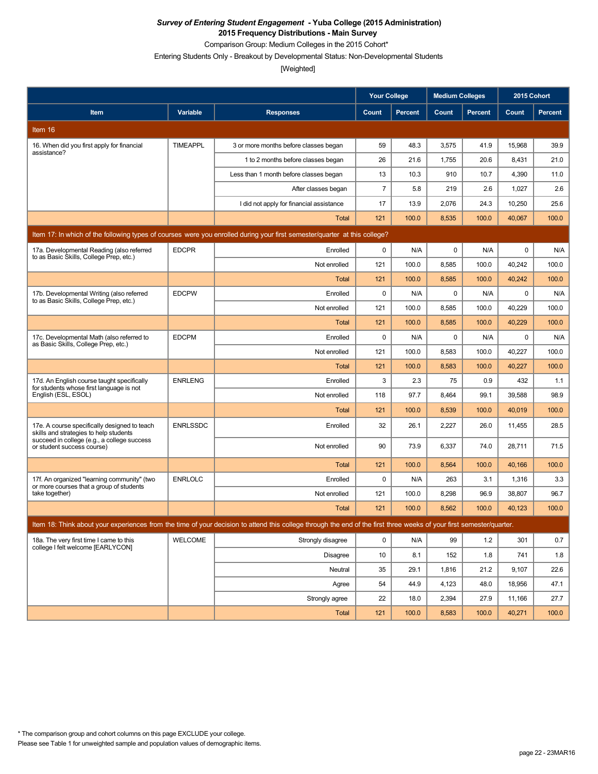Comparison Group: Medium Colleges in the 2015 Cohort\*

Entering Students Only - Breakout by Developmental Status: Non-Developmental Students

|                                                                                                                           |                 |                                                                                                                                                                      | <b>Your College</b> |                | <b>Medium Colleges</b> |                | 2015 Cohort |                |  |
|---------------------------------------------------------------------------------------------------------------------------|-----------------|----------------------------------------------------------------------------------------------------------------------------------------------------------------------|---------------------|----------------|------------------------|----------------|-------------|----------------|--|
| Item                                                                                                                      | Variable        | <b>Responses</b>                                                                                                                                                     | Count               | <b>Percent</b> | Count                  | <b>Percent</b> | Count       | <b>Percent</b> |  |
| Item 16                                                                                                                   |                 |                                                                                                                                                                      |                     |                |                        |                |             |                |  |
| 16. When did you first apply for financial                                                                                | <b>TIMEAPPL</b> | 3 or more months before classes began                                                                                                                                | 59                  | 48.3           | 3,575                  | 41.9           | 15,968      | 39.9           |  |
| assistance?                                                                                                               |                 | 1 to 2 months before classes began                                                                                                                                   | 26                  | 21.6           | 1,755                  | 20.6           | 8,431       | 21.0           |  |
|                                                                                                                           |                 | Less than 1 month before classes began                                                                                                                               | 13                  | 10.3           | 910                    | 10.7           | 4,390       | 11.0           |  |
|                                                                                                                           |                 | After classes began                                                                                                                                                  | $\overline{7}$      | 5.8            | 219                    | 2.6            | 1,027       | 2.6            |  |
|                                                                                                                           |                 | I did not apply for financial assistance                                                                                                                             | 17                  | 13.9           | 2,076                  | 24.3           | 10,250      | 25.6           |  |
|                                                                                                                           |                 | <b>Total</b>                                                                                                                                                         | 121                 | 100.0          | 8,535                  | 100.0          | 40,067      | 100.0          |  |
| Item 17: In which of the following types of courses were you enrolled during your first semester/quarter at this college? |                 |                                                                                                                                                                      |                     |                |                        |                |             |                |  |
| 17a. Developmental Reading (also referred<br>to as Basic Skills, College Prep, etc.)                                      | <b>EDCPR</b>    | Enrolled                                                                                                                                                             | 0                   | N/A            | $\pmb{0}$              | N/A            | 0           | N/A            |  |
|                                                                                                                           |                 | Not enrolled                                                                                                                                                         | 121                 | 100.0          | 8,585                  | 100.0          | 40,242      | 100.0          |  |
|                                                                                                                           |                 | Total                                                                                                                                                                | 121                 | 100.0          | 8,585                  | 100.0          | 40,242      | 100.0          |  |
| 17b. Developmental Writing (also referred<br>to as Basic Skills, College Prep, etc.)                                      | <b>EDCPW</b>    | Enrolled                                                                                                                                                             | 0                   | N/A            | $\pmb{0}$              | N/A            | 0           | N/A            |  |
|                                                                                                                           |                 | Not enrolled                                                                                                                                                         | 121                 | 100.0          | 8,585                  | 100.0          | 40,229      | 100.0          |  |
|                                                                                                                           |                 | <b>Total</b>                                                                                                                                                         | 121                 | 100.0          | 8,585                  | 100.0          | 40,229      | 100.0          |  |
| 17c. Developmental Math (also referred to<br>as Basic Skills, College Prep, etc.)                                         | <b>EDCPM</b>    | Enrolled                                                                                                                                                             | $\mathbf 0$         | N/A            | $\mathbf 0$            | N/A            | 0           | N/A            |  |
|                                                                                                                           |                 | Not enrolled                                                                                                                                                         | 121                 | 100.0          | 8,583                  | 100.0          | 40,227      | 100.0          |  |
|                                                                                                                           |                 | Total                                                                                                                                                                | 121                 | 100.0          | 8,583                  | 100.0          | 40,227      | 100.0          |  |
| 17d. An English course taught specifically<br>for students whose first language is not                                    | <b>ENRLENG</b>  | Enrolled                                                                                                                                                             | 3                   | 2.3            | 75                     | 0.9            | 432         | 1.1            |  |
| English (ESL, ESOL)                                                                                                       |                 | Not enrolled                                                                                                                                                         | 118                 | 97.7           | 8,464                  | 99.1           | 39,588      | 98.9           |  |
|                                                                                                                           |                 | Total                                                                                                                                                                | 121                 | 100.0          | 8,539                  | 100.0          | 40,019      | 100.0          |  |
| 17e. A course specifically designed to teach<br>skills and strategies to help students                                    | <b>ENRLSSDC</b> | Enrolled                                                                                                                                                             | 32                  | 26.1           | 2,227                  | 26.0           | 11,455      | 28.5           |  |
| succeed in college (e.g., a college success<br>or student success course)                                                 |                 | Not enrolled                                                                                                                                                         | 90                  | 73.9           | 6,337                  | 74.0           | 28,711      | 71.5           |  |
|                                                                                                                           |                 | <b>Total</b>                                                                                                                                                         | 121                 | 100.0          | 8,564                  | 100.0          | 40,166      | 100.0          |  |
| 17f. An organized "learning community" (two<br>or more courses that a group of students                                   | <b>ENRLOLC</b>  | Enrolled                                                                                                                                                             | 0                   | N/A            | 263                    | 3.1            | 1,316       | 3.3            |  |
| take together)                                                                                                            |                 | Not enrolled                                                                                                                                                         | 121                 | 100.0          | 8,298                  | 96.9           | 38,807      | 96.7           |  |
|                                                                                                                           |                 | <b>Total</b>                                                                                                                                                         | 121                 | 100.0          | 8,562                  | 100.0          | 40,123      | 100.0          |  |
|                                                                                                                           |                 | Item 18: Think about your experiences from the time of your decision to attend this college through the end of the first three weeks of your first semester/quarter. |                     |                |                        |                |             |                |  |
| 18a. The very first time I came to this<br>college I felt welcome [EARLYCON]                                              | WELCOME         | Strongly disagree                                                                                                                                                    | 0                   | N/A            | 99                     | 1.2            | 301         | 0.7            |  |
|                                                                                                                           |                 | <b>Disagree</b>                                                                                                                                                      | 10                  | 8.1            | 152                    | 1.8            | 741         | 1.8            |  |
|                                                                                                                           |                 | Neutral                                                                                                                                                              | 35                  | 29.1           | 1,816                  | 21.2           | 9,107       | 22.6           |  |
|                                                                                                                           |                 | Agree                                                                                                                                                                | 54                  | 44.9           | 4,123                  | 48.0           | 18,956      | 47.1           |  |
|                                                                                                                           |                 | Strongly agree                                                                                                                                                       | 22                  | 18.0           | 2,394                  | 27.9           | 11,166      | 27.7           |  |
|                                                                                                                           |                 | Total                                                                                                                                                                | 121                 | 100.0          | 8,583                  | 100.0          | 40,271      | 100.0          |  |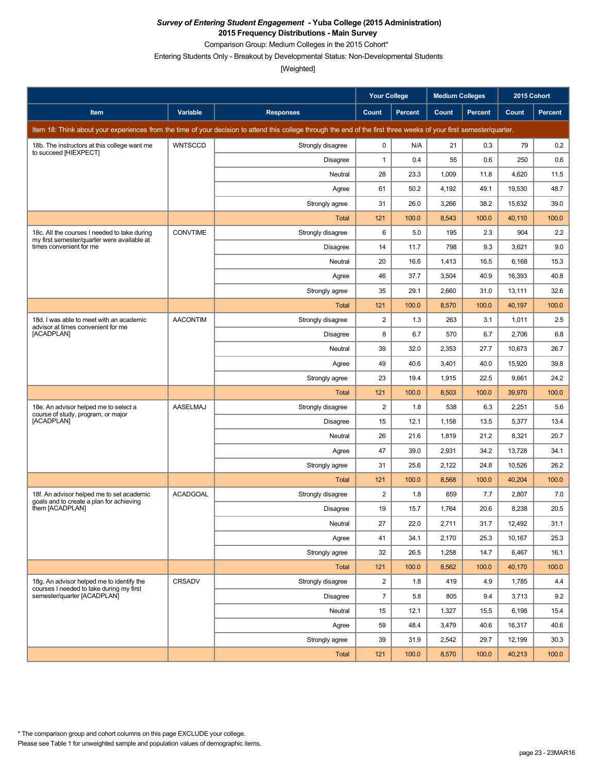Comparison Group: Medium Colleges in the 2015 Cohort\*

Entering Students Only - Breakout by Developmental Status: Non-Developmental Students

|                                                                                             |                 |                                                                                                                                                                      | <b>Your College</b> |                | <b>Medium Colleges</b> |                | 2015 Cohort |         |
|---------------------------------------------------------------------------------------------|-----------------|----------------------------------------------------------------------------------------------------------------------------------------------------------------------|---------------------|----------------|------------------------|----------------|-------------|---------|
| Item                                                                                        | Variable        | <b>Responses</b>                                                                                                                                                     | Count               | <b>Percent</b> | Count                  | <b>Percent</b> | Count       | Percent |
|                                                                                             |                 | Item 18: Think about your experiences from the time of your decision to attend this college through the end of the first three weeks of your first semester/quarter. |                     |                |                        |                |             |         |
| 18b. The instructors at this college want me<br>to succeed [HIEXPECT]                       | <b>WNTSCCD</b>  | Strongly disagree                                                                                                                                                    | 0                   | N/A            | 21                     | 0.3            | 79          | 0.2     |
|                                                                                             |                 | Disagree                                                                                                                                                             | $\mathbf{1}$        | 0.4            | 55                     | 0.6            | 250         | 0.6     |
|                                                                                             |                 | Neutral                                                                                                                                                              | 28                  | 23.3           | 1,009                  | 11.8           | 4,620       | 11.5    |
|                                                                                             |                 | Agree                                                                                                                                                                | 61                  | 50.2           | 4,192                  | 49.1           | 19,530      | 48.7    |
|                                                                                             |                 | Strongly agree                                                                                                                                                       | 31                  | 26.0           | 3,266                  | 38.2           | 15,632      | 39.0    |
|                                                                                             |                 | <b>Total</b>                                                                                                                                                         | 121                 | 100.0          | 8,543                  | 100.0          | 40,110      | 100.0   |
| 18c. All the courses I needed to take during<br>my first semester/quarter were available at | <b>CONVTIME</b> | Strongly disagree                                                                                                                                                    | 6                   | 5.0            | 195                    | 2.3            | 904         | 2.2     |
| times convenient for me                                                                     |                 | Disagree                                                                                                                                                             | 14                  | 11.7           | 798                    | 9.3            | 3,621       | 9.0     |
|                                                                                             |                 | Neutral                                                                                                                                                              | 20                  | 16.6           | 1,413                  | 16.5           | 6,168       | 15.3    |
|                                                                                             |                 | Agree                                                                                                                                                                | 46                  | 37.7           | 3,504                  | 40.9           | 16,393      | 40.8    |
|                                                                                             |                 | Strongly agree                                                                                                                                                       | 35                  | 29.1           | 2,660                  | 31.0           | 13,111      | 32.6    |
|                                                                                             |                 | <b>Total</b>                                                                                                                                                         | 121                 | 100.0          | 8,570                  | 100.0          | 40,197      | 100.0   |
| 18d. I was able to meet with an academic<br>advisor at times convenient for me              | <b>AACONTIM</b> | Strongly disagree                                                                                                                                                    | $\overline{c}$      | 1.3            | 263                    | 3.1            | 1,011       | 2.5     |
| [ACADPLAN]                                                                                  |                 | Disagree                                                                                                                                                             | 8                   | 6.7            | 570                    | 6.7            | 2,706       | 6.8     |
|                                                                                             |                 | Neutral                                                                                                                                                              | 39                  | 32.0           | 2,353                  | 27.7           | 10,673      | 26.7    |
|                                                                                             |                 | Agree                                                                                                                                                                | 49                  | 40.6           | 3,401                  | 40.0           | 15,920      | 39.8    |
|                                                                                             |                 | Strongly agree                                                                                                                                                       | 23                  | 19.4           | 1,915                  | 22.5           | 9,661       | 24.2    |
|                                                                                             |                 | <b>Total</b>                                                                                                                                                         | 121                 | 100.0          | 8,503                  | 100.0          | 39,970      | 100.0   |
| 18e. An advisor helped me to select a<br>course of study, program, or major                 | <b>AASELMAJ</b> | Strongly disagree                                                                                                                                                    | $\overline{2}$      | 1.8            | 538                    | 6.3            | 2,251       | 5.6     |
| [ACADPLAN]                                                                                  |                 | <b>Disagree</b>                                                                                                                                                      | 15                  | 12.1           | 1,158                  | 13.5           | 5,377       | 13.4    |
|                                                                                             |                 | Neutral                                                                                                                                                              | 26                  | 21.6           | 1,819                  | 21.2           | 8,321       | 20.7    |
|                                                                                             |                 | Agree                                                                                                                                                                | 47                  | 39.0           | 2,931                  | 34.2           | 13,728      | 34.1    |
|                                                                                             |                 | Strongly agree                                                                                                                                                       | 31                  | 25.6           | 2,122                  | 24.8           | 10,526      | 26.2    |
|                                                                                             |                 | Total                                                                                                                                                                | 121                 | 100.0          | 8,568                  | 100.0          | 40,204      | 100.0   |
| 18f. An advisor helped me to set academic<br>goals and to create a plan for achieving       | <b>ACADGOAL</b> | Strongly disagree                                                                                                                                                    | 2                   | 1.8            | 659                    | 7.7            | 2,807       | 7.0     |
| them [ACADPLAN]                                                                             |                 | Disagree                                                                                                                                                             | 19                  | 15.7           | 1,764                  | 20.6           | 8,238       | 20.5    |
|                                                                                             |                 | Neutral                                                                                                                                                              | 27                  | 22.0           | 2,711                  | 31.7           | 12,492      | 31.1    |
|                                                                                             |                 | Agree                                                                                                                                                                | 41                  | 34.1           | 2,170                  | 25.3           | 10,167      | 25.3    |
|                                                                                             |                 | Strongly agree                                                                                                                                                       | 32                  | 26.5           | 1,258                  | 14.7           | 6,467       | 16.1    |
|                                                                                             |                 | <b>Total</b>                                                                                                                                                         | 121                 | 100.0          | 8,562                  | 100.0          | 40,170      | 100.0   |
| 18g. An advisor helped me to identify the<br>courses I needed to take during my first       | CRSADV          | Strongly disagree                                                                                                                                                    | $\overline{2}$      | 1.8            | 419                    | 4.9            | 1,785       | 4.4     |
| semester/quarter [ACADPLAN]                                                                 |                 | <b>Disagree</b>                                                                                                                                                      | $\overline{7}$      | 5.8            | 805                    | 9.4            | 3,713       | 9.2     |
|                                                                                             |                 | Neutral                                                                                                                                                              | 15                  | 12.1           | 1,327                  | 15.5           | 6,198       | 15.4    |
|                                                                                             |                 | Agree                                                                                                                                                                | 59                  | 48.4           | 3,479                  | 40.6           | 16,317      | 40.6    |
|                                                                                             |                 | Strongly agree                                                                                                                                                       | 39                  | 31.9           | 2,542                  | 29.7           | 12,199      | 30.3    |
|                                                                                             |                 | Total                                                                                                                                                                | $121$               | 100.0          | 8,570                  | 100.0          | 40,213      | 100.0   |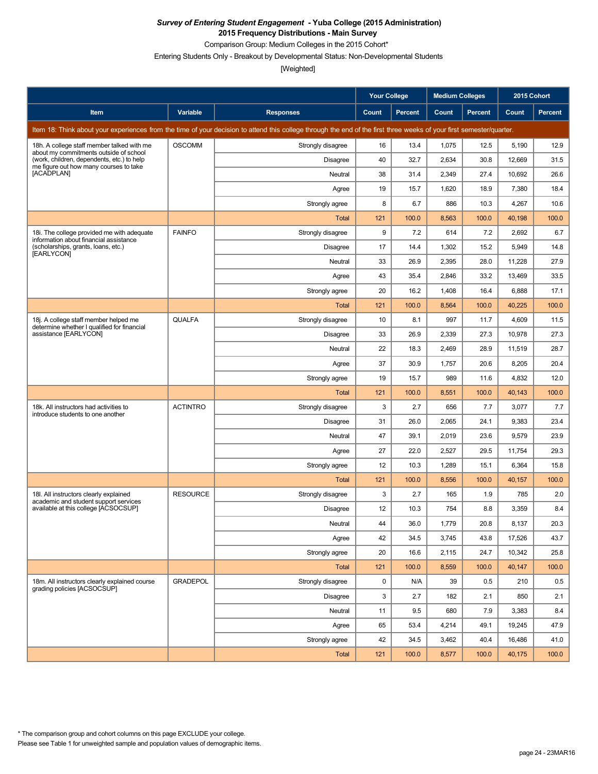Comparison Group: Medium Colleges in the 2015 Cohort\*

Entering Students Only - Breakout by Developmental Status: Non-Developmental Students

|                                                                                      |                 |                                                                                                                                                                      | <b>Your College</b> |                | <b>Medium Colleges</b> |                | 2015 Cohort |         |
|--------------------------------------------------------------------------------------|-----------------|----------------------------------------------------------------------------------------------------------------------------------------------------------------------|---------------------|----------------|------------------------|----------------|-------------|---------|
| Item                                                                                 | Variable        | <b>Responses</b>                                                                                                                                                     | Count               | <b>Percent</b> | Count                  | <b>Percent</b> | Count       | Percent |
|                                                                                      |                 | Item 18: Think about your experiences from the time of your decision to attend this college through the end of the first three weeks of your first semester/quarter. |                     |                |                        |                |             |         |
| 18h. A college staff member talked with me<br>about my commitments outside of school | <b>OSCOMM</b>   | Strongly disagree                                                                                                                                                    | 16                  | 13.4           | 1,075                  | 12.5           | 5,190       | 12.9    |
| (work, children, dependents, etc.) to help<br>me figure out how many courses to take |                 | Disagree                                                                                                                                                             | 40                  | 32.7           | 2,634                  | 30.8           | 12,669      | 31.5    |
| [ACADPLAN]                                                                           |                 | Neutral                                                                                                                                                              | 38                  | 31.4           | 2,349                  | 27.4           | 10,692      | 26.6    |
|                                                                                      |                 | Agree                                                                                                                                                                | 19                  | 15.7           | 1,620                  | 18.9           | 7,380       | 18.4    |
|                                                                                      |                 | Strongly agree                                                                                                                                                       | 8                   | 6.7            | 886                    | 10.3           | 4,267       | 10.6    |
|                                                                                      |                 | Total                                                                                                                                                                | 121                 | 100.0          | 8,563                  | 100.0          | 40,198      | 100.0   |
| 18i. The college provided me with adequate<br>information about financial assistance | <b>FAINFO</b>   | Strongly disagree                                                                                                                                                    | 9                   | 7.2            | 614                    | 7.2            | 2,692       | 6.7     |
| (scholarships, grants, loans, etc.)<br>[EARLYCON]                                    |                 | Disagree                                                                                                                                                             | 17                  | 14.4           | 1,302                  | 15.2           | 5,949       | 14.8    |
|                                                                                      |                 | Neutral                                                                                                                                                              | 33                  | 26.9           | 2,395                  | 28.0           | 11,228      | 27.9    |
|                                                                                      |                 | Agree                                                                                                                                                                | 43                  | 35.4           | 2,846                  | 33.2           | 13,469      | 33.5    |
|                                                                                      |                 | Strongly agree                                                                                                                                                       | 20                  | 16.2           | 1,408                  | 16.4           | 6,888       | 17.1    |
|                                                                                      |                 | Total                                                                                                                                                                | 121                 | 100.0          | 8,564                  | 100.0          | 40,225      | 100.0   |
| 18j. A college staff member helped me<br>determine whether I qualified for financial | QUALFA          | Strongly disagree                                                                                                                                                    | 10                  | 8.1            | 997                    | 11.7           | 4,609       | 11.5    |
| assistance [EARLYCON]                                                                |                 | <b>Disagree</b>                                                                                                                                                      | 33                  | 26.9           | 2,339                  | 27.3           | 10,978      | 27.3    |
|                                                                                      |                 | Neutral                                                                                                                                                              | 22                  | 18.3           | 2,469                  | 28.9           | 11,519      | 28.7    |
|                                                                                      |                 | Agree                                                                                                                                                                | 37                  | 30.9           | 1,757                  | 20.6           | 8,205       | 20.4    |
|                                                                                      |                 | Strongly agree                                                                                                                                                       | 19                  | 15.7           | 989                    | 11.6           | 4,832       | 12.0    |
|                                                                                      |                 | Total                                                                                                                                                                | 121                 | 100.0          | 8,551                  | 100.0          | 40,143      | 100.0   |
| 18k. All instructors had activities to<br>introduce students to one another          | <b>ACTINTRO</b> | Strongly disagree                                                                                                                                                    | 3                   | 2.7            | 656                    | 7.7            | 3,077       | 7.7     |
|                                                                                      |                 | <b>Disagree</b>                                                                                                                                                      | 31                  | 26.0           | 2,065                  | 24.1           | 9,383       | 23.4    |
|                                                                                      |                 | Neutral                                                                                                                                                              | 47                  | 39.1           | 2,019                  | 23.6           | 9,579       | 23.9    |
|                                                                                      |                 | Agree                                                                                                                                                                | 27                  | 22.0           | 2,527                  | 29.5           | 11,754      | 29.3    |
|                                                                                      |                 | Strongly agree                                                                                                                                                       | 12                  | 10.3           | 1,289                  | 15.1           | 6,364       | 15.8    |
|                                                                                      |                 | Total                                                                                                                                                                | 121                 | 100.0          | 8,556                  | 100.0          | 40,157      | 100.0   |
| 18I. All instructors clearly explained<br>academic and student support services      | <b>RESOURCE</b> | Strongly disagree                                                                                                                                                    | 3                   | 2.7            | 165                    | 1.9            | 785         | 2.0     |
| available at this college [ACSOCSUP]                                                 |                 | Disagree                                                                                                                                                             | 12                  | 10.3           | 754                    | 8.8            | 3,359       | 8.4     |
|                                                                                      |                 | Neutral                                                                                                                                                              | 44                  | 36.0           | 1,779                  | 20.8           | 8,137       | 20.3    |
|                                                                                      |                 | Agree                                                                                                                                                                | 42                  | 34.5           | 3,745                  | 43.8           | 17,526      | 43.7    |
|                                                                                      |                 | Strongly agree                                                                                                                                                       | 20                  | 16.6           | 2,115                  | 24.7           | 10,342      | 25.8    |
|                                                                                      |                 | Total                                                                                                                                                                | 121                 | 100.0          | 8,559                  | 100.0          | 40,147      | 100.0   |
| 18m. All instructors clearly explained course<br>grading policies [ACSOCSUP]         | <b>GRADEPOL</b> | Strongly disagree                                                                                                                                                    | 0                   | N/A            | 39                     | 0.5            | 210         | 0.5     |
|                                                                                      |                 | Disagree                                                                                                                                                             | 3                   | 2.7            | 182                    | 2.1            | 850         | 2.1     |
|                                                                                      |                 | Neutral                                                                                                                                                              | 11                  | 9.5            | 680                    | 7.9            | 3,383       | 8.4     |
|                                                                                      |                 | Agree                                                                                                                                                                | 65                  | 53.4           | 4,214                  | 49.1           | 19,245      | 47.9    |
|                                                                                      |                 | Strongly agree                                                                                                                                                       | 42                  | 34.5           | 3,462                  | 40.4           | 16,486      | 41.0    |
|                                                                                      |                 | Total                                                                                                                                                                | 121                 | 100.0          | 8,577                  | 100.0          | 40,175      | 100.0   |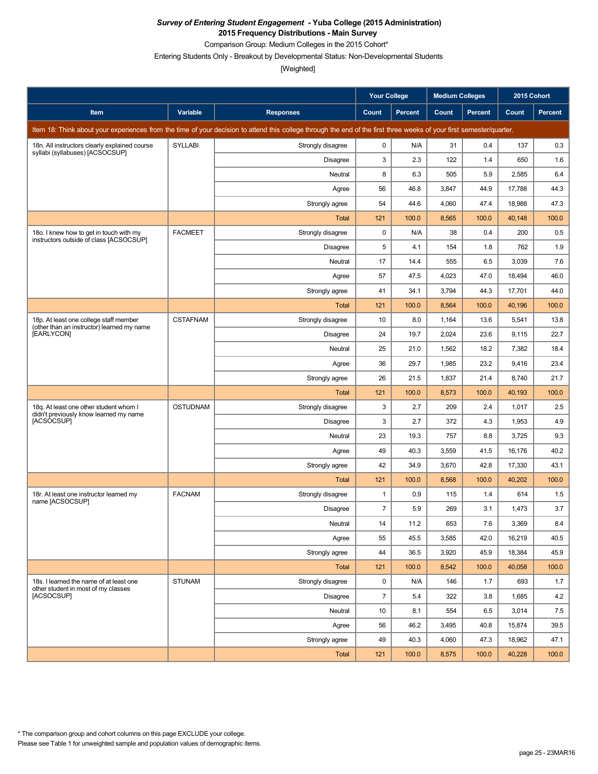Comparison Group: Medium Colleges in the 2015 Cohort\*

Entering Students Only - Breakout by Developmental Status: Non-Developmental Students

|                                                                                      |                 |                                                                                                                                                                      | <b>Your College</b> |         | Medium Colleges |                | 2015 Cohort |         |
|--------------------------------------------------------------------------------------|-----------------|----------------------------------------------------------------------------------------------------------------------------------------------------------------------|---------------------|---------|-----------------|----------------|-------------|---------|
| Item                                                                                 | Variable        | <b>Responses</b>                                                                                                                                                     | Count               | Percent | Count           | <b>Percent</b> | Count       | Percent |
|                                                                                      |                 | Item 18: Think about your experiences from the time of your decision to attend this college through the end of the first three weeks of your first semester/quarter. |                     |         |                 |                |             |         |
| 18n. All instructors clearly explained course<br>syllabi (syllabuses) [ACSOCSUP]     | <b>SYLLABI</b>  | Strongly disagree                                                                                                                                                    | 0                   | N/A     | 31              | 0.4            | 137         | 0.3     |
|                                                                                      |                 | Disagree                                                                                                                                                             | 3                   | 2.3     | 122             | 1.4            | 650         | 1.6     |
|                                                                                      |                 | Neutral                                                                                                                                                              | 8                   | 6.3     | 505             | 5.9            | 2,585       | 6.4     |
|                                                                                      |                 | Agree                                                                                                                                                                | 56                  | 46.8    | 3,847           | 44.9           | 17,788      | 44.3    |
|                                                                                      |                 | Strongly agree                                                                                                                                                       | 54                  | 44.6    | 4,060           | 47.4           | 18,988      | 47.3    |
|                                                                                      |                 | <b>Total</b>                                                                                                                                                         | 121                 | 100.0   | 8,565           | 100.0          | 40,148      | 100.0   |
| 18o. I knew how to get in touch with my<br>instructors outside of class [ACSOCSUP]   | <b>FACMEET</b>  | Strongly disagree                                                                                                                                                    | 0                   | N/A     | 38              | 0.4            | 200         | 0.5     |
|                                                                                      |                 | Disagree                                                                                                                                                             | 5                   | 4.1     | 154             | 1.8            | 762         | 1.9     |
|                                                                                      |                 | Neutral                                                                                                                                                              | 17                  | 14.4    | 555             | 6.5            | 3,039       | 7.6     |
|                                                                                      |                 | Agree                                                                                                                                                                | 57                  | 47.5    | 4,023           | 47.0           | 18,494      | 46.0    |
|                                                                                      |                 | Strongly agree                                                                                                                                                       | 41                  | 34.1    | 3,794           | 44.3           | 17,701      | 44.0    |
|                                                                                      |                 | <b>Total</b>                                                                                                                                                         | 121                 | 100.0   | 8,564           | 100.0          | 40,196      | 100.0   |
| 18p. At least one college staff member<br>(other than an instructor) learned my name | <b>CSTAFNAM</b> | Strongly disagree                                                                                                                                                    | 10                  | 8.0     | 1,164           | 13.6           | 5,541       | 13.8    |
| [EARLYCON]                                                                           |                 | Disagree                                                                                                                                                             | 24                  | 19.7    | 2,024           | 23.6           | 9,115       | 22.7    |
|                                                                                      |                 | Neutral                                                                                                                                                              | 25                  | 21.0    | 1,562           | 18.2           | 7,382       | 18.4    |
|                                                                                      |                 | Agree                                                                                                                                                                | 36                  | 29.7    | 1,985           | 23.2           | 9,416       | 23.4    |
|                                                                                      |                 | Strongly agree                                                                                                                                                       | 26                  | 21.5    | 1,837           | 21.4           | 8,740       | 21.7    |
|                                                                                      |                 | <b>Total</b>                                                                                                                                                         | 121                 | 100.0   | 8,573           | 100.0          | 40,193      | 100.0   |
| 18q. At least one other student whom I<br>didn't previously know learned my name     | <b>OSTUDNAM</b> | Strongly disagree                                                                                                                                                    | 3                   | 2.7     | 209             | 2.4            | 1,017       | 2.5     |
| [ACSOCSUP]                                                                           |                 | <b>Disagree</b>                                                                                                                                                      | 3                   | 2.7     | 372             | 4.3            | 1,953       | 4.9     |
|                                                                                      |                 | Neutral                                                                                                                                                              | 23                  | 19.3    | 757             | 8.8            | 3,725       | 9.3     |
|                                                                                      |                 | Agree                                                                                                                                                                | 49                  | 40.3    | 3,559           | 41.5           | 16,176      | 40.2    |
|                                                                                      |                 | Strongly agree                                                                                                                                                       | 42                  | 34.9    | 3,670           | 42.8           | 17,330      | 43.1    |
|                                                                                      |                 | Total                                                                                                                                                                | 121                 | 100.0   | 8,568           | 100.0          | 40,202      | 100.0   |
| 18r. At least one instructor learned my<br>name [ACSOCSUP]                           | <b>FACNAM</b>   | Strongly disagree                                                                                                                                                    | 1                   | 0.9     | 115             | 1.4            | 614         | 1.5     |
|                                                                                      |                 | Disagree                                                                                                                                                             | $\overline{7}$      | 5.9     | 269             | 3.1            | 1,473       | 3.7     |
|                                                                                      |                 | Neutral                                                                                                                                                              | 14                  | 11.2    | 653             | $7.6\,$        | 3,369       | 8.4     |
|                                                                                      |                 | Agree                                                                                                                                                                | 55                  | 45.5    | 3,585           | 42.0           | 16,219      | 40.5    |
|                                                                                      |                 | Strongly agree                                                                                                                                                       | 44                  | 36.5    | 3,920           | 45.9           | 18,384      | 45.9    |
|                                                                                      |                 | <b>Total</b>                                                                                                                                                         | 121                 | 100.0   | 8,542           | 100.0          | 40,058      | 100.0   |
| 18s. I learned the name of at least one<br>other student in most of my classes       | <b>STUNAM</b>   | Strongly disagree                                                                                                                                                    | 0                   | N/A     | 146             | 1.7            | 693         | 1.7     |
| [ACSOCSUP]                                                                           |                 | <b>Disagree</b>                                                                                                                                                      | $\overline{7}$      | 5.4     | 322             | 3.8            | 1,685       | 4.2     |
|                                                                                      |                 | Neutral                                                                                                                                                              | 10                  | 8.1     | 554             | 6.5            | 3,014       | 7.5     |
|                                                                                      |                 | Agree                                                                                                                                                                | 56                  | 46.2    | 3,495           | 40.8           | 15,874      | 39.5    |
|                                                                                      |                 | Strongly agree                                                                                                                                                       | 49                  | 40.3    | 4,060           | 47.3           | 18,962      | 47.1    |
|                                                                                      |                 | Total                                                                                                                                                                | $121$               | 100.0   | 8,575           | 100.0          | 40,228      | 100.0   |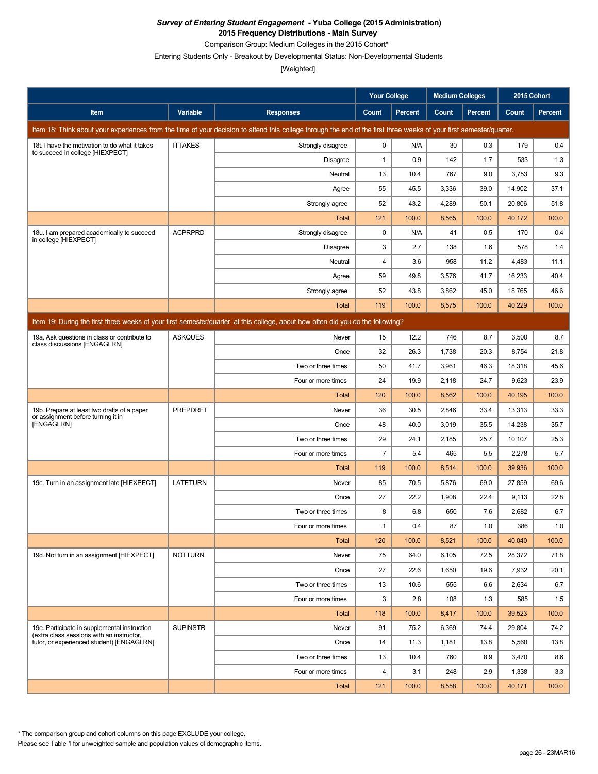Comparison Group: Medium Colleges in the 2015 Cohort\*

Entering Students Only - Breakout by Developmental Status: Non-Developmental Students

[Weighted]

|                                                                                           |                 |                                                                                                                                                                      | <b>Your College</b>     |                | <b>Medium Colleges</b> |                | 2015 Cohort |                |
|-------------------------------------------------------------------------------------------|-----------------|----------------------------------------------------------------------------------------------------------------------------------------------------------------------|-------------------------|----------------|------------------------|----------------|-------------|----------------|
| Item                                                                                      | Variable        | <b>Responses</b>                                                                                                                                                     | Count                   | <b>Percent</b> | Count                  | <b>Percent</b> | Count       | <b>Percent</b> |
|                                                                                           |                 | Item 18: Think about your experiences from the time of your decision to attend this college through the end of the first three weeks of your first semester/quarter. |                         |                |                        |                |             |                |
| 18t. I have the motivation to do what it takes                                            | <b>ITTAKES</b>  | Strongly disagree                                                                                                                                                    | 0                       | N/A            | 30                     | 0.3            | 179         | 0.4            |
| to succeed in college [HIEXPECT]                                                          |                 | Disagree                                                                                                                                                             | $\mathbf{1}$            | 0.9            | 142                    | 1.7            | 533         | 1.3            |
|                                                                                           |                 | Neutral                                                                                                                                                              | 13                      | 10.4           | 767                    | 9.0            | 3,753       | 9.3            |
|                                                                                           |                 | Agree                                                                                                                                                                | 55                      | 45.5           | 3,336                  | 39.0           | 14,902      | 37.1           |
|                                                                                           |                 | Strongly agree                                                                                                                                                       | 52                      | 43.2           | 4,289                  | 50.1           | 20,806      | 51.8           |
|                                                                                           |                 | Total                                                                                                                                                                | 121                     | 100.0          | 8,565                  | 100.0          | 40,172      | 100.0          |
| 18u. I am prepared academically to succeed<br>in college [HIEXPECT]                       | <b>ACPRPRD</b>  | Strongly disagree                                                                                                                                                    | $\mathbf 0$             | N/A            | 41                     | 0.5            | 170         | 0.4            |
|                                                                                           |                 | <b>Disagree</b>                                                                                                                                                      | 3                       | 2.7            | 138                    | 1.6            | 578         | 1.4            |
|                                                                                           |                 | Neutral                                                                                                                                                              | 4                       | 3.6            | 958                    | 11.2           | 4,483       | 11.1           |
|                                                                                           |                 | Agree                                                                                                                                                                | 59                      | 49.8           | 3,576                  | 41.7           | 16,233      | 40.4           |
|                                                                                           |                 | Strongly agree                                                                                                                                                       | 52                      | 43.8           | 3,862                  | 45.0           | 18,765      | 46.6           |
|                                                                                           |                 | Total                                                                                                                                                                | 119                     | 100.0          | 8,575                  | 100.0          | 40,229      | 100.0          |
|                                                                                           |                 | Item 19: During the first three weeks of your first semester/guarter at this college, about how often did you do the following?                                      |                         |                |                        |                |             |                |
| 19a. Ask questions in class or contribute to                                              | <b>ASKQUES</b>  | Never                                                                                                                                                                | 15                      | 12.2           | 746                    | 8.7            | 3,500       | 8.7            |
| class discussions [ENGAGLRN]                                                              |                 | Once                                                                                                                                                                 | 32                      | 26.3           | 1,738                  | 20.3           | 8,754       | 21.8           |
|                                                                                           |                 | Two or three times                                                                                                                                                   | 50                      | 41.7           | 3,961                  | 46.3           | 18,318      | 45.6           |
|                                                                                           |                 | Four or more times                                                                                                                                                   | 24                      | 19.9           | 2,118                  | 24.7           | 9,623       | 23.9           |
|                                                                                           |                 | Total                                                                                                                                                                | 120                     | 100.0          | 8,562                  | 100.0          | 40,195      | 100.0          |
| 19b. Prepare at least two drafts of a paper<br>or assignment before turning it in         | <b>PREPDRFT</b> | Never                                                                                                                                                                | 36                      | 30.5           | 2,846                  | 33.4           | 13,313      | 33.3           |
| [ENGAGLRN]                                                                                |                 | Once                                                                                                                                                                 | 48                      | 40.0           | 3,019                  | 35.5           | 14,238      | 35.7           |
|                                                                                           |                 | Two or three times                                                                                                                                                   | 29                      | 24.1           | 2,185                  | 25.7           | 10,107      | 25.3           |
|                                                                                           |                 | Four or more times                                                                                                                                                   | $\overline{7}$          | 5.4            | 465                    | 5.5            | 2,278       | 5.7            |
|                                                                                           |                 | Total                                                                                                                                                                | 119                     | 100.0          | 8,514                  | 100.0          | 39,936      | 100.0          |
| 19c. Turn in an assignment late [HIEXPECT]                                                | <b>LATETURN</b> | Never                                                                                                                                                                | 85                      | 70.5           | 5,876                  | 69.0           | 27.859      | 69.6           |
|                                                                                           |                 | Once                                                                                                                                                                 | 27                      | 22.2           | 1,908                  | 22.4           | 9,113       | 22.8           |
|                                                                                           |                 | Two or three times                                                                                                                                                   | 8                       | 6.8            | 650                    | 7.6            | 2,682       | 6.7            |
|                                                                                           |                 | Four or more times                                                                                                                                                   | $\mathbf{1}$            | 0.4            | 87                     | 1.0            | 386         | 1.0            |
|                                                                                           |                 | <b>Total</b>                                                                                                                                                         | 120                     | 100.0          | 8,521                  | 100.0          | 40,040      | 100.0          |
| 19d. Not turn in an assignment [HIEXPECT]                                                 | <b>NOTTURN</b>  | Never                                                                                                                                                                | 75                      | 64.0           | 6,105                  | 72.5           | 28,372      | 71.8           |
|                                                                                           |                 | Once                                                                                                                                                                 | 27                      | 22.6           | 1,650                  | 19.6           | 7,932       | 20.1           |
|                                                                                           |                 | Two or three times                                                                                                                                                   | 13                      | 10.6           | 555                    | 6.6            | 2,634       | 6.7            |
|                                                                                           |                 | Four or more times                                                                                                                                                   | 3                       | 2.8            | 108                    | 1.3            | 585         | 1.5            |
|                                                                                           |                 | <b>Total</b>                                                                                                                                                         | 118                     | 100.0          | 8,417                  | 100.0          | 39,523      | 100.0          |
| 19e. Participate in supplemental instruction<br>(extra class sessions with an instructor. | <b>SUPINSTR</b> | Never                                                                                                                                                                | 91                      | 75.2           | 6,369                  | 74.4           | 29,804      | 74.2           |
| tutor, or experienced student) [ENGAGLRN]                                                 |                 | Once                                                                                                                                                                 | 14                      | 11.3           | 1,181                  | 13.8           | 5,560       | 13.8           |
|                                                                                           |                 | Two or three times                                                                                                                                                   | 13                      | 10.4           | 760                    | 8.9            | 3,470       | 8.6            |
|                                                                                           |                 | Four or more times                                                                                                                                                   | $\overline{\mathbf{4}}$ | 3.1            | 248                    | 2.9            | 1,338       | 3.3            |
|                                                                                           |                 | <b>Total</b>                                                                                                                                                         | 121                     | 100.0          | 8,558                  | 100.0          | 40,171      | 100.0          |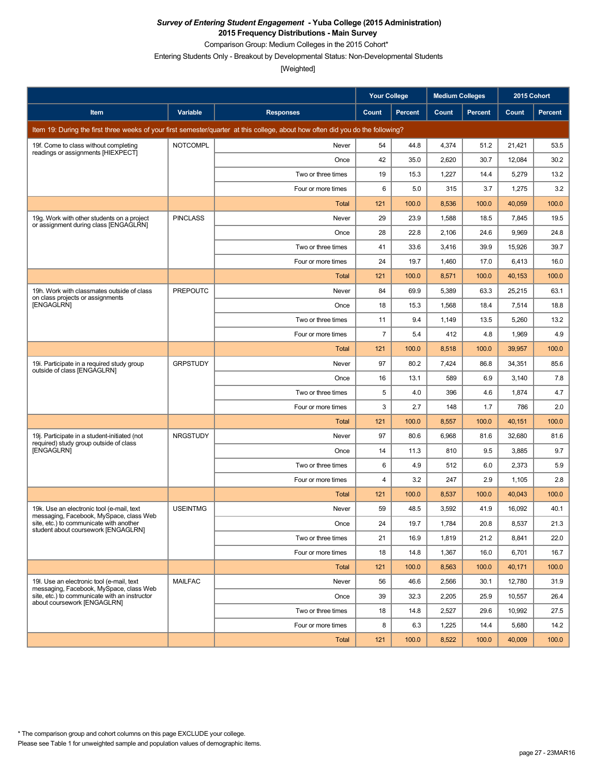Comparison Group: Medium Colleges in the 2015 Cohort\*

Entering Students Only - Breakout by Developmental Status: Non-Developmental Students

|                                                                                       |                 |                                                                                                                                 | <b>Your College</b> |                | <b>Medium Colleges</b> |         | 2015 Cohort |         |
|---------------------------------------------------------------------------------------|-----------------|---------------------------------------------------------------------------------------------------------------------------------|---------------------|----------------|------------------------|---------|-------------|---------|
| Item                                                                                  | Variable        | <b>Responses</b>                                                                                                                | Count               | <b>Percent</b> | Count                  | Percent | Count       | Percent |
|                                                                                       |                 | Item 19: During the first three weeks of your first semester/quarter at this college, about how often did you do the following? |                     |                |                        |         |             |         |
| 19f. Come to class without completing                                                 | <b>NOTCOMPL</b> | Never                                                                                                                           | 54                  | 44.8           | 4,374                  | 51.2    | 21,421      | 53.5    |
| readings or assignments [HIEXPECT]                                                    |                 | Once                                                                                                                            | 42                  | 35.0           | 2,620                  | 30.7    | 12,084      | 30.2    |
|                                                                                       |                 | Two or three times                                                                                                              | 19                  | 15.3           | 1,227                  | 14.4    | 5,279       | 13.2    |
|                                                                                       |                 | Four or more times                                                                                                              | 6                   | 5.0            | 315                    | 3.7     | 1,275       | 3.2     |
|                                                                                       |                 | Total                                                                                                                           | 121                 | 100.0          | 8,536                  | 100.0   | 40,059      | 100.0   |
| 19g. Work with other students on a project<br>or assignment during class [ENGAGLRN]   | <b>PINCLASS</b> | Never                                                                                                                           | 29                  | 23.9           | 1,588                  | 18.5    | 7,845       | 19.5    |
|                                                                                       |                 | Once                                                                                                                            | 28                  | 22.8           | 2,106                  | 24.6    | 9,969       | 24.8    |
|                                                                                       |                 | Two or three times                                                                                                              | 41                  | 33.6           | 3,416                  | 39.9    | 15,926      | 39.7    |
|                                                                                       |                 | Four or more times                                                                                                              | 24                  | 19.7           | 1,460                  | 17.0    | 6,413       | 16.0    |
|                                                                                       |                 | <b>Total</b>                                                                                                                    | 121                 | 100.0          | 8,571                  | 100.0   | 40,153      | 100.0   |
| 19h. Work with classmates outside of class<br>on class projects or assignments        | <b>PREPOUTC</b> | Never                                                                                                                           | 84                  | 69.9           | 5,389                  | 63.3    | 25,215      | 63.1    |
| [ENGAGLRN]                                                                            |                 | Once                                                                                                                            | 18                  | 15.3           | 1,568                  | 18.4    | 7,514       | 18.8    |
|                                                                                       |                 | Two or three times                                                                                                              | 11                  | 9.4            | 1,149                  | 13.5    | 5,260       | 13.2    |
|                                                                                       |                 | Four or more times                                                                                                              | $\overline{7}$      | 5.4            | 412                    | 4.8     | 1,969       | 4.9     |
|                                                                                       |                 | Total                                                                                                                           | 121                 | 100.0          | 8,518                  | 100.0   | 39,957      | 100.0   |
| 19i. Participate in a required study group<br>outside of class [ENGAGLRN]             | <b>GRPSTUDY</b> | Never                                                                                                                           | 97                  | 80.2           | 7,424                  | 86.8    | 34,351      | 85.6    |
|                                                                                       |                 | Once                                                                                                                            | 16                  | 13.1           | 589                    | 6.9     | 3,140       | 7.8     |
|                                                                                       |                 | Two or three times                                                                                                              | 5                   | 4.0            | 396                    | 4.6     | 1,874       | 4.7     |
|                                                                                       |                 | Four or more times                                                                                                              | 3                   | 2.7            | 148                    | 1.7     | 786         | 2.0     |
|                                                                                       |                 | Total                                                                                                                           | 121                 | 100.0          | 8,557                  | 100.0   | 40,151      | 100.0   |
| 19. Participate in a student-initiated (not<br>required) study group outside of class | <b>NRGSTUDY</b> | Never                                                                                                                           | 97                  | 80.6           | 6,968                  | 81.6    | 32,680      | 81.6    |
| [ENGAGLRN]                                                                            |                 | Once                                                                                                                            | 14                  | 11.3           | 810                    | 9.5     | 3,885       | 9.7     |
|                                                                                       |                 | Two or three times                                                                                                              | 6                   | 4.9            | 512                    | 6.0     | 2,373       | 5.9     |
|                                                                                       |                 | Four or more times                                                                                                              | 4                   | 3.2            | 247                    | 2.9     | 1,105       | 2.8     |
|                                                                                       |                 | Total                                                                                                                           | 121                 | 100.0          | 8,537                  | 100.0   | 40,043      | 100.0   |
| 19k. Use an electronic tool (e-mail, text<br>messaging, Facebook, MySpace, class Web  | <b>USEINTMG</b> | Never                                                                                                                           | 59                  | 48.5           | 3,592                  | 41.9    | 16,092      | 40.1    |
| site, etc.) to communicate with another<br>student about coursework [ENGAGLRN]        |                 | Once                                                                                                                            | 24                  | 19.7           | 1,784                  | 20.8    | 8,537       | 21.3    |
|                                                                                       |                 | Two or three times                                                                                                              | 21                  | 16.9           | 1,819                  | 21.2    | 8,841       | 22.0    |
|                                                                                       |                 | Four or more times                                                                                                              | 18                  | 14.8           | 1,367                  | 16.0    | 6,701       | 16.7    |
|                                                                                       |                 | Total                                                                                                                           | 121                 | 100.0          | 8,563                  | 100.0   | 40,171      | 100.0   |
| 19I. Use an electronic tool (e-mail, text<br>messaging, Facebook, MySpace, class Web  | <b>MAILFAC</b>  | Never                                                                                                                           | 56                  | 46.6           | 2,566                  | 30.1    | 12,780      | 31.9    |
| site, etc.) to communicate with an instructor<br>about coursework [ENGAGLRN]          |                 | Once                                                                                                                            | 39                  | 32.3           | 2,205                  | 25.9    | 10,557      | 26.4    |
|                                                                                       |                 | Two or three times                                                                                                              | 18                  | 14.8           | 2,527                  | 29.6    | 10,992      | 27.5    |
|                                                                                       |                 | Four or more times                                                                                                              | 8                   | 6.3            | 1,225                  | 14.4    | 5,680       | 14.2    |
|                                                                                       |                 | Total                                                                                                                           | 121                 | 100.0          | 8,522                  | 100.0   | 40,009      | 100.0   |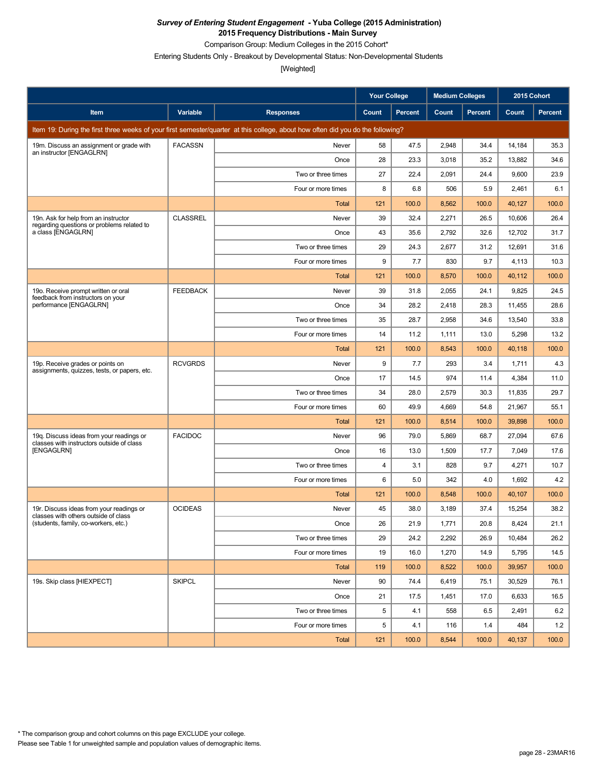Comparison Group: Medium Colleges in the 2015 Cohort\*

Entering Students Only - Breakout by Developmental Status: Non-Developmental Students

|                                                                                       |                 |                                                                                                                                 | <b>Your College</b> |                | <b>Medium Colleges</b> |                | 2015 Cohort |         |
|---------------------------------------------------------------------------------------|-----------------|---------------------------------------------------------------------------------------------------------------------------------|---------------------|----------------|------------------------|----------------|-------------|---------|
| Item                                                                                  | Variable        | <b>Responses</b>                                                                                                                | Count               | <b>Percent</b> | Count                  | <b>Percent</b> | Count       | Percent |
|                                                                                       |                 | Item 19: During the first three weeks of your first semester/quarter at this college, about how often did you do the following? |                     |                |                        |                |             |         |
| 19m. Discuss an assignment or grade with                                              | <b>FACASSN</b>  | Never                                                                                                                           | 58                  | 47.5           | 2,948                  | 34.4           | 14,184      | 35.3    |
| an instructor [ENGAGLRN]                                                              |                 | Once                                                                                                                            | 28                  | 23.3           | 3,018                  | 35.2           | 13,882      | 34.6    |
|                                                                                       |                 | Two or three times                                                                                                              | 27                  | 22.4           | 2,091                  | 24.4           | 9,600       | 23.9    |
|                                                                                       |                 | Four or more times                                                                                                              | 8                   | 6.8            | 506                    | 5.9            | 2,461       | 6.1     |
|                                                                                       |                 | Total                                                                                                                           | 121                 | 100.0          | 8,562                  | 100.0          | 40,127      | 100.0   |
| 19n. Ask for help from an instructor<br>regarding questions or problems related to    | <b>CLASSREL</b> | Never                                                                                                                           | 39                  | 32.4           | 2,271                  | 26.5           | 10,606      | 26.4    |
| a class [ENGAGLRN]                                                                    |                 | Once                                                                                                                            | 43                  | 35.6           | 2,792                  | 32.6           | 12,702      | 31.7    |
|                                                                                       |                 | Two or three times                                                                                                              | 29                  | 24.3           | 2,677                  | 31.2           | 12,691      | 31.6    |
|                                                                                       |                 | Four or more times                                                                                                              | 9                   | 7.7            | 830                    | 9.7            | 4,113       | 10.3    |
|                                                                                       |                 | <b>Total</b>                                                                                                                    | 121                 | 100.0          | 8,570                  | 100.0          | 40,112      | 100.0   |
| 19o. Receive prompt written or oral<br>feedback from instructors on your              | <b>FEEDBACK</b> | Never                                                                                                                           | 39                  | 31.8           | 2,055                  | 24.1           | 9,825       | 24.5    |
| performance [ENGAGLRN]                                                                |                 | Once                                                                                                                            | 34                  | 28.2           | 2,418                  | 28.3           | 11,455      | 28.6    |
|                                                                                       |                 | Two or three times                                                                                                              | 35                  | 28.7           | 2,958                  | 34.6           | 13,540      | 33.8    |
|                                                                                       |                 | Four or more times                                                                                                              | 14                  | 11.2           | 1,111                  | 13.0           | 5,298       | 13.2    |
|                                                                                       |                 | Total                                                                                                                           | 121                 | 100.0          | 8,543                  | 100.0          | 40,118      | 100.0   |
| 19p. Receive grades or points on<br>assignments, quizzes, tests, or papers, etc.      | <b>RCVGRDS</b>  | Never                                                                                                                           | 9                   | 7.7            | 293                    | 3.4            | 1,711       | 4.3     |
|                                                                                       |                 | Once                                                                                                                            | 17                  | 14.5           | 974                    | 11.4           | 4,384       | 11.0    |
|                                                                                       |                 | Two or three times                                                                                                              | 34                  | 28.0           | 2,579                  | 30.3           | 11,835      | 29.7    |
|                                                                                       |                 | Four or more times                                                                                                              | 60                  | 49.9           | 4,669                  | 54.8           | 21,967      | 55.1    |
|                                                                                       |                 | <b>Total</b>                                                                                                                    | 121                 | 100.0          | 8,514                  | 100.0          | 39,898      | 100.0   |
| 19q. Discuss ideas from your readings or<br>classes with instructors outside of class | <b>FACIDOC</b>  | Never                                                                                                                           | 96                  | 79.0           | 5,869                  | 68.7           | 27,094      | 67.6    |
| [ENGAGLRN]                                                                            |                 | Once                                                                                                                            | 16                  | 13.0           | 1,509                  | 17.7           | 7,049       | 17.6    |
|                                                                                       |                 | Two or three times                                                                                                              | 4                   | 3.1            | 828                    | 9.7            | 4,271       | 10.7    |
|                                                                                       |                 | Four or more times                                                                                                              | 6                   | 5.0            | 342                    | 4.0            | 1,692       | 4.2     |
|                                                                                       |                 | Total                                                                                                                           | 121                 | 100.0          | 8,548                  | 100.0          | 40,107      | 100.0   |
| 19r. Discuss ideas from your readings or<br>classes with others outside of class      | <b>OCIDEAS</b>  | Never                                                                                                                           | 45                  | 38.0           | 3,189                  | 37.4           | 15,254      | 38.2    |
| (students, family, co-workers, etc.)                                                  |                 | Once                                                                                                                            | 26                  | 21.9           | 1,771                  | 20.8           | 8,424       | 21.1    |
|                                                                                       |                 | Two or three times                                                                                                              | 29                  | 24.2           | 2,292                  | 26.9           | 10,484      | 26.2    |
|                                                                                       |                 | Four or more times                                                                                                              | 19                  | 16.0           | 1,270                  | 14.9           | 5,795       | 14.5    |
|                                                                                       |                 | Total                                                                                                                           | 119                 | 100.0          | 8,522                  | 100.0          | 39,957      | 100.0   |
| 19s. Skip class [HIEXPECT]                                                            | <b>SKIPCL</b>   | Never                                                                                                                           | 90                  | 74.4           | 6,419                  | 75.1           | 30,529      | 76.1    |
|                                                                                       |                 | Once                                                                                                                            | 21                  | 17.5           | 1,451                  | 17.0           | 6,633       | 16.5    |
|                                                                                       |                 | Two or three times                                                                                                              | 5                   | 4.1            | 558                    | 6.5            | 2,491       | 6.2     |
|                                                                                       |                 | Four or more times                                                                                                              | 5                   | 4.1            | 116                    | 1.4            | 484         | 1.2     |
|                                                                                       |                 | Total                                                                                                                           | $121$               | 100.0          | 8,544                  | 100.0          | 40,137      | 100.0   |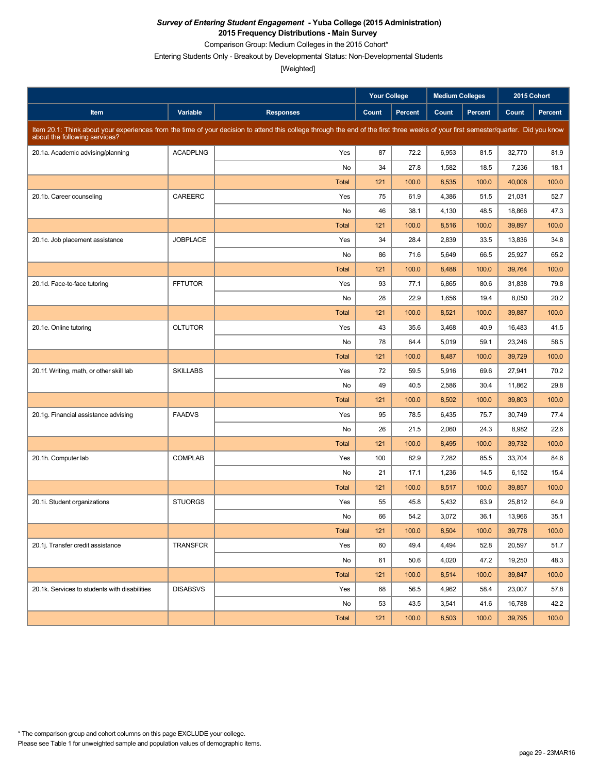Comparison Group: Medium Colleges in the 2015 Cohort\*

Entering Students Only - Breakout by Developmental Status: Non-Developmental Students

|                                               |                 |                                                                                                                                                                                     | <b>Your College</b> |                | <b>Medium Colleges</b> |                | 2015 Cohort |         |
|-----------------------------------------------|-----------------|-------------------------------------------------------------------------------------------------------------------------------------------------------------------------------------|---------------------|----------------|------------------------|----------------|-------------|---------|
| Item                                          | Variable        | <b>Responses</b>                                                                                                                                                                    | Count               | <b>Percent</b> | Count                  | <b>Percent</b> | Count       | Percent |
| about the following services?                 |                 | Item 20.1: Think about your experiences from the time of your decision to attend this college through the end of the first three weeks of your first semester/quarter. Did you know |                     |                |                        |                |             |         |
| 20.1a. Academic advising/planning             | <b>ACADPLNG</b> | Yes                                                                                                                                                                                 | 87                  | 72.2           | 6,953                  | 81.5           | 32,770      | 81.9    |
|                                               |                 | No                                                                                                                                                                                  | 34                  | 27.8           | 1,582                  | 18.5           | 7,236       | 18.1    |
|                                               |                 | <b>Total</b>                                                                                                                                                                        | 121                 | 100.0          | 8,535                  | 100.0          | 40,006      | 100.0   |
| 20.1b. Career counseling                      | CAREERC         | Yes                                                                                                                                                                                 | 75                  | 61.9           | 4,386                  | 51.5           | 21,031      | 52.7    |
|                                               |                 | No                                                                                                                                                                                  | 46                  | 38.1           | 4,130                  | 48.5           | 18,866      | 47.3    |
|                                               |                 | <b>Total</b>                                                                                                                                                                        | 121                 | 100.0          | 8,516                  | 100.0          | 39,897      | 100.0   |
| 20.1c. Job placement assistance               | <b>JOBPLACE</b> | Yes                                                                                                                                                                                 | 34                  | 28.4           | 2,839                  | 33.5           | 13,836      | 34.8    |
|                                               |                 | No                                                                                                                                                                                  | 86                  | 71.6           | 5,649                  | 66.5           | 25,927      | 65.2    |
|                                               |                 | <b>Total</b>                                                                                                                                                                        | 121                 | 100.0          | 8,488                  | 100.0          | 39,764      | 100.0   |
| 20.1d. Face-to-face tutoring                  | <b>FFTUTOR</b>  | Yes                                                                                                                                                                                 | 93                  | 77.1           | 6,865                  | 80.6           | 31,838      | 79.8    |
|                                               |                 | No                                                                                                                                                                                  | 28                  | 22.9           | 1,656                  | 19.4           | 8,050       | 20.2    |
|                                               |                 | <b>Total</b>                                                                                                                                                                        | 121                 | 100.0          | 8,521                  | 100.0          | 39,887      | 100.0   |
| 20.1e. Online tutoring                        | <b>OLTUTOR</b>  | Yes                                                                                                                                                                                 | 43                  | 35.6           | 3,468                  | 40.9           | 16,483      | 41.5    |
|                                               |                 | No                                                                                                                                                                                  | 78                  | 64.4           | 5,019                  | 59.1           | 23,246      | 58.5    |
|                                               |                 | <b>Total</b>                                                                                                                                                                        | 121                 | 100.0          | 8,487                  | 100.0          | 39,729      | 100.0   |
| 20.1f. Writing, math, or other skill lab      | <b>SKILLABS</b> | Yes                                                                                                                                                                                 | 72                  | 59.5           | 5,916                  | 69.6           | 27,941      | 70.2    |
|                                               |                 | No                                                                                                                                                                                  | 49                  | 40.5           | 2,586                  | 30.4           | 11,862      | 29.8    |
|                                               |                 | <b>Total</b>                                                                                                                                                                        | 121                 | 100.0          | 8,502                  | 100.0          | 39,803      | 100.0   |
| 20.1g. Financial assistance advising          | <b>FAADVS</b>   | Yes                                                                                                                                                                                 | 95                  | 78.5           | 6,435                  | 75.7           | 30,749      | 77.4    |
|                                               |                 | No                                                                                                                                                                                  | 26                  | 21.5           | 2,060                  | 24.3           | 8,982       | 22.6    |
|                                               |                 | <b>Total</b>                                                                                                                                                                        | 121                 | 100.0          | 8,495                  | 100.0          | 39,732      | 100.0   |
| 20.1h. Computer lab                           | <b>COMPLAB</b>  | Yes                                                                                                                                                                                 | 100                 | 82.9           | 7,282                  | 85.5           | 33,704      | 84.6    |
|                                               |                 | No                                                                                                                                                                                  | 21                  | 17.1           | 1,236                  | 14.5           | 6,152       | 15.4    |
|                                               |                 | <b>Total</b>                                                                                                                                                                        | 121                 | 100.0          | 8,517                  | 100.0          | 39,857      | 100.0   |
| 20.1i. Student organizations                  | <b>STUORGS</b>  | Yes                                                                                                                                                                                 | 55                  | 45.8           | 5,432                  | 63.9           | 25,812      | 64.9    |
|                                               |                 | No                                                                                                                                                                                  | 66                  | 54.2           | 3,072                  | 36.1           | 13,966      | 35.1    |
|                                               |                 | <b>Total</b>                                                                                                                                                                        | 121                 | 100.0          | 8,504                  | 100.0          | 39,778      | 100.0   |
| 20.1j. Transfer credit assistance             | TRANSFCR        | Yes                                                                                                                                                                                 | 60                  | 49.4           | 4,494                  | 52.8           | 20,597      | 51.7    |
|                                               |                 | No                                                                                                                                                                                  | 61                  | 50.6           | 4,020                  | 47.2           | 19,250      | 48.3    |
|                                               |                 | Total                                                                                                                                                                               | 121                 | 100.0          | 8,514                  | 100.0          | 39,847      | 100.0   |
| 20.1k. Services to students with disabilities | <b>DISABSVS</b> | Yes                                                                                                                                                                                 | 68                  | 56.5           | 4,962                  | 58.4           | 23,007      | 57.8    |
|                                               |                 | No                                                                                                                                                                                  | 53                  | 43.5           | 3,541                  | 41.6           | 16,788      | 42.2    |
|                                               |                 | Total                                                                                                                                                                               | 121                 | 100.0          | 8,503                  | 100.0          | 39,795      | 100.0   |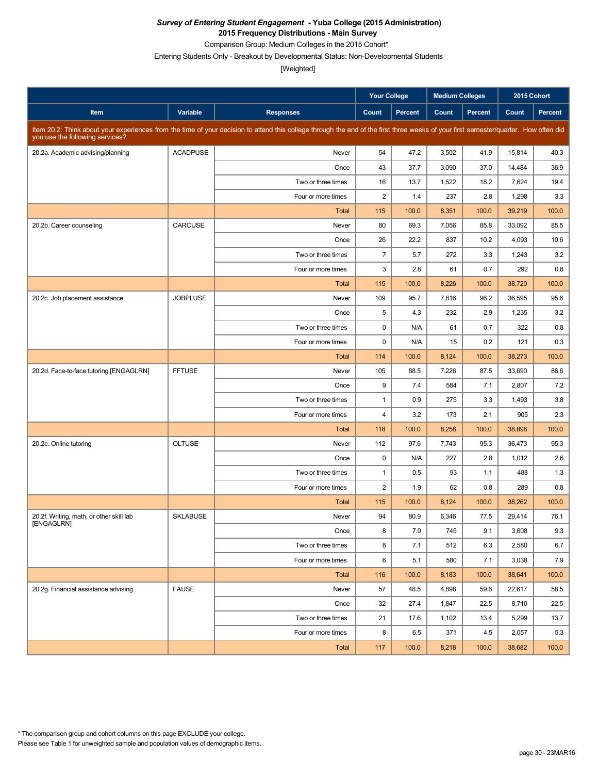Comparison Group: Medium Colleges in the 2015 Cohort\*

Entering Students Only - Breakout by Developmental Status: Non-Developmental Students

|                                          |                 |                                                                                                                                                                                      | <b>Your College</b>     |         | <b>Medium Colleges</b> |         | 2015 Cohort |         |
|------------------------------------------|-----------------|--------------------------------------------------------------------------------------------------------------------------------------------------------------------------------------|-------------------------|---------|------------------------|---------|-------------|---------|
| Item                                     | Variable        | <b>Responses</b>                                                                                                                                                                     | Count                   | Percent | Count                  | Percent | Count       | Percent |
| you use the following services?          |                 | Item 20.2: Think about your experiences from the time of your decision to attend this college through the end of the first three weeks of your first semester/quarter. How often did |                         |         |                        |         |             |         |
| 20.2a. Academic advising/planning        | <b>ACADPUSE</b> | Never                                                                                                                                                                                | 54                      | 47.2    | 3,502                  | 41.9    | 15,814      | 40.3    |
|                                          |                 | Once                                                                                                                                                                                 | 43                      | 37.7    | 3,090                  | 37.0    | 14,484      | 36.9    |
|                                          |                 | Two or three times                                                                                                                                                                   | 16                      | 13.7    | 1,522                  | 18.2    | 7,624       | 19.4    |
|                                          |                 | Four or more times                                                                                                                                                                   | $\overline{2}$          | 1.4     | 237                    | 2.8     | 1,298       | 3.3     |
|                                          |                 | <b>Total</b>                                                                                                                                                                         | 115                     | 100.0   | 8,351                  | 100.0   | 39,219      | 100.0   |
| 20.2b. Career counseling                 | CARCUSE         | Never                                                                                                                                                                                | 80                      | 69.3    | 7,056                  | 85.8    | 33.092      | 85.5    |
|                                          |                 | Once                                                                                                                                                                                 | 26                      | 22.2    | 837                    | 10.2    | 4,093       | 10.6    |
|                                          |                 | Two or three times                                                                                                                                                                   | $\overline{7}$          | 5.7     | 272                    | 3.3     | 1,243       | 3.2     |
|                                          |                 | Four or more times                                                                                                                                                                   | 3                       | 2.8     | 61                     | 0.7     | 292         | 0.8     |
|                                          |                 | <b>Total</b>                                                                                                                                                                         | 115                     | 100.0   | 8,226                  | 100.0   | 38,720      | 100.0   |
| 20.2c. Job placement assistance          | <b>JOBPLUSE</b> | Never                                                                                                                                                                                | 109                     | 95.7    | 7,816                  | 96.2    | 36.595      | 95.6    |
|                                          |                 | Once                                                                                                                                                                                 | 5                       | 4.3     | 232                    | 2.9     | 1,235       | 3.2     |
|                                          |                 | Two or three times                                                                                                                                                                   | 0                       | N/A     | 61                     | 0.7     | 322         | 0.8     |
|                                          |                 | Four or more times                                                                                                                                                                   | $\mathbf 0$             | N/A     | 15                     | 0.2     | 121         | 0.3     |
|                                          |                 | <b>Total</b>                                                                                                                                                                         | 114                     | 100.0   | 8,124                  | 100.0   | 38,273      | 100.0   |
| 20.2d. Face-to-face tutoring [ENGAGLRN]  | <b>FFTUSE</b>   | Never                                                                                                                                                                                | 105                     | 88.5    | 7,226                  | 87.5    | 33,690      | 86.6    |
|                                          |                 | Once                                                                                                                                                                                 | 9                       | 7.4     | 584                    | 7.1     | 2,807       | 7.2     |
|                                          |                 | Two or three times                                                                                                                                                                   | $\mathbf{1}$            | 0.9     | 275                    | 3.3     | 1,493       | 3.8     |
|                                          |                 | Four or more times                                                                                                                                                                   | $\overline{\mathbf{4}}$ | 3.2     | 173                    | 2.1     | 905         | 2.3     |
|                                          |                 | <b>Total</b>                                                                                                                                                                         | 118                     | 100.0   | 8,258                  | 100.0   | 38,896      | 100.0   |
| 20.2e. Online tutoring                   | <b>OLTUSE</b>   | Never                                                                                                                                                                                | 112                     | 97.6    | 7,743                  | 95.3    | 36,473      | 95.3    |
|                                          |                 | Once                                                                                                                                                                                 | 0                       | N/A     | 227                    | 2.8     | 1,012       | 2.6     |
|                                          |                 | Two or three times                                                                                                                                                                   | $\mathbf{1}$            | 0.5     | 93                     | 1.1     | 488         | 1.3     |
|                                          |                 | Four or more times                                                                                                                                                                   | $\overline{2}$          | 1.9     | 62                     | 0.8     | 289         | 0.8     |
|                                          |                 | <b>Total</b>                                                                                                                                                                         | 115                     | 100.0   | 8,124                  | 100.0   | 38,262      | 100.0   |
| 20.2f. Writing, math, or other skill lab | <b>SKLABUSE</b> | Never                                                                                                                                                                                | 94                      | 80.9    | 6,346                  | 77.5    | 29,414      | 76.1    |
| [ENGAGLRN]                               |                 | Once                                                                                                                                                                                 | 8                       | 7.0     | 745                    | 9.1     | 3,608       | 9.3     |
|                                          |                 | Two or three times                                                                                                                                                                   | 8                       | 7.1     | 512                    | 6.3     | 2,580       | 6.7     |
|                                          |                 | Four or more times                                                                                                                                                                   | 6                       | 5.1     | 580                    | 7.1     | 3,038       | 7.9     |
|                                          |                 | Total                                                                                                                                                                                | 116                     | 100.0   | 8,183                  | 100.0   | 38,641      | 100.0   |
| 20.2g. Financial assistance advising     | <b>FAUSE</b>    | Never                                                                                                                                                                                | 57                      | 48.5    | 4,898                  | 59.6    | 22,617      | 58.5    |
|                                          |                 | Once                                                                                                                                                                                 | 32                      | 27.4    | 1,847                  | 22.5    | 8,710       | 22.5    |
|                                          |                 | Two or three times                                                                                                                                                                   | 21                      | 17.6    | 1,102                  | 13.4    | 5,299       | 13.7    |
|                                          |                 | Four or more times                                                                                                                                                                   | 8                       | 6.5     | 371                    | 4.5     | 2,057       | 5.3     |
|                                          |                 | Total                                                                                                                                                                                | 117                     | 100.0   | 8,218                  | 100.0   | 38,682      | 100.0   |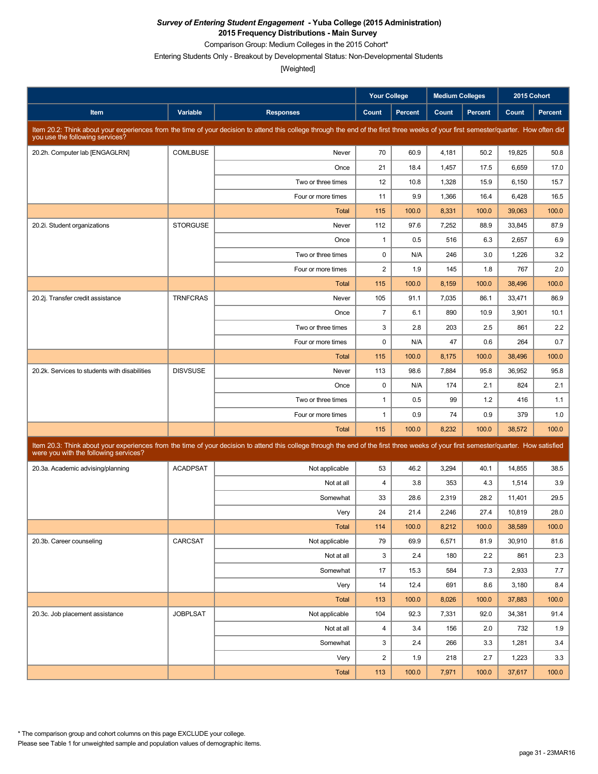Comparison Group: Medium Colleges in the 2015 Cohort\*

Entering Students Only - Breakout by Developmental Status: Non-Developmental Students

[Weighted]

|                                               |                 |                                                                                                                                                                                      | <b>Your College</b> |                | <b>Medium Colleges</b> |                | 2015 Cohort |         |
|-----------------------------------------------|-----------------|--------------------------------------------------------------------------------------------------------------------------------------------------------------------------------------|---------------------|----------------|------------------------|----------------|-------------|---------|
| Item                                          | Variable        | <b>Responses</b>                                                                                                                                                                     | Count               | <b>Percent</b> | Count                  | <b>Percent</b> | Count       | Percent |
| you use the following services?               |                 | Item 20.2: Think about your experiences from the time of your decision to attend this college through the end of the first three weeks of your first semester/quarter. How often did |                     |                |                        |                |             |         |
| 20.2h. Computer lab [ENGAGLRN]                | <b>COMLBUSE</b> | Never                                                                                                                                                                                | 70                  | 60.9           | 4,181                  | 50.2           | 19,825      | 50.8    |
|                                               |                 | Once                                                                                                                                                                                 | 21                  | 18.4           | 1,457                  | 17.5           | 6,659       | 17.0    |
|                                               |                 | Two or three times                                                                                                                                                                   | 12                  | 10.8           | 1,328                  | 15.9           | 6,150       | 15.7    |
|                                               |                 | Four or more times                                                                                                                                                                   | 11                  | 9.9            | 1,366                  | 16.4           | 6,428       | 16.5    |
|                                               |                 | <b>Total</b>                                                                                                                                                                         | 115                 | 100.0          | 8,331                  | 100.0          | 39,063      | 100.0   |
| 20.2i. Student organizations                  | <b>STORGUSE</b> | Never                                                                                                                                                                                | 112                 | 97.6           | 7,252                  | 88.9           | 33,845      | 87.9    |
|                                               |                 | Once                                                                                                                                                                                 | $\mathbf{1}$        | 0.5            | 516                    | 6.3            | 2,657       | 6.9     |
|                                               |                 | Two or three times                                                                                                                                                                   | $\mathbf 0$         | N/A            | 246                    | 3.0            | 1,226       | 3.2     |
|                                               |                 | Four or more times                                                                                                                                                                   | $\sqrt{2}$          | 1.9            | 145                    | 1.8            | 767         | 2.0     |
|                                               |                 | Total                                                                                                                                                                                | 115                 | 100.0          | 8,159                  | 100.0          | 38.496      | 100.0   |
| 20.2j. Transfer credit assistance             | <b>TRNFCRAS</b> | Never                                                                                                                                                                                | 105                 | 91.1           | 7,035                  | 86.1           | 33,471      | 86.9    |
|                                               |                 | Once                                                                                                                                                                                 | $\overline{7}$      | 6.1            | 890                    | 10.9           | 3,901       | 10.1    |
|                                               |                 | Two or three times                                                                                                                                                                   | 3                   | 2.8            | 203                    | 2.5            | 861         | 2.2     |
|                                               |                 | Four or more times                                                                                                                                                                   | $\pmb{0}$           | N/A            | 47                     | 0.6            | 264         | 0.7     |
|                                               |                 | <b>Total</b>                                                                                                                                                                         | 115                 | 100.0          | 8,175                  | 100.0          | 38,496      | 100.0   |
| 20.2k. Services to students with disabilities | <b>DISVSUSE</b> | Never                                                                                                                                                                                | 113                 | 98.6           | 7,884                  | 95.8           | 36,952      | 95.8    |
|                                               |                 | Once                                                                                                                                                                                 | $\pmb{0}$           | N/A            | 174                    | 2.1            | 824         | 2.1     |
|                                               |                 | Two or three times                                                                                                                                                                   | $\mathbf{1}$        | 0.5            | 99                     | 1.2            | 416         | 1.1     |
|                                               |                 | Four or more times                                                                                                                                                                   | $\mathbf{1}$        | 0.9            | 74                     | 0.9            | 379         | 1.0     |
|                                               |                 | Total                                                                                                                                                                                | 115                 | 100.0          | 8,232                  | 100.0          | 38,572      | 100.0   |
| were you with the following services?         |                 | Item 20.3: Think about your experiences from the time of your decision to attend this college through the end of the first three weeks of your first semester/quarter. How satisfied |                     |                |                        |                |             |         |
| 20.3a. Academic advising/planning             | <b>ACADPSAT</b> | Not applicable                                                                                                                                                                       | 53                  | 46.2           | 3,294                  | 40.1           | 14,855      | 38.5    |
|                                               |                 | Not at all                                                                                                                                                                           | $\overline{4}$      | 3.8            | 353                    | 4.3            | 1,514       | 3.9     |
|                                               |                 | Somewhat                                                                                                                                                                             | 33                  | 28.6           | 2,319                  | 28.2           | 11,401      | 29.5    |
|                                               |                 | Very                                                                                                                                                                                 | 24                  | 21.4           | 2,246                  | 27.4           | 10,819      | 28.0    |
|                                               |                 | <b>Total</b>                                                                                                                                                                         | 114                 | 100.0          | 8,212                  | 100.0          | 38,589      | 100.0   |
| 20.3b. Career counseling                      | CARCSAT         | Not applicable                                                                                                                                                                       | 79                  | 69.9           | 6,571                  | 81.9           | 30,910      | 81.6    |
|                                               |                 | Not at all                                                                                                                                                                           | 3                   | 2.4            | 180                    | 2.2            | 861         | 2.3     |
|                                               |                 | Somewhat                                                                                                                                                                             | 17                  | 15.3           | 584                    | 7.3            | 2,933       | 7.7     |
|                                               |                 | Very                                                                                                                                                                                 | 14                  | 12.4           | 691                    | 8.6            | 3,180       | 8.4     |
|                                               |                 | Total                                                                                                                                                                                | 113                 | 100.0          | 8,026                  | 100.0          | 37,883      | 100.0   |
| 20.3c. Job placement assistance               | <b>JOBPLSAT</b> | Not applicable                                                                                                                                                                       | 104                 | 92.3           | 7,331                  | 92.0           | 34,381      | 91.4    |
|                                               |                 | Not at all                                                                                                                                                                           | 4                   | 3.4            | 156                    | 2.0            | 732         | 1.9     |
|                                               |                 | Somewhat                                                                                                                                                                             | 3                   | 2.4            | 266                    | 3.3            | 1,281       | 3.4     |
|                                               |                 | Very                                                                                                                                                                                 | $\overline{2}$      | 1.9            | 218                    | 2.7            | 1,223       | 3.3     |
|                                               |                 | Total                                                                                                                                                                                | 113                 | 100.0          | 7,971                  | 100.0          | 37,617      | 100.0   |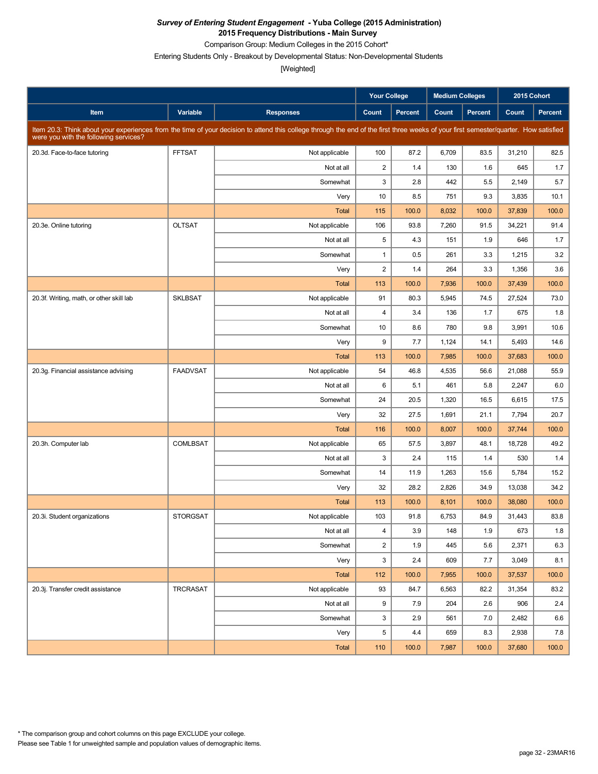Comparison Group: Medium Colleges in the 2015 Cohort\*

Entering Students Only - Breakout by Developmental Status: Non-Developmental Students

|                                          |                 |                                                                                                                                                                                      | Your College   |                | <b>Medium Colleges</b> |                |        | 2015 Cohort |
|------------------------------------------|-----------------|--------------------------------------------------------------------------------------------------------------------------------------------------------------------------------------|----------------|----------------|------------------------|----------------|--------|-------------|
| Item                                     | Variable        | <b>Responses</b>                                                                                                                                                                     | Count          | <b>Percent</b> | Count                  | <b>Percent</b> | Count  | Percent     |
| were you with the following services?    |                 | Item 20.3: Think about your experiences from the time of your decision to attend this college through the end of the first three weeks of your first semester/quarter. How satisfied |                |                |                        |                |        |             |
| 20.3d. Face-to-face tutoring             | <b>FFTSAT</b>   | Not applicable                                                                                                                                                                       | 100            | 87.2           | 6,709                  | 83.5           | 31,210 | 82.5        |
|                                          |                 | Not at all                                                                                                                                                                           | $\overline{2}$ | 1.4            | 130                    | 1.6            | 645    | 1.7         |
|                                          |                 | Somewhat                                                                                                                                                                             | 3              | 2.8            | 442                    | 5.5            | 2,149  | 5.7         |
|                                          |                 | Very                                                                                                                                                                                 | 10             | 8.5            | 751                    | 9.3            | 3,835  | 10.1        |
|                                          |                 | <b>Total</b>                                                                                                                                                                         | 115            | 100.0          | 8,032                  | 100.0          | 37,839 | 100.0       |
| 20.3e. Online tutoring                   | <b>OLTSAT</b>   | Not applicable                                                                                                                                                                       | 106            | 93.8           | 7,260                  | 91.5           | 34,221 | 91.4        |
|                                          |                 | Not at all                                                                                                                                                                           | 5              | 4.3            | 151                    | 1.9            | 646    | 1.7         |
|                                          |                 | Somewhat                                                                                                                                                                             | $\mathbf{1}$   | 0.5            | 261                    | 3.3            | 1,215  | 3.2         |
|                                          |                 | Very                                                                                                                                                                                 | $\sqrt{2}$     | 1.4            | 264                    | 3.3            | 1,356  | 3.6         |
|                                          |                 | <b>Total</b>                                                                                                                                                                         | 113            | 100.0          | 7,936                  | 100.0          | 37,439 | 100.0       |
| 20.3f. Writing, math, or other skill lab | <b>SKLBSAT</b>  | Not applicable                                                                                                                                                                       | 91             | 80.3           | 5,945                  | 74.5           | 27,524 | 73.0        |
|                                          |                 | Not at all                                                                                                                                                                           | $\overline{4}$ | 3.4            | 136                    | 1.7            | 675    | 1.8         |
|                                          |                 | Somewhat                                                                                                                                                                             | 10             | 8.6            | 780                    | 9.8            | 3,991  | 10.6        |
|                                          |                 | Very                                                                                                                                                                                 | 9              | 7.7            | 1,124                  | 14.1           | 5,493  | 14.6        |
|                                          |                 | <b>Total</b>                                                                                                                                                                         | 113            | 100.0          | 7,985                  | 100.0          | 37,683 | 100.0       |
| 20.3g. Financial assistance advising     | <b>FAADVSAT</b> | Not applicable                                                                                                                                                                       | 54             | 46.8           | 4,535                  | 56.6           | 21,088 | 55.9        |
|                                          |                 | Not at all                                                                                                                                                                           | 6              | 5.1            | 461                    | 5.8            | 2,247  | 6.0         |
|                                          |                 | Somewhat                                                                                                                                                                             | 24             | 20.5           | 1,320                  | 16.5           | 6,615  | 17.5        |
|                                          |                 | Very                                                                                                                                                                                 | 32             | 27.5           | 1,691                  | 21.1           | 7,794  | 20.7        |
|                                          |                 | <b>Total</b>                                                                                                                                                                         | 116            | 100.0          | 8,007                  | 100.0          | 37,744 | 100.0       |
| 20.3h. Computer lab                      | <b>COMLBSAT</b> | Not applicable                                                                                                                                                                       | 65             | 57.5           | 3,897                  | 48.1           | 18,728 | 49.2        |
|                                          |                 | Not at all                                                                                                                                                                           | 3              | 2.4            | 115                    | 1.4            | 530    | 1.4         |
|                                          |                 | Somewhat                                                                                                                                                                             | 14             | 11.9           | 1,263                  | 15.6           | 5,784  | 15.2        |
|                                          |                 | Very                                                                                                                                                                                 | 32             | 28.2           | 2,826                  | 34.9           | 13,038 | 34.2        |
|                                          |                 | <b>Total</b>                                                                                                                                                                         | 113            | 100.0          | 8,101                  | 100.0          | 38,080 | 100.0       |
| 20.3i. Student organizations             | <b>STORGSAT</b> | Not applicable                                                                                                                                                                       | 103            | 91.8           | 6,753                  | 84.9           | 31,443 | 83.8        |
|                                          |                 | Not at all                                                                                                                                                                           | $\overline{4}$ | 3.9            | 148                    | 1.9            | 673    | 1.8         |
|                                          |                 | Somewhat                                                                                                                                                                             | $\overline{2}$ | 1.9            | 445                    | 5.6            | 2,371  | 6.3         |
|                                          |                 | Very                                                                                                                                                                                 | 3              | 2.4            | 609                    | 7.7            | 3,049  | 8.1         |
|                                          |                 | Total                                                                                                                                                                                | 112            | 100.0          | 7,955                  | 100.0          | 37,537 | 100.0       |
| 20.3j. Transfer credit assistance        | TRCRASAT        | Not applicable                                                                                                                                                                       | 93             | 84.7           | 6,563                  | 82.2           | 31,354 | 83.2        |
|                                          |                 | Not at all                                                                                                                                                                           | 9              | 7.9            | 204                    | 2.6            | 906    | 2.4         |
|                                          |                 | Somewhat                                                                                                                                                                             | 3              | 2.9            | 561                    | 7.0            | 2,482  | 6.6         |
|                                          |                 | Very                                                                                                                                                                                 | 5              | 4.4            | 659                    | 8.3            | 2,938  | 7.8         |
|                                          |                 | Total                                                                                                                                                                                | 110            | 100.0          | 7,987                  | 100.0          | 37,680 | 100.0       |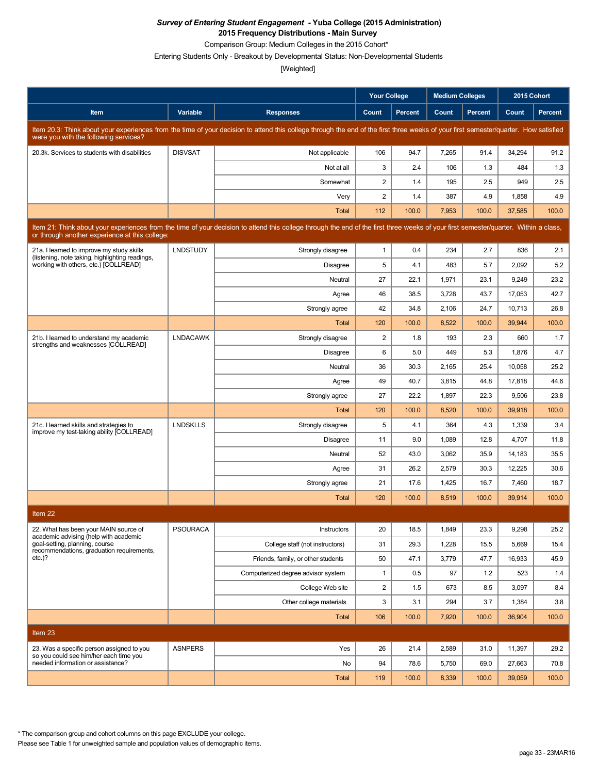Comparison Group: Medium Colleges in the 2015 Cohort\*

Entering Students Only - Breakout by Developmental Status: Non-Developmental Students

[Weighted]

|                                                                                                                                                                                                                                        |                 |                                                                                                                                                                                      | <b>Your College</b>     |                | <b>Medium Colleges</b> |         | 2015 Cohort |                |  |
|----------------------------------------------------------------------------------------------------------------------------------------------------------------------------------------------------------------------------------------|-----------------|--------------------------------------------------------------------------------------------------------------------------------------------------------------------------------------|-------------------------|----------------|------------------------|---------|-------------|----------------|--|
| Item                                                                                                                                                                                                                                   | Variable        | <b>Responses</b>                                                                                                                                                                     | Count                   | <b>Percent</b> | Count                  | Percent | Count       | <b>Percent</b> |  |
| were you with the following services?                                                                                                                                                                                                  |                 | Item 20.3: Think about your experiences from the time of your decision to attend this college through the end of the first three weeks of your first semester/quarter. How satisfied |                         |                |                        |         |             |                |  |
| 20.3k. Services to students with disabilities                                                                                                                                                                                          | <b>DISVSAT</b>  | Not applicable                                                                                                                                                                       | 106                     | 94.7           | 7,265                  | 91.4    | 34,294      | 91.2           |  |
|                                                                                                                                                                                                                                        |                 | Not at all                                                                                                                                                                           | 3                       | 2.4            | 106                    | 1.3     | 484         | 1.3            |  |
|                                                                                                                                                                                                                                        |                 | Somewhat                                                                                                                                                                             | $\overline{2}$          | 1.4            | 195                    | 2.5     | 949         | 2.5            |  |
|                                                                                                                                                                                                                                        |                 | Very                                                                                                                                                                                 | $\overline{\mathbf{c}}$ | 1.4            | 387                    | 4.9     | 1,858       | 4.9            |  |
|                                                                                                                                                                                                                                        |                 | <b>Total</b>                                                                                                                                                                         | 112                     | 100.0          | 7,953                  | 100.0   | 37,585      | 100.0          |  |
| Item 21: Think about your experiences from the time of your decision to attend this college through the end of the first three weeks of your first semester/quarter. Within a class,<br>or through another experience at this college: |                 |                                                                                                                                                                                      |                         |                |                        |         |             |                |  |
| 21a. I learned to improve my study skills<br>(listening, note taking, highlighting readings,                                                                                                                                           | <b>LNDSTUDY</b> | Strongly disagree                                                                                                                                                                    | $\mathbf{1}$            | 0.4            | 234                    | 2.7     | 836         | 2.1            |  |
| working with others, etc.) [COLLREAD]                                                                                                                                                                                                  |                 | Disagree                                                                                                                                                                             | 5                       | 4.1            | 483                    | 5.7     | 2,092       | 5.2            |  |
|                                                                                                                                                                                                                                        |                 | Neutral                                                                                                                                                                              | 27                      | 22.1           | 1,971                  | 23.1    | 9,249       | 23.2           |  |
|                                                                                                                                                                                                                                        |                 | Agree                                                                                                                                                                                | 46                      | 38.5           | 3,728                  | 43.7    | 17,053      | 42.7           |  |
|                                                                                                                                                                                                                                        |                 | Strongly agree                                                                                                                                                                       | 42                      | 34.8           | 2,106                  | 24.7    | 10,713      | 26.8           |  |
|                                                                                                                                                                                                                                        |                 | Total                                                                                                                                                                                | 120                     | 100.0          | 8,522                  | 100.0   | 39,944      | 100.0          |  |
| 21b. I learned to understand my academic<br>strengths and weaknesses [COLLREAD]                                                                                                                                                        | <b>LNDACAWK</b> | Strongly disagree                                                                                                                                                                    | $\overline{2}$          | 1.8            | 193                    | 2.3     | 660         | 1.7            |  |
|                                                                                                                                                                                                                                        |                 | Disagree                                                                                                                                                                             | 6                       | 5.0            | 449                    | 5.3     | 1,876       | 4.7            |  |
|                                                                                                                                                                                                                                        |                 | Neutral                                                                                                                                                                              | 36                      | 30.3           | 2,165                  | 25.4    | 10,058      | 25.2           |  |
|                                                                                                                                                                                                                                        |                 | Agree                                                                                                                                                                                | 49                      | 40.7           | 3,815                  | 44.8    | 17,818      | 44.6           |  |
|                                                                                                                                                                                                                                        |                 | Strongly agree                                                                                                                                                                       | 27                      | 22.2           | 1,897                  | 22.3    | 9,506       | 23.8           |  |
|                                                                                                                                                                                                                                        |                 | Total                                                                                                                                                                                | 120                     | 100.0          | 8,520                  | 100.0   | 39,918      | 100.0          |  |
| 21c. I learned skills and strategies to<br>improve my test-taking ability [COLLREAD]                                                                                                                                                   | <b>LNDSKLLS</b> | Strongly disagree                                                                                                                                                                    | 5                       | 4.1            | 364                    | 4.3     | 1,339       | 3.4            |  |
|                                                                                                                                                                                                                                        |                 | Disagree                                                                                                                                                                             | 11                      | 9.0            | 1,089                  | 12.8    | 4,707       | 11.8           |  |
|                                                                                                                                                                                                                                        |                 | Neutral                                                                                                                                                                              | 52                      | 43.0           | 3,062                  | 35.9    | 14,183      | 35.5           |  |
|                                                                                                                                                                                                                                        |                 | Agree                                                                                                                                                                                | 31                      | 26.2           | 2,579                  | 30.3    | 12,225      | 30.6           |  |
|                                                                                                                                                                                                                                        |                 | Strongly agree                                                                                                                                                                       | 21                      | 17.6           | 1,425                  | 16.7    | 7,460       | 18.7           |  |
|                                                                                                                                                                                                                                        |                 | Total                                                                                                                                                                                | 120                     | 100.0          | 8,519                  | 100.0   | 39,914      | 100.0          |  |
| Item 22                                                                                                                                                                                                                                |                 |                                                                                                                                                                                      |                         |                |                        |         |             |                |  |
| 22. What has been your MAIN source of<br>academic advising (help with academic                                                                                                                                                         | <b>PSOURACA</b> | Instructors                                                                                                                                                                          | 20                      | 18.5           | 1,849                  | 23.3    | 9,298       | 25.2           |  |
| goal-setting, planning, course<br>recommendations, graduation requirements,                                                                                                                                                            |                 | College staff (not instructors)                                                                                                                                                      | 31                      | 29.3           | 1,228                  | 15.5    | 5,669       | 15.4           |  |
| $etc.$ )?                                                                                                                                                                                                                              |                 | Friends, family, or other students                                                                                                                                                   | 50                      | 47.1           | 3,779                  | 47.7    | 16,933      | 45.9           |  |
|                                                                                                                                                                                                                                        |                 | Computerized degree advisor system                                                                                                                                                   | $\mathbf{1}$            | 0.5            | 97                     | 1.2     | 523         | 1.4            |  |
|                                                                                                                                                                                                                                        |                 | College Web site                                                                                                                                                                     | $\overline{c}$          | 1.5            | 673                    | 8.5     | 3,097       | 8.4            |  |
|                                                                                                                                                                                                                                        |                 | Other college materials                                                                                                                                                              | 3                       | 3.1            | 294                    | 3.7     | 1,384       | 3.8            |  |
|                                                                                                                                                                                                                                        |                 | Total                                                                                                                                                                                | 106                     | 100.0          | 7,920                  | 100.0   | 36,904      | 100.0          |  |
| Item 23                                                                                                                                                                                                                                |                 |                                                                                                                                                                                      |                         |                |                        |         |             |                |  |
| 23. Was a specific person assigned to you                                                                                                                                                                                              | <b>ASNPERS</b>  | Yes                                                                                                                                                                                  | 26                      | 21.4           | 2,589                  | 31.0    | 11,397      | 29.2           |  |
| so you could see him/her each time you<br>needed information or assistance?                                                                                                                                                            |                 | No                                                                                                                                                                                   | 94                      | 78.6           | 5,750                  | 69.0    | 27,663      | 70.8           |  |
|                                                                                                                                                                                                                                        |                 | Total                                                                                                                                                                                | 119                     | 100.0          | 8,339                  | 100.0   | 39,059      | 100.0          |  |

\* The comparison group and cohort columns on this page EXCLUDE your college.

Please see Table 1 for unweighted sample and population values of demographic items.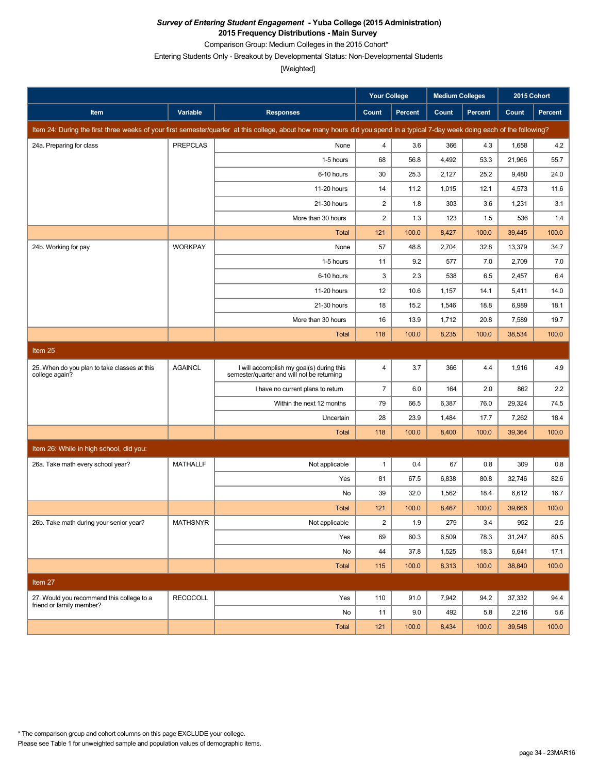Comparison Group: Medium Colleges in the 2015 Cohort\*

Entering Students Only - Breakout by Developmental Status: Non-Developmental Students

[Weighted]

|                                                                |                 |                                                                                                                                                                               | <b>Your College</b> |                | Medium Colleges |                | 2015 Cohort |                |
|----------------------------------------------------------------|-----------------|-------------------------------------------------------------------------------------------------------------------------------------------------------------------------------|---------------------|----------------|-----------------|----------------|-------------|----------------|
| Item                                                           | Variable        | <b>Responses</b>                                                                                                                                                              | Count               | <b>Percent</b> | Count           | <b>Percent</b> | Count       | <b>Percent</b> |
|                                                                |                 | Item 24: During the first three weeks of your first semester/quarter at this college, about how many hours did you spend in a typical 7-day week doing each of the following? |                     |                |                 |                |             |                |
| 24a. Preparing for class                                       | <b>PREPCLAS</b> | None                                                                                                                                                                          | $\overline{4}$      | 3.6            | 366             | 4.3            | 1,658       | 4.2            |
|                                                                |                 | 1-5 hours                                                                                                                                                                     | 68                  | 56.8           | 4,492           | 53.3           | 21,966      | 55.7           |
|                                                                |                 | 6-10 hours                                                                                                                                                                    | 30                  | 25.3           | 2,127           | 25.2           | 9,480       | 24.0           |
|                                                                |                 | 11-20 hours                                                                                                                                                                   | 14                  | 11.2           | 1,015           | 12.1           | 4,573       | 11.6           |
|                                                                |                 | 21-30 hours                                                                                                                                                                   | $\overline{c}$      | 1.8            | 303             | 3.6            | 1,231       | 3.1            |
|                                                                |                 | More than 30 hours                                                                                                                                                            | 2                   | 1.3            | 123             | 1.5            | 536         | 1.4            |
|                                                                |                 | Total                                                                                                                                                                         | 121                 | 100.0          | 8,427           | 100.0          | 39,445      | 100.0          |
| 24b. Working for pay                                           | <b>WORKPAY</b>  | None                                                                                                                                                                          | 57                  | 48.8           | 2,704           | 32.8           | 13,379      | 34.7           |
|                                                                |                 | 1-5 hours                                                                                                                                                                     | 11                  | 9.2            | 577             | 7.0            | 2,709       | 7.0            |
|                                                                |                 | 6-10 hours                                                                                                                                                                    | $\mathsf 3$         | 2.3            | 538             | 6.5            | 2,457       | 6.4            |
|                                                                |                 | 11-20 hours                                                                                                                                                                   | 12                  | 10.6           | 1,157           | 14.1           | 5,411       | 14.0           |
|                                                                |                 | 21-30 hours                                                                                                                                                                   | 18                  | 15.2           | 1,546           | 18.8           | 6,989       | 18.1           |
|                                                                |                 | More than 30 hours                                                                                                                                                            | 16                  | 13.9           | 1,712           | 20.8           | 7,589       | 19.7           |
|                                                                |                 | <b>Total</b>                                                                                                                                                                  | 118                 | 100.0          | 8,235           | 100.0          | 38,534      | 100.0          |
| Item 25                                                        |                 |                                                                                                                                                                               |                     |                |                 |                |             |                |
| 25. When do you plan to take classes at this<br>college again? | <b>AGAINCL</b>  | I will accomplish my goal(s) during this<br>semester/quarter and will not be returning                                                                                        | $\overline{4}$      | 3.7            | 366             | 4.4            | 1,916       | 4.9            |
|                                                                |                 | I have no current plans to return                                                                                                                                             | $\overline{7}$      | 6.0            | 164             | 2.0            | 862         | 2.2            |
|                                                                |                 | Within the next 12 months                                                                                                                                                     | 79                  | 66.5           | 6,387           | 76.0           | 29,324      | 74.5           |
|                                                                |                 | Uncertain                                                                                                                                                                     | 28                  | 23.9           | 1,484           | 17.7           | 7,262       | 18.4           |
|                                                                |                 | Total                                                                                                                                                                         | 118                 | 100.0          | 8,400           | 100.0          | 39,364      | 100.0          |
| Item 26: While in high school, did you:                        |                 |                                                                                                                                                                               |                     |                |                 |                |             |                |
| 26a. Take math every school year?                              | <b>MATHALLF</b> | Not applicable                                                                                                                                                                | $\mathbf{1}$        | 0.4            | 67              | 0.8            | 309         | 0.8            |
|                                                                |                 | Yes                                                                                                                                                                           | 81                  | 67.5           | 6,838           | 80.8           | 32,746      | 82.6           |
|                                                                |                 | No                                                                                                                                                                            | 39                  | 32.0           | 1,562           | 18.4           | 6,612       | 16.7           |
|                                                                |                 | <b>Total</b>                                                                                                                                                                  | 121                 | 100.0          | 8,467           | 100.0          | 39,666      | 100.0          |
| 26b. Take math during your senior year?                        | <b>MATHSNYR</b> | Not applicable                                                                                                                                                                | $\sqrt{2}$          | 1.9            | 279             | 3.4            | 952         | 2.5            |
|                                                                |                 | Yes                                                                                                                                                                           | 69                  | 60.3           | 6,509           | 78.3           | 31,247      | 80.5           |
|                                                                |                 | No                                                                                                                                                                            | 44                  | 37.8           | 1,525           | 18.3           | 6,641       | 17.1           |
|                                                                |                 | <b>Total</b>                                                                                                                                                                  | 115                 | 100.0          | 8,313           | 100.0          | 38,840      | 100.0          |
| Item 27                                                        |                 |                                                                                                                                                                               |                     |                |                 |                |             |                |
| 27. Would you recommend this college to a                      | <b>RECOCOLL</b> | Yes                                                                                                                                                                           | 110                 | 91.0           | 7,942           | 94.2           | 37,332      | 94.4           |
| friend or family member?                                       |                 | No                                                                                                                                                                            | 11                  | 9.0            | 492             | 5.8            | 2,216       | 5.6            |
|                                                                |                 | Total                                                                                                                                                                         | 121                 | 100.0          | 8,434           | 100.0          | 39,548      | 100.0          |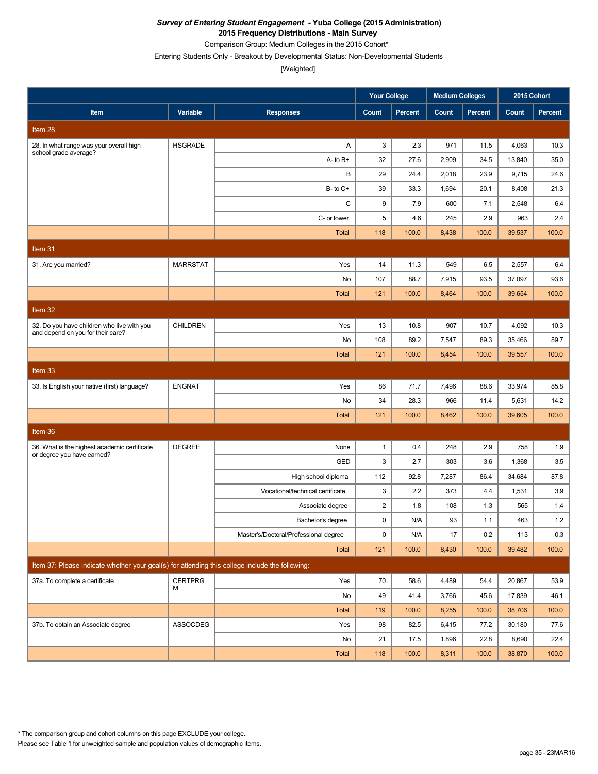Comparison Group: Medium Colleges in the 2015 Cohort\*

Entering Students Only - Breakout by Developmental Status: Non-Developmental Students

|                                                                                                 |                 |                                       | <b>Your College</b> |         | <b>Medium Colleges</b> |         | 2015 Cohort |         |
|-------------------------------------------------------------------------------------------------|-----------------|---------------------------------------|---------------------|---------|------------------------|---------|-------------|---------|
| Item                                                                                            | Variable        | <b>Responses</b>                      | Count               | Percent | Count                  | Percent | Count       | Percent |
| Item 28                                                                                         |                 |                                       |                     |         |                        |         |             |         |
| 28. In what range was your overall high<br>school grade average?                                | <b>HSGRADE</b>  | Α                                     | 3                   | 2.3     | 971                    | 11.5    | 4,063       | 10.3    |
|                                                                                                 |                 | $A - to B +$                          | 32                  | 27.6    | 2,909                  | 34.5    | 13,840      | 35.0    |
|                                                                                                 |                 | В                                     | 29                  | 24.4    | 2,018                  | 23.9    | 9,715       | 24.6    |
|                                                                                                 |                 | $B$ - to $C$ +                        | 39                  | 33.3    | 1,694                  | 20.1    | 8,408       | 21.3    |
|                                                                                                 |                 | C                                     | 9                   | 7.9     | 600                    | 7.1     | 2,548       | 6.4     |
|                                                                                                 |                 | C- or lower                           | 5                   | 4.6     | 245                    | 2.9     | 963         | 2.4     |
|                                                                                                 |                 | <b>Total</b>                          | 118                 | 100.0   | 8,438                  | 100.0   | 39,537      | 100.0   |
| Item $31$                                                                                       |                 |                                       |                     |         |                        |         |             |         |
| 31. Are you married?                                                                            | <b>MARRSTAT</b> | Yes                                   | 14                  | 11.3    | 549                    | 6.5     | 2,557       | 6.4     |
|                                                                                                 |                 | No                                    | 107                 | 88.7    | 7,915                  | 93.5    | 37,097      | 93.6    |
|                                                                                                 |                 | <b>Total</b>                          | 121                 | 100.0   | 8,464                  | 100.0   | 39,654      | 100.0   |
| Item 32                                                                                         |                 |                                       |                     |         |                        |         |             |         |
| 32. Do you have children who live with you                                                      | <b>CHILDREN</b> | Yes                                   | 13                  | 10.8    | 907                    | 10.7    | 4,092       | 10.3    |
| and depend on you for their care?                                                               |                 | No                                    | 108                 | 89.2    | 7,547                  | 89.3    | 35,466      | 89.7    |
|                                                                                                 |                 | <b>Total</b>                          | 121                 | 100.0   | 8,454                  | 100.0   | 39,557      | 100.0   |
| Item 33                                                                                         |                 |                                       |                     |         |                        |         |             |         |
| 33. Is English your native (first) language?                                                    | <b>ENGNAT</b>   | Yes                                   | 86                  | 71.7    | 7,496                  | 88.6    | 33,974      | 85.8    |
|                                                                                                 |                 | No                                    | 34                  | 28.3    | 966                    | 11.4    | 5,631       | 14.2    |
|                                                                                                 |                 | <b>Total</b>                          | 121                 | 100.0   | 8,462                  | 100.0   | 39,605      | 100.0   |
| Item 36                                                                                         |                 |                                       |                     |         |                        |         |             |         |
| 36. What is the highest academic certificate                                                    | <b>DEGREE</b>   | None                                  | $\mathbf{1}$        | 0.4     | 248                    | 2.9     | 758         | 1.9     |
| or degree you have earned?                                                                      |                 | GED                                   | 3                   | 2.7     | 303                    | 3.6     | 1,368       | 3.5     |
|                                                                                                 |                 | High school diploma                   | 112                 | 92.8    | 7,287                  | 86.4    | 34,684      | 87.8    |
|                                                                                                 |                 | Vocational/technical certificate      | 3                   | 2.2     | 373                    | 4.4     | 1,531       | 3.9     |
|                                                                                                 |                 | Associate degree                      | $\overline{c}$      | 1.8     | 108                    | 1.3     | 565         | 1.4     |
|                                                                                                 |                 | Bachelor's degree                     | $\mathbf 0$         | N/A     | 93                     | 1.1     | 463         | 1.2     |
|                                                                                                 |                 | Master's/Doctoral/Professional degree | 0                   | N/A     | 17                     | 0.2     | 113         | 0.3     |
|                                                                                                 |                 | Total                                 | $121$               | 100.0   | 8,430                  | 100.0   | 39,482      | 100.0   |
| Item 37: Please indicate whether your goal(s) for attending this college include the following: |                 |                                       |                     |         |                        |         |             |         |
| 37a. To complete a certificate                                                                  | <b>CERTPRG</b>  | Yes                                   | 70                  | 58.6    | 4,489                  | 54.4    | 20,867      | 53.9    |
|                                                                                                 | м               | No                                    | 49                  | 41.4    | 3,766                  | 45.6    | 17,839      | 46.1    |
|                                                                                                 |                 | Total                                 | 119                 | 100.0   | 8,255                  | 100.0   | 38,706      | 100.0   |
| 37b. To obtain an Associate degree                                                              | ASSOCDEG        | Yes                                   | 98                  | 82.5    | 6,415                  | 77.2    | 30,180      | 77.6    |
|                                                                                                 |                 | No                                    | 21                  | 17.5    | 1,896                  | 22.8    | 8,690       | 22.4    |
|                                                                                                 |                 | Total                                 | 118                 | 100.0   | 8,311                  | 100.0   | 38,870      | 100.0   |